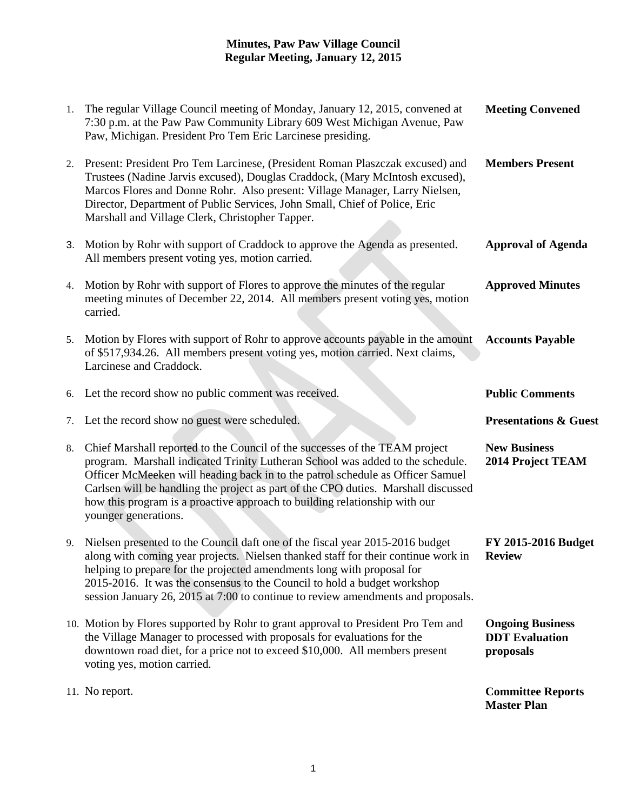| 1. | The regular Village Council meeting of Monday, January 12, 2015, convened at<br>7:30 p.m. at the Paw Paw Community Library 609 West Michigan Avenue, Paw<br>Paw, Michigan. President Pro Tem Eric Larcinese presiding.                                                                                                                                                                                                                      | <b>Meeting Convened</b>                                       |
|----|---------------------------------------------------------------------------------------------------------------------------------------------------------------------------------------------------------------------------------------------------------------------------------------------------------------------------------------------------------------------------------------------------------------------------------------------|---------------------------------------------------------------|
| 2. | Present: President Pro Tem Larcinese, (President Roman Plaszczak excused) and<br>Trustees (Nadine Jarvis excused), Douglas Craddock, (Mary McIntosh excused),<br>Marcos Flores and Donne Rohr. Also present: Village Manager, Larry Nielsen,<br>Director, Department of Public Services, John Small, Chief of Police, Eric<br>Marshall and Village Clerk, Christopher Tapper.                                                               | <b>Members Present</b>                                        |
|    | 3. Motion by Rohr with support of Craddock to approve the Agenda as presented.<br>All members present voting yes, motion carried.                                                                                                                                                                                                                                                                                                           | <b>Approval of Agenda</b>                                     |
| 4. | Motion by Rohr with support of Flores to approve the minutes of the regular<br>meeting minutes of December 22, 2014. All members present voting yes, motion<br>carried.                                                                                                                                                                                                                                                                     | <b>Approved Minutes</b>                                       |
| 5. | Motion by Flores with support of Rohr to approve accounts payable in the amount<br>of \$517,934.26. All members present voting yes, motion carried. Next claims,<br>Larcinese and Craddock.                                                                                                                                                                                                                                                 | <b>Accounts Payable</b>                                       |
| 6. | Let the record show no public comment was received.                                                                                                                                                                                                                                                                                                                                                                                         | <b>Public Comments</b>                                        |
| 7. | Let the record show no guest were scheduled.                                                                                                                                                                                                                                                                                                                                                                                                | <b>Presentations &amp; Guest</b>                              |
|    |                                                                                                                                                                                                                                                                                                                                                                                                                                             |                                                               |
| 8. | Chief Marshall reported to the Council of the successes of the TEAM project<br>program. Marshall indicated Trinity Lutheran School was added to the schedule.<br>Officer McMeeken will heading back in to the patrol schedule as Officer Samuel<br>Carlsen will be handling the project as part of the CPO duties. Marshall discussed<br>how this program is a proactive approach to building relationship with our<br>younger generations. | <b>New Business</b><br>2014 Project TEAM                      |
|    | 9. Nielsen presented to the Council daft one of the fiscal year 2015-2016 budget<br>along with coming year projects. Nielsen thanked staff for their continue work in<br>helping to prepare for the projected amendments long with proposal for<br>2015-2016. It was the consensus to the Council to hold a budget workshop<br>session January 26, 2015 at 7:00 to continue to review amendments and proposals.                             | FY 2015-2016 Budget<br><b>Review</b>                          |
|    | 10. Motion by Flores supported by Rohr to grant approval to President Pro Tem and<br>the Village Manager to processed with proposals for evaluations for the<br>downtown road diet, for a price not to exceed \$10,000. All members present<br>voting yes, motion carried.                                                                                                                                                                  | <b>Ongoing Business</b><br><b>DDT</b> Evaluation<br>proposals |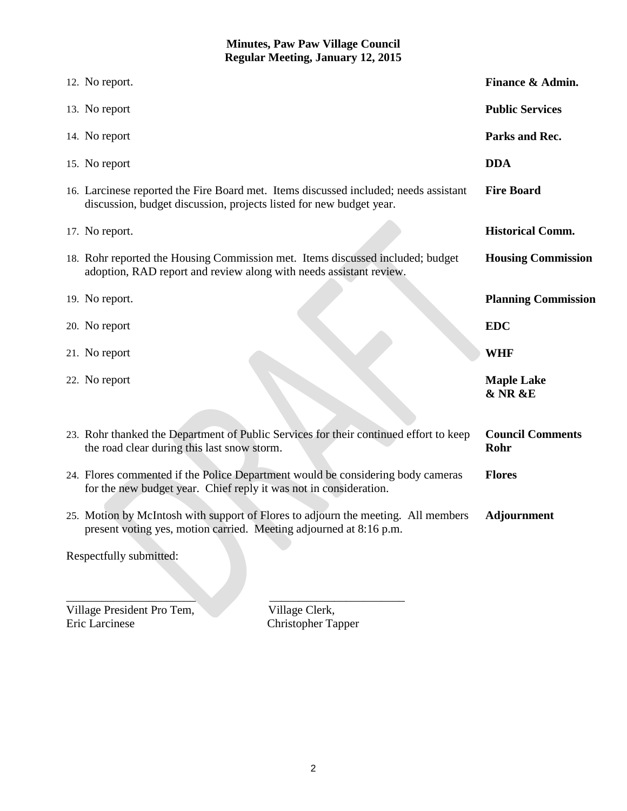| 12. No report.                                                                                                                                              | Finance & Admin.                |
|-------------------------------------------------------------------------------------------------------------------------------------------------------------|---------------------------------|
| 13. No report                                                                                                                                               | <b>Public Services</b>          |
| 14. No report                                                                                                                                               | Parks and Rec.                  |
| 15. No report                                                                                                                                               | <b>DDA</b>                      |
| 16. Larcinese reported the Fire Board met. Items discussed included; needs assistant<br>discussion, budget discussion, projects listed for new budget year. | <b>Fire Board</b>               |
| 17. No report.                                                                                                                                              | <b>Historical Comm.</b>         |
| 18. Rohr reported the Housing Commission met. Items discussed included; budget<br>adoption, RAD report and review along with needs assistant review.        | <b>Housing Commission</b>       |
| 19. No report.                                                                                                                                              | <b>Planning Commission</b>      |
| 20. No report                                                                                                                                               | <b>EDC</b>                      |
| 21. No report                                                                                                                                               | WHF                             |
| 22. No report                                                                                                                                               | <b>Maple Lake</b><br>& NR &E    |
| 23. Rohr thanked the Department of Public Services for their continued effort to keep<br>the road clear during this last snow storm.                        | <b>Council Comments</b><br>Rohr |
| 24. Flores commented if the Police Department would be considering body cameras<br>for the new budget year. Chief reply it was not in consideration.        | <b>Flores</b>                   |
| 25. Motion by McIntosh with support of Flores to adjourn the meeting. All members<br>present voting yes, motion carried. Meeting adjourned at 8:16 p.m.     | <b>Adjournment</b>              |

Respectfully submitted:

Village President Pro Tem,<br>Eric Larcinese Christopher Ta

Christopher Tapper

 $\overline{\phantom{a}}$  , and the contract of the contract of the contract of the contract of the contract of the contract of the contract of the contract of the contract of the contract of the contract of the contract of the contrac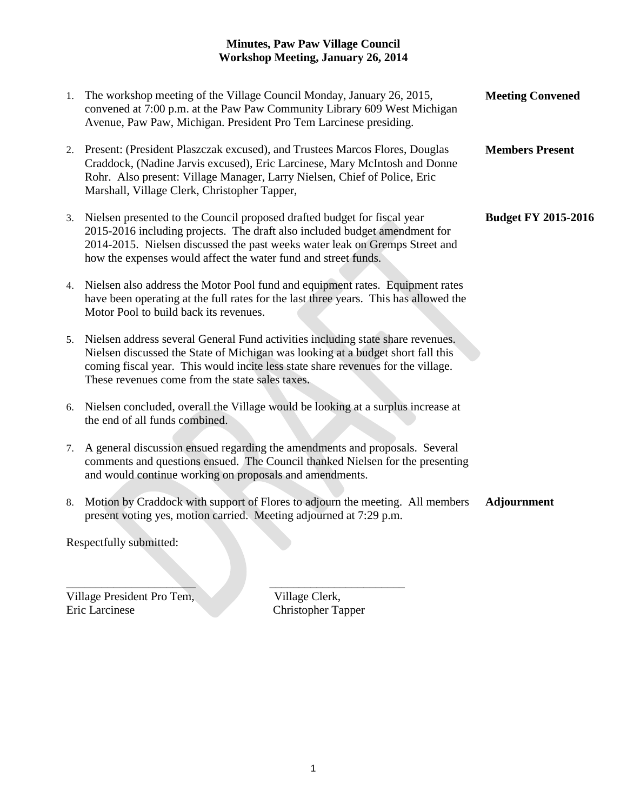### **Minutes, Paw Paw Village Council Workshop Meeting, January 26, 2014**

1. The workshop meeting of the Village Council Monday, January 26, 2015, convened at 7:00 p.m. at the Paw Paw Community Library 609 West Michigan Avenue, Paw Paw, Michigan. President Pro Tem Larcinese presiding. 2. Present: (President Plaszczak excused), and Trustees Marcos Flores, Douglas Craddock, (Nadine Jarvis excused), Eric Larcinese, Mary McIntosh and Donne Rohr. Also present: Village Manager, Larry Nielsen, Chief of Police, Eric Marshall, Village Clerk, Christopher Tapper, 3. Nielsen presented to the Council proposed drafted budget for fiscal year 2015-2016 including projects. The draft also included budget amendment for 2014-2015. Nielsen discussed the past weeks water leak on Gremps Street and how the expenses would affect the water fund and street funds. 4. Nielsen also address the Motor Pool fund and equipment rates. Equipment rates have been operating at the full rates for the last three years. This has allowed the Motor Pool to build back its revenues. 5. Nielsen address several General Fund activities including state share revenues. Nielsen discussed the State of Michigan was looking at a budget short fall this coming fiscal year. This would incite less state share revenues for the village. These revenues come from the state sales taxes. 6. Nielsen concluded, overall the Village would be looking at a surplus increase at the end of all funds combined. 7. A general discussion ensued regarding the amendments and proposals. Several comments and questions ensued. The Council thanked Nielsen for the presenting and would continue working on proposals and amendments. 8. Motion by Craddock with support of Flores to adjourn the meeting. All members present voting yes, motion carried. Meeting adjourned at 7:29 p.m. Respectfully submitted: **Meeting Convened Members Present Budget FY 2015-2016 Adjournment**

Village President Pro Tem, Village Clerk, Eric Larcinese Christopher Tapper

 $\overline{\phantom{a}}$  , and the set of the set of the set of the set of the set of the set of the set of the set of the set of the set of the set of the set of the set of the set of the set of the set of the set of the set of the s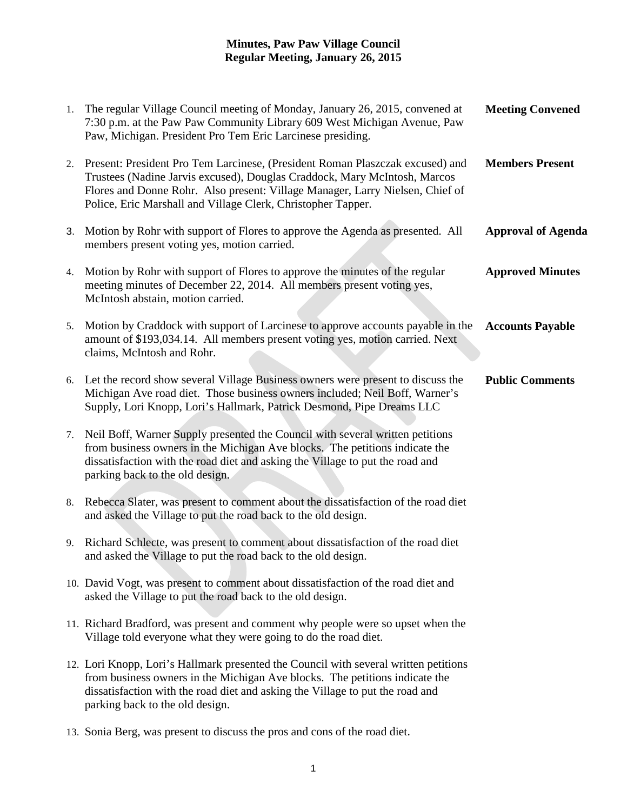| 1. | The regular Village Council meeting of Monday, January 26, 2015, convened at<br>7:30 p.m. at the Paw Paw Community Library 609 West Michigan Avenue, Paw<br>Paw, Michigan. President Pro Tem Eric Larcinese presiding.                                                                                      | <b>Meeting Convened</b>   |
|----|-------------------------------------------------------------------------------------------------------------------------------------------------------------------------------------------------------------------------------------------------------------------------------------------------------------|---------------------------|
| 2. | Present: President Pro Tem Larcinese, (President Roman Plaszczak excused) and<br>Trustees (Nadine Jarvis excused), Douglas Craddock, Mary McIntosh, Marcos<br>Flores and Donne Rohr. Also present: Village Manager, Larry Nielsen, Chief of<br>Police, Eric Marshall and Village Clerk, Christopher Tapper. | <b>Members Present</b>    |
|    | 3. Motion by Rohr with support of Flores to approve the Agenda as presented. All<br>members present voting yes, motion carried.                                                                                                                                                                             | <b>Approval of Agenda</b> |
| 4. | Motion by Rohr with support of Flores to approve the minutes of the regular<br>meeting minutes of December 22, 2014. All members present voting yes,<br>McIntosh abstain, motion carried.                                                                                                                   | <b>Approved Minutes</b>   |
| 5. | Motion by Craddock with support of Larcinese to approve accounts payable in the<br>amount of \$193,034.14. All members present voting yes, motion carried. Next<br>claims, McIntosh and Rohr.                                                                                                               | <b>Accounts Payable</b>   |
|    | 6. Let the record show several Village Business owners were present to discuss the<br>Michigan Ave road diet. Those business owners included; Neil Boff, Warner's<br>Supply, Lori Knopp, Lori's Hallmark, Patrick Desmond, Pipe Dreams LLC                                                                  | <b>Public Comments</b>    |
| 7. | Neil Boff, Warner Supply presented the Council with several written petitions<br>from business owners in the Michigan Ave blocks. The petitions indicate the<br>dissatisfaction with the road diet and asking the Village to put the road and<br>parking back to the old design.                            |                           |
|    | 8. Rebecca Slater, was present to comment about the dissatisfaction of the road diet<br>and asked the Village to put the road back to the old design.                                                                                                                                                       |                           |
| 9. | Richard Schlecte, was present to comment about dissatisfaction of the road diet<br>and asked the Village to put the road back to the old design.                                                                                                                                                            |                           |
|    | 10. David Vogt, was present to comment about dissatisfaction of the road diet and<br>asked the Village to put the road back to the old design.                                                                                                                                                              |                           |
|    | 11. Richard Bradford, was present and comment why people were so upset when the<br>Village told everyone what they were going to do the road diet.                                                                                                                                                          |                           |
|    | 12. Lori Knopp, Lori's Hallmark presented the Council with several written petitions<br>from business owners in the Michigan Ave blocks. The petitions indicate the<br>dissatisfaction with the road diet and asking the Village to put the road and<br>parking back to the old design.                     |                           |
|    | 13. Sonia Berg, was present to discuss the pros and cons of the road diet.                                                                                                                                                                                                                                  |                           |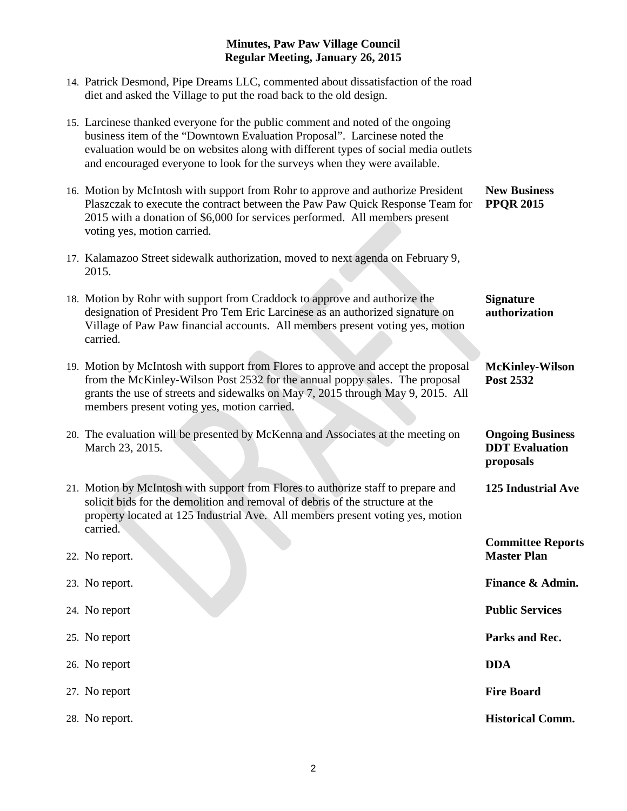| 14. Patrick Desmond, Pipe Dreams LLC, commented about dissatisfaction of the road<br>diet and asked the Village to put the road back to the old design.                                                                                                                                                                       |                                                               |
|-------------------------------------------------------------------------------------------------------------------------------------------------------------------------------------------------------------------------------------------------------------------------------------------------------------------------------|---------------------------------------------------------------|
| 15. Larcinese thanked everyone for the public comment and noted of the ongoing<br>business item of the "Downtown Evaluation Proposal". Larcinese noted the<br>evaluation would be on websites along with different types of social media outlets<br>and encouraged everyone to look for the surveys when they were available. |                                                               |
| 16. Motion by McIntosh with support from Rohr to approve and authorize President<br>Plaszczak to execute the contract between the Paw Paw Quick Response Team for<br>2015 with a donation of \$6,000 for services performed. All members present<br>voting yes, motion carried.                                               | <b>New Business</b><br><b>PPQR 2015</b>                       |
| 17. Kalamazoo Street sidewalk authorization, moved to next agenda on February 9,<br>2015.                                                                                                                                                                                                                                     |                                                               |
| 18. Motion by Rohr with support from Craddock to approve and authorize the<br>designation of President Pro Tem Eric Larcinese as an authorized signature on<br>Village of Paw Paw financial accounts. All members present voting yes, motion<br>carried.                                                                      | <b>Signature</b><br>authorization                             |
| 19. Motion by McIntosh with support from Flores to approve and accept the proposal<br>from the McKinley-Wilson Post 2532 for the annual poppy sales. The proposal<br>grants the use of streets and sidewalks on May 7, 2015 through May 9, 2015. All<br>members present voting yes, motion carried.                           | <b>McKinley-Wilson</b><br>Post 2532                           |
| 20. The evaluation will be presented by McKenna and Associates at the meeting on<br>March 23, 2015.                                                                                                                                                                                                                           | <b>Ongoing Business</b><br><b>DDT</b> Evaluation<br>proposals |
| 21. Motion by McIntosh with support from Flores to authorize staff to prepare and<br>solicit bids for the demolition and removal of debris of the structure at the<br>property located at 125 Industrial Ave. All members present voting yes, motion<br>carried.                                                              | 125 Industrial Ave                                            |
| 22. No report.                                                                                                                                                                                                                                                                                                                | <b>Committee Reports</b><br><b>Master Plan</b>                |
| 23. No report.                                                                                                                                                                                                                                                                                                                | Finance & Admin.                                              |
| 24. No report                                                                                                                                                                                                                                                                                                                 | <b>Public Services</b>                                        |
| 25. No report                                                                                                                                                                                                                                                                                                                 | Parks and Rec.                                                |
| 26. No report                                                                                                                                                                                                                                                                                                                 | <b>DDA</b>                                                    |
| 27. No report                                                                                                                                                                                                                                                                                                                 | <b>Fire Board</b>                                             |
| 28. No report.                                                                                                                                                                                                                                                                                                                | <b>Historical Comm.</b>                                       |
|                                                                                                                                                                                                                                                                                                                               |                                                               |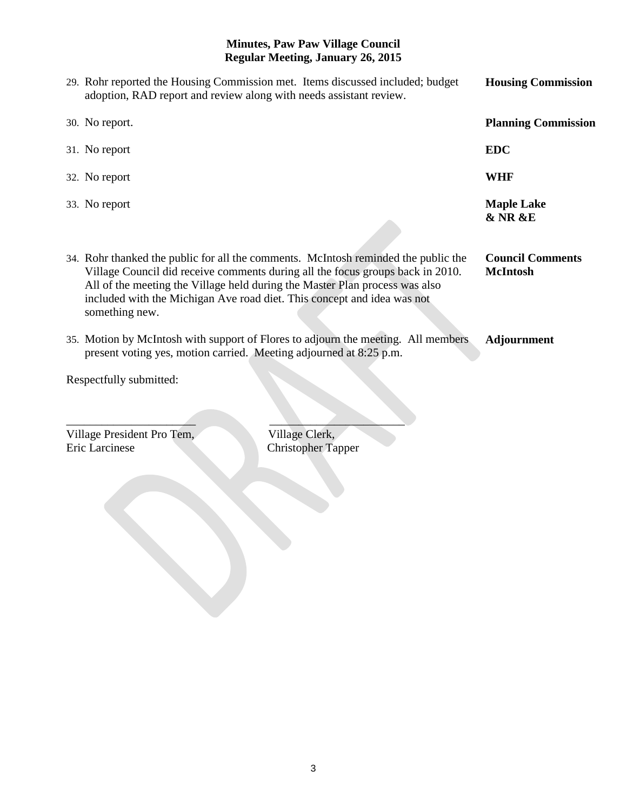| 29. Rohr reported the Housing Commission met. Items discussed included; budget<br>adoption, RAD report and review along with needs assistant review.                                                                                                                                                                                             | <b>Housing Commission</b>                   |
|--------------------------------------------------------------------------------------------------------------------------------------------------------------------------------------------------------------------------------------------------------------------------------------------------------------------------------------------------|---------------------------------------------|
| 30. No report.                                                                                                                                                                                                                                                                                                                                   | <b>Planning Commission</b>                  |
| 31. No report                                                                                                                                                                                                                                                                                                                                    | <b>EDC</b>                                  |
| 32. No report                                                                                                                                                                                                                                                                                                                                    | <b>WHF</b>                                  |
| 33. No report                                                                                                                                                                                                                                                                                                                                    | <b>Maple Lake</b><br><b>&amp; NR &amp;E</b> |
| 34. Rohr thanked the public for all the comments. McIntosh reminded the public the<br>Village Council did receive comments during all the focus groups back in 2010.<br>All of the meeting the Village held during the Master Plan process was also<br>included with the Michigan Ave road diet. This concept and idea was not<br>something new. | <b>Council Comments</b><br><b>McIntosh</b>  |
| 35. Motion by McIntosh with support of Flores to adjourn the meeting. All members<br>present voting yes, motion carried. Meeting adjourned at 8:25 p.m.                                                                                                                                                                                          | <b>Adjournment</b>                          |

Respectfully submitted:

 $\overline{\phantom{a}}$  , and the set of the set of the set of the set of the set of the set of the set of the set of the set of the set of the set of the set of the set of the set of the set of the set of the set of the set of the s Village President Pro Tem,<br>Eric Larcinese Eric Larcinese Christopher Tapper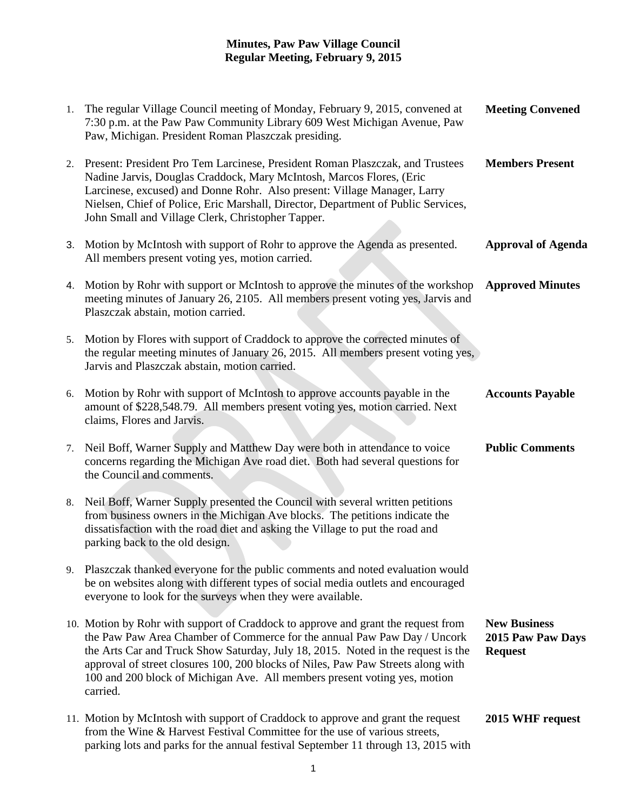## **Minutes, Paw Paw Village Council Regular Meeting, February 9, 2015**

| 1. | The regular Village Council meeting of Monday, February 9, 2015, convened at<br>7:30 p.m. at the Paw Paw Community Library 609 West Michigan Avenue, Paw<br>Paw, Michigan. President Roman Plaszczak presiding.                                                                                                                                                                                                                | <b>Meeting Convened</b>                                    |
|----|--------------------------------------------------------------------------------------------------------------------------------------------------------------------------------------------------------------------------------------------------------------------------------------------------------------------------------------------------------------------------------------------------------------------------------|------------------------------------------------------------|
| 2. | Present: President Pro Tem Larcinese, President Roman Plaszczak, and Trustees<br>Nadine Jarvis, Douglas Craddock, Mary McIntosh, Marcos Flores, (Eric<br>Larcinese, excused) and Donne Rohr. Also present: Village Manager, Larry<br>Nielsen, Chief of Police, Eric Marshall, Director, Department of Public Services,<br>John Small and Village Clerk, Christopher Tapper.                                                    | <b>Members Present</b>                                     |
|    | 3. Motion by McIntosh with support of Rohr to approve the Agenda as presented.<br>All members present voting yes, motion carried.                                                                                                                                                                                                                                                                                              | <b>Approval of Agenda</b>                                  |
|    | 4. Motion by Rohr with support or McIntosh to approve the minutes of the workshop<br>meeting minutes of January 26, 2105. All members present voting yes, Jarvis and<br>Plaszczak abstain, motion carried.                                                                                                                                                                                                                     | <b>Approved Minutes</b>                                    |
| 5. | Motion by Flores with support of Craddock to approve the corrected minutes of<br>the regular meeting minutes of January 26, 2015. All members present voting yes,<br>Jarvis and Plaszczak abstain, motion carried.                                                                                                                                                                                                             |                                                            |
| 6. | Motion by Rohr with support of McIntosh to approve accounts payable in the<br>amount of \$228,548.79. All members present voting yes, motion carried. Next<br>claims, Flores and Jarvis.                                                                                                                                                                                                                                       | <b>Accounts Payable</b>                                    |
| 7. | Neil Boff, Warner Supply and Matthew Day were both in attendance to voice<br>concerns regarding the Michigan Ave road diet. Both had several questions for<br>the Council and comments.                                                                                                                                                                                                                                        | <b>Public Comments</b>                                     |
| 8. | Neil Boff, Warner Supply presented the Council with several written petitions<br>from business owners in the Michigan Ave blocks. The petitions indicate the<br>dissatisfaction with the road diet and asking the Village to put the road and<br>parking back to the old design.                                                                                                                                               |                                                            |
| 9. | Plaszczak thanked everyone for the public comments and noted evaluation would<br>be on websites along with different types of social media outlets and encouraged<br>everyone to look for the surveys when they were available.                                                                                                                                                                                                |                                                            |
|    | 10. Motion by Rohr with support of Craddock to approve and grant the request from<br>the Paw Paw Area Chamber of Commerce for the annual Paw Paw Day / Uncork<br>the Arts Car and Truck Show Saturday, July 18, 2015. Noted in the request is the<br>approval of street closures 100, 200 blocks of Niles, Paw Paw Streets along with<br>100 and 200 block of Michigan Ave. All members present voting yes, motion<br>carried. | <b>New Business</b><br>2015 Paw Paw Days<br><b>Request</b> |
|    | 11. Motion by McIntosh with support of Craddock to approve and grant the request<br>from the Wine & Harvest Festival Committee for the use of various streets,<br>parking lots and parks for the annual festival September 11 through 13, 2015 with                                                                                                                                                                            | 2015 WHF request                                           |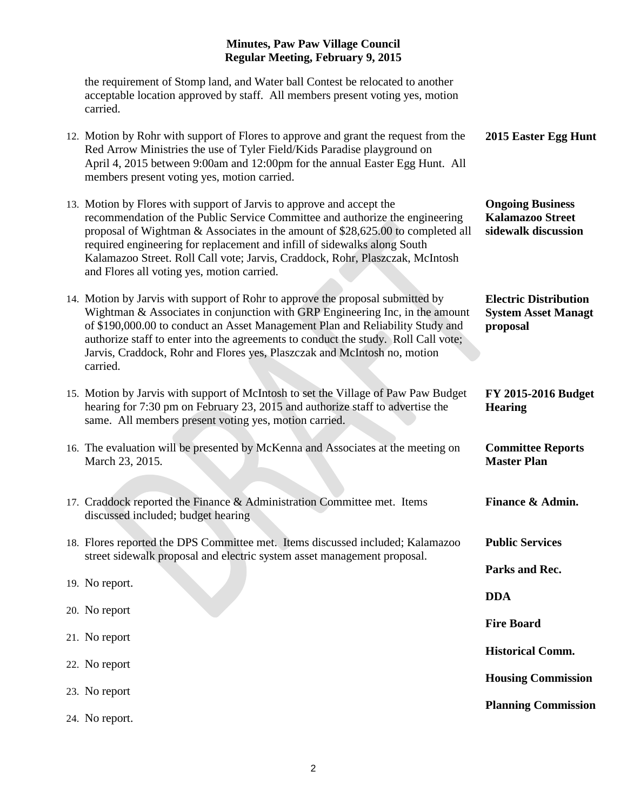## **Minutes, Paw Paw Village Council Regular Meeting, February 9, 2015**

| the requirement of Stomp land, and Water ball Contest be relocated to another<br>acceptable location approved by staff. All members present voting yes, motion<br>carried.                                                                                                                                                                                                                                                                          |                                                                           |
|-----------------------------------------------------------------------------------------------------------------------------------------------------------------------------------------------------------------------------------------------------------------------------------------------------------------------------------------------------------------------------------------------------------------------------------------------------|---------------------------------------------------------------------------|
| 12. Motion by Rohr with support of Flores to approve and grant the request from the<br>Red Arrow Ministries the use of Tyler Field/Kids Paradise playground on<br>April 4, 2015 between 9:00am and 12:00pm for the annual Easter Egg Hunt. All<br>members present voting yes, motion carried.                                                                                                                                                       | 2015 Easter Egg Hunt                                                      |
| 13. Motion by Flores with support of Jarvis to approve and accept the<br>recommendation of the Public Service Committee and authorize the engineering<br>proposal of Wightman & Associates in the amount of \$28,625.00 to completed all<br>required engineering for replacement and infill of sidewalks along South<br>Kalamazoo Street. Roll Call vote; Jarvis, Craddock, Rohr, Plaszczak, McIntosh<br>and Flores all voting yes, motion carried. | <b>Ongoing Business</b><br><b>Kalamazoo Street</b><br>sidewalk discussion |
| 14. Motion by Jarvis with support of Rohr to approve the proposal submitted by<br>Wightman & Associates in conjunction with GRP Engineering Inc, in the amount<br>of \$190,000.00 to conduct an Asset Management Plan and Reliability Study and<br>authorize staff to enter into the agreements to conduct the study. Roll Call vote;<br>Jarvis, Craddock, Rohr and Flores yes, Plaszczak and McIntosh no, motion<br>carried.                       | <b>Electric Distribution</b><br><b>System Asset Managt</b><br>proposal    |
| 15. Motion by Jarvis with support of McIntosh to set the Village of Paw Paw Budget<br>hearing for 7:30 pm on February 23, 2015 and authorize staff to advertise the<br>same. All members present voting yes, motion carried.                                                                                                                                                                                                                        | <b>FY 2015-2016 Budget</b><br><b>Hearing</b>                              |
| 16. The evaluation will be presented by McKenna and Associates at the meeting on<br>March 23, 2015.                                                                                                                                                                                                                                                                                                                                                 | <b>Committee Reports</b><br><b>Master Plan</b>                            |
| 17. Craddock reported the Finance & Administration Committee met. Items<br>discussed included; budget hearing                                                                                                                                                                                                                                                                                                                                       | Finance & Admin.                                                          |
| 18. Flores reported the DPS Committee met. Items discussed included; Kalamazoo<br>street sidewalk proposal and electric system asset management proposal.                                                                                                                                                                                                                                                                                           | <b>Public Services</b>                                                    |
| 19. No report.                                                                                                                                                                                                                                                                                                                                                                                                                                      | Parks and Rec.                                                            |
| 20. No report                                                                                                                                                                                                                                                                                                                                                                                                                                       | <b>DDA</b>                                                                |
| 21. No report                                                                                                                                                                                                                                                                                                                                                                                                                                       | <b>Fire Board</b>                                                         |
| 22. No report                                                                                                                                                                                                                                                                                                                                                                                                                                       | <b>Historical Comm.</b>                                                   |
| 23. No report                                                                                                                                                                                                                                                                                                                                                                                                                                       | <b>Housing Commission</b>                                                 |
| 24. No report.                                                                                                                                                                                                                                                                                                                                                                                                                                      | <b>Planning Commission</b>                                                |
|                                                                                                                                                                                                                                                                                                                                                                                                                                                     |                                                                           |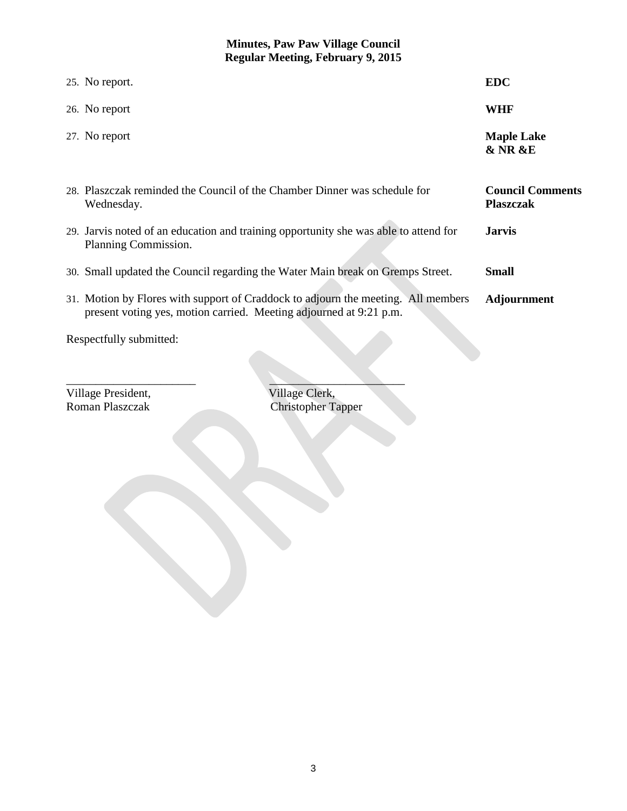## **Minutes, Paw Paw Village Council Regular Meeting, February 9, 2015**

| 25. No report.                                                                                                                                          | <b>EDC</b>                                  |
|---------------------------------------------------------------------------------------------------------------------------------------------------------|---------------------------------------------|
| 26. No report                                                                                                                                           | <b>WHF</b>                                  |
| 27. No report                                                                                                                                           | <b>Maple Lake</b><br><b>&amp; NR &amp;E</b> |
| 28. Plaszczak reminded the Council of the Chamber Dinner was schedule for<br>Wednesday.                                                                 | <b>Council Comments</b><br><b>Plaszczak</b> |
| 29. Jarvis noted of an education and training opportunity she was able to attend for<br>Planning Commission.                                            | <b>Jarvis</b>                               |
| 30. Small updated the Council regarding the Water Main break on Gremps Street.                                                                          | <b>Small</b>                                |
| 31. Motion by Flores with support of Craddock to adjourn the meeting. All members<br>present voting yes, motion carried. Meeting adjourned at 9:21 p.m. | <b>Adjournment</b>                          |

Respectfully submitted:

Village President,<br>Roman Plaszczak

\_\_\_\_\_\_\_\_\_\_\_\_\_\_\_\_\_\_\_\_\_\_ \_\_\_\_\_\_\_\_\_\_\_\_\_\_\_\_\_\_\_\_\_\_\_ Roman Plaszczak Christopher Tapper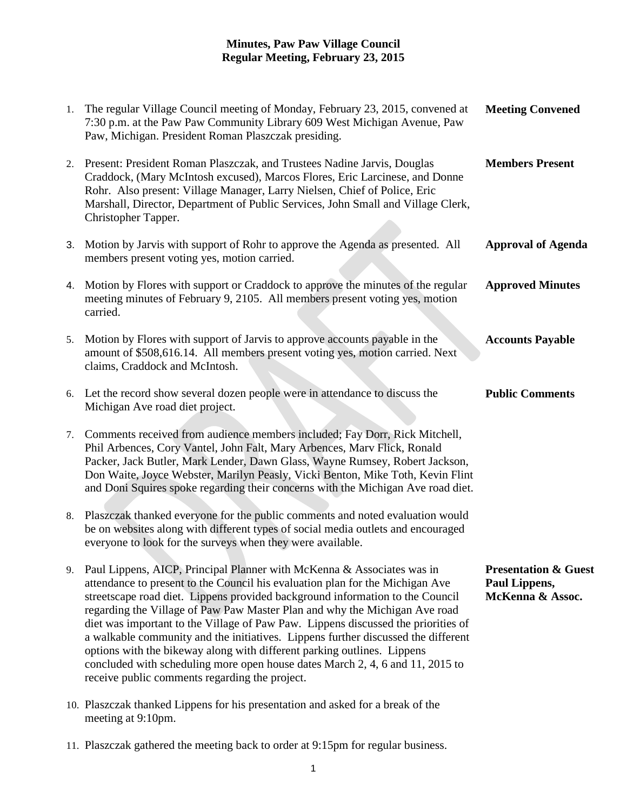## **Minutes, Paw Paw Village Council Regular Meeting, February 23, 2015**

| 1. | The regular Village Council meeting of Monday, February 23, 2015, convened at<br>7:30 p.m. at the Paw Paw Community Library 609 West Michigan Avenue, Paw<br>Paw, Michigan. President Roman Plaszczak presiding.                                                                                                                                                                                                                                                                                                                                                                                                                                                                                               | <b>Meeting Convened</b>                                              |
|----|----------------------------------------------------------------------------------------------------------------------------------------------------------------------------------------------------------------------------------------------------------------------------------------------------------------------------------------------------------------------------------------------------------------------------------------------------------------------------------------------------------------------------------------------------------------------------------------------------------------------------------------------------------------------------------------------------------------|----------------------------------------------------------------------|
| 2. | Present: President Roman Plaszczak, and Trustees Nadine Jarvis, Douglas<br>Craddock, (Mary McIntosh excused), Marcos Flores, Eric Larcinese, and Donne<br>Rohr. Also present: Village Manager, Larry Nielsen, Chief of Police, Eric<br>Marshall, Director, Department of Public Services, John Small and Village Clerk,<br>Christopher Tapper.                                                                                                                                                                                                                                                                                                                                                                 | <b>Members Present</b>                                               |
|    | 3. Motion by Jarvis with support of Rohr to approve the Agenda as presented. All<br>members present voting yes, motion carried.                                                                                                                                                                                                                                                                                                                                                                                                                                                                                                                                                                                | <b>Approval of Agenda</b>                                            |
|    | 4. Motion by Flores with support or Craddock to approve the minutes of the regular<br>meeting minutes of February 9, 2105. All members present voting yes, motion<br>carried.                                                                                                                                                                                                                                                                                                                                                                                                                                                                                                                                  | <b>Approved Minutes</b>                                              |
| 5. | Motion by Flores with support of Jarvis to approve accounts payable in the<br>amount of \$508,616.14. All members present voting yes, motion carried. Next<br>claims, Craddock and McIntosh.                                                                                                                                                                                                                                                                                                                                                                                                                                                                                                                   | <b>Accounts Payable</b>                                              |
| 6. | Let the record show several dozen people were in attendance to discuss the<br>Michigan Ave road diet project.                                                                                                                                                                                                                                                                                                                                                                                                                                                                                                                                                                                                  | <b>Public Comments</b>                                               |
| 7. | Comments received from audience members included; Fay Dorr, Rick Mitchell,<br>Phil Arbences, Cory Vantel, John Falt, Mary Arbences, Mary Flick, Ronald<br>Packer, Jack Butler, Mark Lender, Dawn Glass, Wayne Rumsey, Robert Jackson,<br>Don Waite, Joyce Webster, Marilyn Peasly, Vicki Benton, Mike Toth, Kevin Flint<br>and Doni Squires spoke regarding their concerns with the Michigan Ave road diet.                                                                                                                                                                                                                                                                                                    |                                                                      |
| 8. | Plaszczak thanked everyone for the public comments and noted evaluation would<br>be on websites along with different types of social media outlets and encouraged<br>everyone to look for the surveys when they were available.                                                                                                                                                                                                                                                                                                                                                                                                                                                                                |                                                                      |
| 9. | Paul Lippens, AICP, Principal Planner with McKenna & Associates was in<br>attendance to present to the Council his evaluation plan for the Michigan Ave<br>streetscape road diet. Lippens provided background information to the Council<br>regarding the Village of Paw Paw Master Plan and why the Michigan Ave road<br>diet was important to the Village of Paw Paw. Lippens discussed the priorities of<br>a walkable community and the initiatives. Lippens further discussed the different<br>options with the bikeway along with different parking outlines. Lippens<br>concluded with scheduling more open house dates March 2, 4, 6 and 11, 2015 to<br>receive public comments regarding the project. | <b>Presentation &amp; Guest</b><br>Paul Lippens,<br>McKenna & Assoc. |
|    | 10. Plaszczak thanked Lippens for his presentation and asked for a break of the<br>meeting at 9:10pm.                                                                                                                                                                                                                                                                                                                                                                                                                                                                                                                                                                                                          |                                                                      |

11. Plaszczak gathered the meeting back to order at 9:15pm for regular business.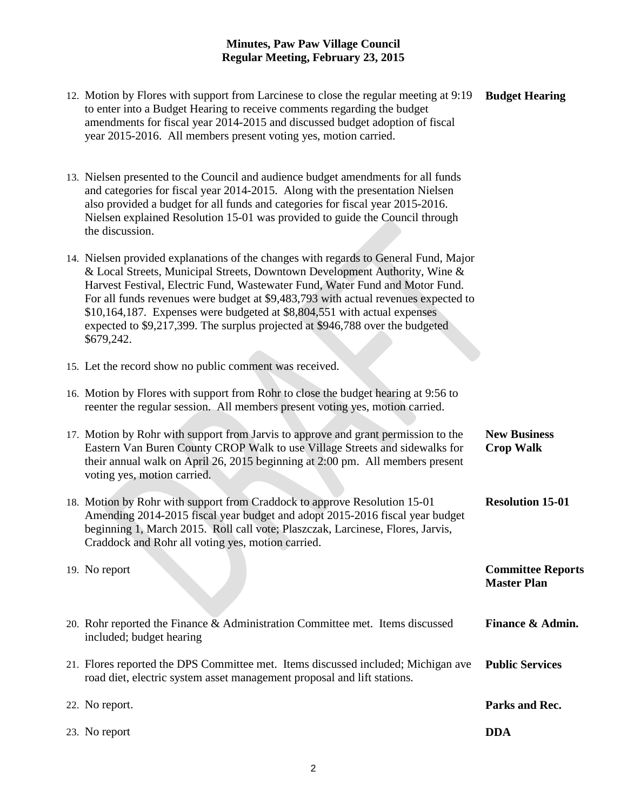## **Minutes, Paw Paw Village Council Regular Meeting, February 23, 2015**

| 12. Motion by Flores with support from Larcinese to close the regular meeting at 9:19<br>to enter into a Budget Hearing to receive comments regarding the budget<br>amendments for fiscal year 2014-2015 and discussed budget adoption of fiscal<br>year 2015-2016. All members present voting yes, motion carried.                                                                                                                                                                                                 | <b>Budget Hearing</b>                          |
|---------------------------------------------------------------------------------------------------------------------------------------------------------------------------------------------------------------------------------------------------------------------------------------------------------------------------------------------------------------------------------------------------------------------------------------------------------------------------------------------------------------------|------------------------------------------------|
| 13. Nielsen presented to the Council and audience budget amendments for all funds<br>and categories for fiscal year 2014-2015. Along with the presentation Nielsen<br>also provided a budget for all funds and categories for fiscal year 2015-2016.<br>Nielsen explained Resolution 15-01 was provided to guide the Council through<br>the discussion.                                                                                                                                                             |                                                |
| 14. Nielsen provided explanations of the changes with regards to General Fund, Major<br>& Local Streets, Municipal Streets, Downtown Development Authority, Wine &<br>Harvest Festival, Electric Fund, Wastewater Fund, Water Fund and Motor Fund.<br>For all funds revenues were budget at \$9,483,793 with actual revenues expected to<br>\$10,164,187. Expenses were budgeted at \$8,804,551 with actual expenses<br>expected to \$9,217,399. The surplus projected at \$946,788 over the budgeted<br>\$679,242. |                                                |
| 15. Let the record show no public comment was received.                                                                                                                                                                                                                                                                                                                                                                                                                                                             |                                                |
| 16. Motion by Flores with support from Rohr to close the budget hearing at 9:56 to<br>reenter the regular session. All members present voting yes, motion carried.                                                                                                                                                                                                                                                                                                                                                  |                                                |
| 17. Motion by Rohr with support from Jarvis to approve and grant permission to the<br>Eastern Van Buren County CROP Walk to use Village Streets and sidewalks for<br>their annual walk on April 26, 2015 beginning at 2:00 pm. All members present<br>voting yes, motion carried.                                                                                                                                                                                                                                   | <b>New Business</b><br><b>Crop Walk</b>        |
| 18. Motion by Rohr with support from Craddock to approve Resolution 15-01<br>Amending 2014-2015 fiscal year budget and adopt 2015-2016 fiscal year budget<br>beginning 1, March 2015. Roll call vote; Plaszczak, Larcinese, Flores, Jarvis,<br>Craddock and Rohr all voting yes, motion carried.                                                                                                                                                                                                                    | <b>Resolution 15-01</b>                        |
| 19. No report                                                                                                                                                                                                                                                                                                                                                                                                                                                                                                       | <b>Committee Reports</b><br><b>Master Plan</b> |
| 20. Rohr reported the Finance & Administration Committee met. Items discussed<br>included; budget hearing                                                                                                                                                                                                                                                                                                                                                                                                           | Finance & Admin.                               |
| 21. Flores reported the DPS Committee met. Items discussed included; Michigan ave<br>road diet, electric system asset management proposal and lift stations.                                                                                                                                                                                                                                                                                                                                                        | <b>Public Services</b>                         |
| 22. No report.                                                                                                                                                                                                                                                                                                                                                                                                                                                                                                      | Parks and Rec.                                 |
| 23. No report                                                                                                                                                                                                                                                                                                                                                                                                                                                                                                       | <b>DDA</b>                                     |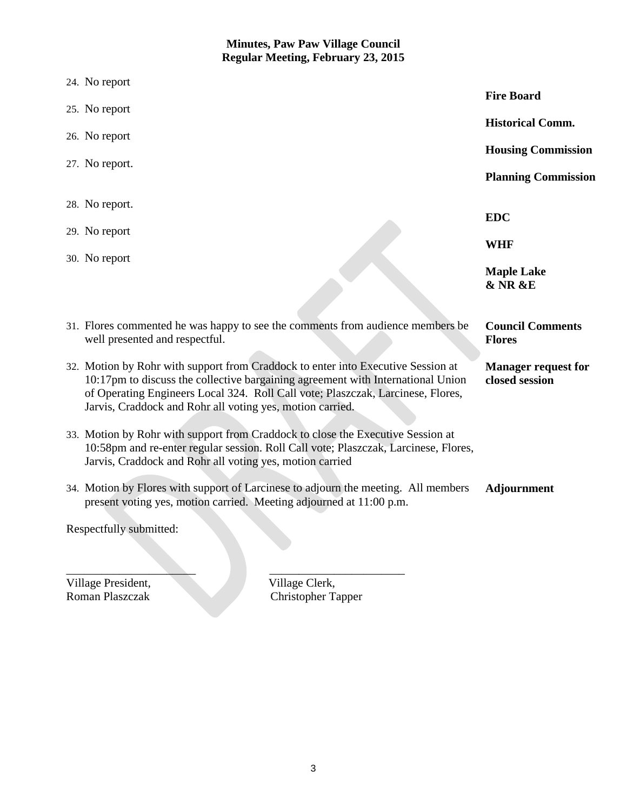#### **Minutes, Paw Paw Village Council Regular Meeting, February 23, 2015**

24. No report 25. No report 26. No report 27. No report. 28. No report. 29. No report 30. No report 31. Flores commented he was happy to see the comments from audience members be well presented and respectful. 32. Motion by Rohr with support from Craddock to enter into Executive Session at 10:17pm to discuss the collective bargaining agreement with International Union of Operating Engineers Local 324. Roll Call vote; Plaszczak, Larcinese, Flores, Jarvis, Craddock and Rohr all voting yes, motion carried. 33. Motion by Rohr with support from Craddock to close the Executive Session at 10:58pm and re-enter regular session. Roll Call vote; Plaszczak, Larcinese, Flores, Jarvis, Craddock and Rohr all voting yes, motion carried 34. Motion by Flores with support of Larcinese to adjourn the meeting. All members present voting yes, motion carried. Meeting adjourned at 11:00 p.m. **Fire Board Historical Comm. Housing Commission Planning Commission EDC WHF Maple Lake & NR &E Council Comments Flores Manager request for closed session Adjournment**

Respectfully submitted:

Village President, Village Clerk,

\_\_\_\_\_\_\_\_\_\_\_\_\_\_\_\_\_\_\_\_\_\_ \_\_\_\_\_\_\_\_\_\_\_\_\_\_\_\_\_\_\_\_\_\_\_ Roman Plaszczak Christopher Tapper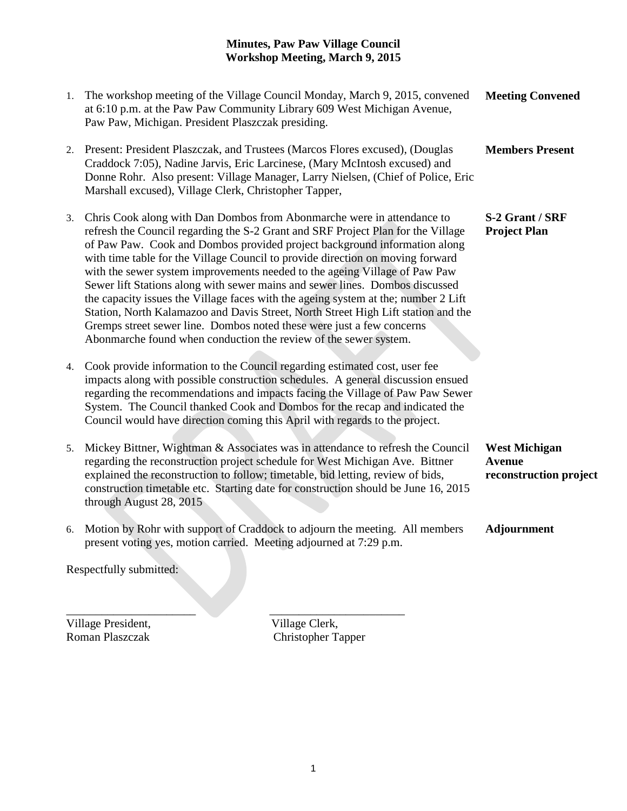#### **Minutes, Paw Paw Village Council Workshop Meeting, March 9, 2015**

1. The workshop meeting of the Village Council Monday, March 9, 2015, convened at 6:10 p.m. at the Paw Paw Community Library 609 West Michigan Avenue, Paw Paw, Michigan. President Plaszczak presiding. 2. Present: President Plaszczak, and Trustees (Marcos Flores excused), (Douglas Craddock 7:05), Nadine Jarvis, Eric Larcinese, (Mary McIntosh excused) and Donne Rohr. Also present: Village Manager, Larry Nielsen, (Chief of Police, Eric Marshall excused), Village Clerk, Christopher Tapper, 3. Chris Cook along with Dan Dombos from Abonmarche were in attendance to refresh the Council regarding the S-2 Grant and SRF Project Plan for the Village of Paw Paw. Cook and Dombos provided project background information along with time table for the Village Council to provide direction on moving forward with the sewer system improvements needed to the ageing Village of Paw Paw Sewer lift Stations along with sewer mains and sewer lines. Dombos discussed the capacity issues the Village faces with the ageing system at the; number 2 Lift Station, North Kalamazoo and Davis Street, North Street High Lift station and the Gremps street sewer line. Dombos noted these were just a few concerns Abonmarche found when conduction the review of the sewer system. 4. Cook provide information to the Council regarding estimated cost, user fee impacts along with possible construction schedules. A general discussion ensued regarding the recommendations and impacts facing the Village of Paw Paw Sewer System. The Council thanked Cook and Dombos for the recap and indicated the Council would have direction coming this April with regards to the project. 5. Mickey Bittner, Wightman & Associates was in attendance to refresh the Council regarding the reconstruction project schedule for West Michigan Ave. Bittner explained the reconstruction to follow; timetable, bid letting, review of bids, construction timetable etc. Starting date for construction should be June 16, 2015 through August 28, 2015 6. Motion by Rohr with support of Craddock to adjourn the meeting. All members present voting yes, motion carried. Meeting adjourned at 7:29 p.m. **Meeting Convened Members Present S-2 Grant / SRF Project Plan West Michigan Avenue reconstruction project Adjournment**

Respectfully submitted:

Village President, Village Clerk,

\_\_\_\_\_\_\_\_\_\_\_\_\_\_\_\_\_\_\_\_\_\_ \_\_\_\_\_\_\_\_\_\_\_\_\_\_\_\_\_\_\_\_\_\_\_ Roman Plaszczak Christopher Tapper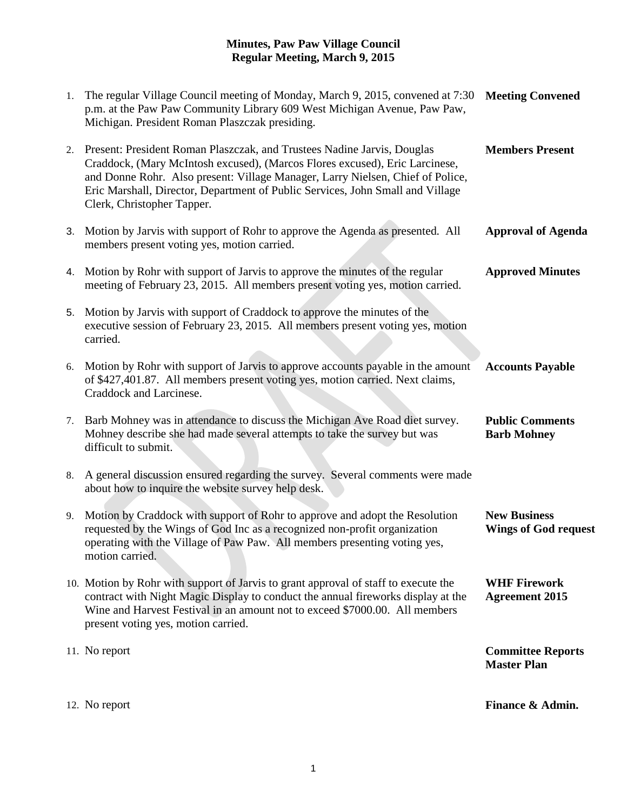## **Minutes, Paw Paw Village Council Regular Meeting, March 9, 2015**

| 1. | The regular Village Council meeting of Monday, March 9, 2015, convened at 7:30<br>p.m. at the Paw Paw Community Library 609 West Michigan Avenue, Paw Paw,<br>Michigan. President Roman Plaszczak presiding.                                                                                                                                             | <b>Meeting Convened</b>                            |
|----|----------------------------------------------------------------------------------------------------------------------------------------------------------------------------------------------------------------------------------------------------------------------------------------------------------------------------------------------------------|----------------------------------------------------|
| 2. | Present: President Roman Plaszczak, and Trustees Nadine Jarvis, Douglas<br>Craddock, (Mary McIntosh excused), (Marcos Flores excused), Eric Larcinese,<br>and Donne Rohr. Also present: Village Manager, Larry Nielsen, Chief of Police,<br>Eric Marshall, Director, Department of Public Services, John Small and Village<br>Clerk, Christopher Tapper. | <b>Members Present</b>                             |
| 3. | Motion by Jarvis with support of Rohr to approve the Agenda as presented. All<br>members present voting yes, motion carried.                                                                                                                                                                                                                             | <b>Approval of Agenda</b>                          |
|    | 4. Motion by Rohr with support of Jarvis to approve the minutes of the regular<br>meeting of February 23, 2015. All members present voting yes, motion carried.                                                                                                                                                                                          | <b>Approved Minutes</b>                            |
| 5. | Motion by Jarvis with support of Craddock to approve the minutes of the<br>executive session of February 23, 2015. All members present voting yes, motion<br>carried.                                                                                                                                                                                    |                                                    |
| 6. | Motion by Rohr with support of Jarvis to approve accounts payable in the amount<br>of \$427,401.87. All members present voting yes, motion carried. Next claims,<br>Craddock and Larcinese.                                                                                                                                                              | <b>Accounts Payable</b>                            |
| 7. | Barb Mohney was in attendance to discuss the Michigan Ave Road diet survey.<br>Mohney describe she had made several attempts to take the survey but was<br>difficult to submit.                                                                                                                                                                          | <b>Public Comments</b><br><b>Barb Mohney</b>       |
| 8. | A general discussion ensured regarding the survey. Several comments were made<br>about how to inquire the website survey help desk.                                                                                                                                                                                                                      |                                                    |
| 9. | Motion by Craddock with support of Rohr to approve and adopt the Resolution<br>requested by the Wings of God Inc as a recognized non-profit organization<br>operating with the Village of Paw Paw. All members presenting voting yes,<br>motion carried.                                                                                                 | <b>New Business</b><br><b>Wings of God request</b> |
|    | 10. Motion by Rohr with support of Jarvis to grant approval of staff to execute the<br>contract with Night Magic Display to conduct the annual fireworks display at the<br>Wine and Harvest Festival in an amount not to exceed \$7000.00. All members<br>present voting yes, motion carried.                                                            | <b>WHF Firework</b><br><b>Agreement 2015</b>       |
|    | 11. No report                                                                                                                                                                                                                                                                                                                                            | <b>Committee Reports</b><br><b>Master Plan</b>     |
|    | 12. No report                                                                                                                                                                                                                                                                                                                                            | Finance & Admin.                                   |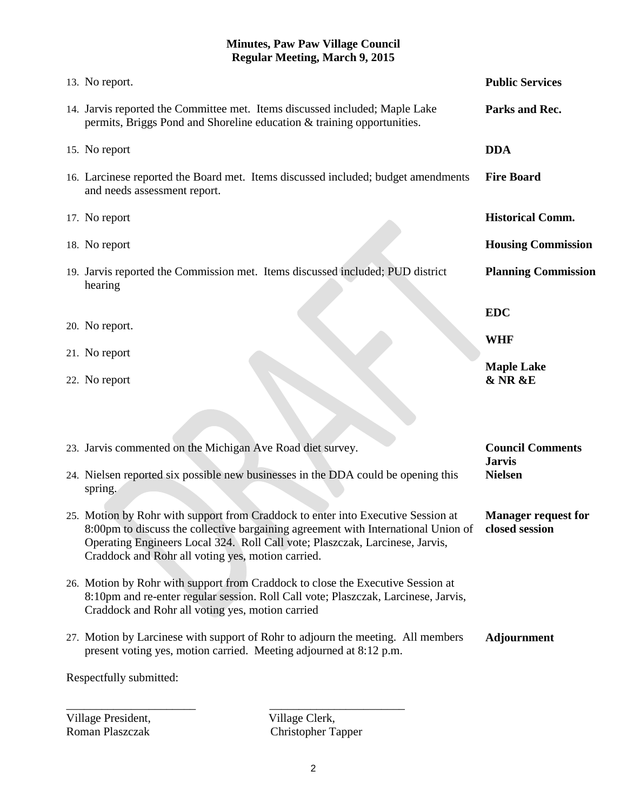## **Minutes, Paw Paw Village Council Regular Meeting, March 9, 2015**

| 13. No report.                                                                                                                                                                                                                                                                                                            | <b>Public Services</b>          |
|---------------------------------------------------------------------------------------------------------------------------------------------------------------------------------------------------------------------------------------------------------------------------------------------------------------------------|---------------------------------|
| 14. Jarvis reported the Committee met. Items discussed included; Maple Lake<br>permits, Briggs Pond and Shoreline education & training opportunities.                                                                                                                                                                     | Parks and Rec.                  |
| 15. No report                                                                                                                                                                                                                                                                                                             | <b>DDA</b>                      |
| 16. Larcinese reported the Board met. Items discussed included; budget amendments<br>and needs assessment report.                                                                                                                                                                                                         | <b>Fire Board</b>               |
| 17. No report                                                                                                                                                                                                                                                                                                             | <b>Historical Comm.</b>         |
| 18. No report                                                                                                                                                                                                                                                                                                             | <b>Housing Commission</b>       |
| 19. Jarvis reported the Commission met. Items discussed included; PUD district<br>hearing                                                                                                                                                                                                                                 | <b>Planning Commission</b>      |
|                                                                                                                                                                                                                                                                                                                           | <b>EDC</b>                      |
| 20. No report.                                                                                                                                                                                                                                                                                                            | <b>WHF</b>                      |
| 21. No report                                                                                                                                                                                                                                                                                                             | <b>Maple Lake</b>               |
| 22. No report                                                                                                                                                                                                                                                                                                             | & NR &E                         |
|                                                                                                                                                                                                                                                                                                                           |                                 |
|                                                                                                                                                                                                                                                                                                                           |                                 |
| 23. Jarvis commented on the Michigan Ave Road diet survey.                                                                                                                                                                                                                                                                | <b>Council Comments</b>         |
| 24. Nielsen reported six possible new businesses in the DDA could be opening this<br>spring.                                                                                                                                                                                                                              | <b>Jarvis</b><br><b>Nielsen</b> |
| 25. Motion by Rohr with support from Craddock to enter into Executive Session at<br>8:00pm to discuss the collective bargaining agreement with International Union of closed session<br>Operating Engineers Local 324. Roll Call vote; Plaszczak, Larcinese, Jarvis,<br>Craddock and Rohr all voting yes, motion carried. | <b>Manager request for</b>      |
| 26. Motion by Rohr with support from Craddock to close the Executive Session at<br>8:10pm and re-enter regular session. Roll Call vote; Plaszczak, Larcinese, Jarvis,<br>Craddock and Rohr all voting yes, motion carried                                                                                                 |                                 |
| 27. Motion by Larcinese with support of Rohr to adjourn the meeting. All members<br>present voting yes, motion carried. Meeting adjourned at 8:12 p.m.                                                                                                                                                                    | <b>Adjournment</b>              |
| Respectfully submitted:                                                                                                                                                                                                                                                                                                   |                                 |

Village President,<br>
Roman Plaszczak<br>
Christopher Ta

Christopher Tapper

\_\_\_\_\_\_\_\_\_\_\_\_\_\_\_\_\_\_\_\_\_\_ \_\_\_\_\_\_\_\_\_\_\_\_\_\_\_\_\_\_\_\_\_\_\_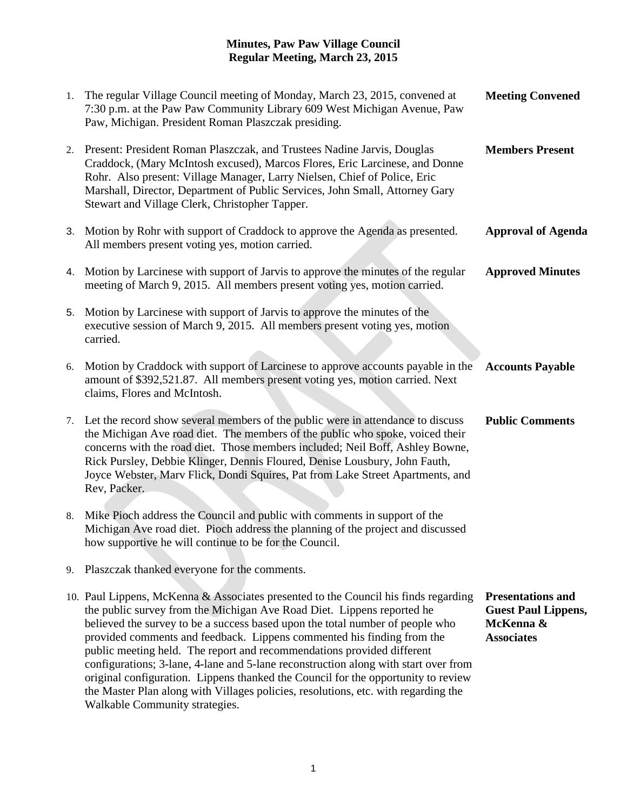| 1. | The regular Village Council meeting of Monday, March 23, 2015, convened at<br>7:30 p.m. at the Paw Paw Community Library 609 West Michigan Avenue, Paw<br>Paw, Michigan. President Roman Plaszczak presiding.                                                                                                                                                                                                                                                                                                                                                                                                                                                                                          | <b>Meeting Convened</b>                                                                  |
|----|--------------------------------------------------------------------------------------------------------------------------------------------------------------------------------------------------------------------------------------------------------------------------------------------------------------------------------------------------------------------------------------------------------------------------------------------------------------------------------------------------------------------------------------------------------------------------------------------------------------------------------------------------------------------------------------------------------|------------------------------------------------------------------------------------------|
| 2. | Present: President Roman Plaszczak, and Trustees Nadine Jarvis, Douglas<br>Craddock, (Mary McIntosh excused), Marcos Flores, Eric Larcinese, and Donne<br>Rohr. Also present: Village Manager, Larry Nielsen, Chief of Police, Eric<br>Marshall, Director, Department of Public Services, John Small, Attorney Gary<br>Stewart and Village Clerk, Christopher Tapper.                                                                                                                                                                                                                                                                                                                                  | <b>Members Present</b>                                                                   |
|    | 3. Motion by Rohr with support of Craddock to approve the Agenda as presented.<br>All members present voting yes, motion carried.                                                                                                                                                                                                                                                                                                                                                                                                                                                                                                                                                                      | <b>Approval of Agenda</b>                                                                |
|    | 4. Motion by Larcinese with support of Jarvis to approve the minutes of the regular<br>meeting of March 9, 2015. All members present voting yes, motion carried.                                                                                                                                                                                                                                                                                                                                                                                                                                                                                                                                       | <b>Approved Minutes</b>                                                                  |
| 5. | Motion by Larcinese with support of Jarvis to approve the minutes of the<br>executive session of March 9, 2015. All members present voting yes, motion<br>carried.                                                                                                                                                                                                                                                                                                                                                                                                                                                                                                                                     |                                                                                          |
| 6. | Motion by Craddock with support of Larcinese to approve accounts payable in the<br>amount of \$392,521.87. All members present voting yes, motion carried. Next<br>claims, Flores and McIntosh.                                                                                                                                                                                                                                                                                                                                                                                                                                                                                                        | <b>Accounts Payable</b>                                                                  |
|    | 7. Let the record show several members of the public were in attendance to discuss<br>the Michigan Ave road diet. The members of the public who spoke, voiced their<br>concerns with the road diet. Those members included; Neil Boff, Ashley Bowne,<br>Rick Pursley, Debbie Klinger, Dennis Floured, Denise Lousbury, John Fauth,<br>Joyce Webster, Marv Flick, Dondi Squires, Pat from Lake Street Apartments, and<br>Rev, Packer.                                                                                                                                                                                                                                                                   | <b>Public Comments</b>                                                                   |
| 8. | Mike Pioch address the Council and public with comments in support of the<br>Michigan Ave road diet. Pioch address the planning of the project and discussed<br>how supportive he will continue to be for the Council.                                                                                                                                                                                                                                                                                                                                                                                                                                                                                 |                                                                                          |
| 9. | Plaszczak thanked everyone for the comments.                                                                                                                                                                                                                                                                                                                                                                                                                                                                                                                                                                                                                                                           |                                                                                          |
|    | 10. Paul Lippens, McKenna & Associates presented to the Council his finds regarding<br>the public survey from the Michigan Ave Road Diet. Lippens reported he<br>believed the survey to be a success based upon the total number of people who<br>provided comments and feedback. Lippens commented his finding from the<br>public meeting held. The report and recommendations provided different<br>configurations; 3-lane, 4-lane and 5-lane reconstruction along with start over from<br>original configuration. Lippens thanked the Council for the opportunity to review<br>the Master Plan along with Villages policies, resolutions, etc. with regarding the<br>Walkable Community strategies. | <b>Presentations and</b><br><b>Guest Paul Lippens,</b><br>McKenna &<br><b>Associates</b> |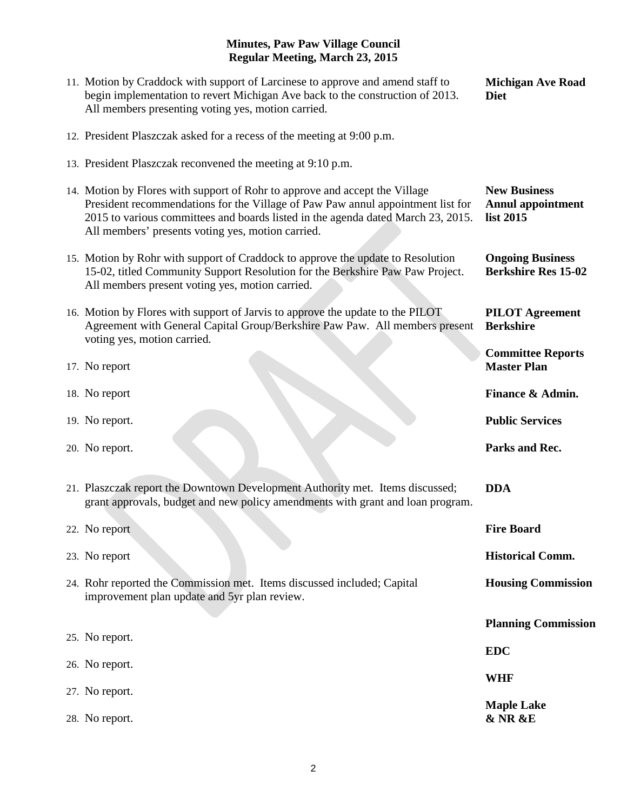| 11. Motion by Craddock with support of Larcinese to approve and amend staff to<br>begin implementation to revert Michigan Ave back to the construction of 2013.<br>All members presenting voting yes, motion carried.                                                                                   | <b>Michigan Ave Road</b><br><b>Diet</b>                      |
|---------------------------------------------------------------------------------------------------------------------------------------------------------------------------------------------------------------------------------------------------------------------------------------------------------|--------------------------------------------------------------|
| 12. President Plaszczak asked for a recess of the meeting at 9:00 p.m.                                                                                                                                                                                                                                  |                                                              |
| 13. President Plaszczak reconvened the meeting at 9:10 p.m.                                                                                                                                                                                                                                             |                                                              |
| 14. Motion by Flores with support of Rohr to approve and accept the Village<br>President recommendations for the Village of Paw Paw annul appointment list for<br>2015 to various committees and boards listed in the agenda dated March 23, 2015.<br>All members' presents voting yes, motion carried. | <b>New Business</b><br><b>Annul appointment</b><br>list 2015 |
| 15. Motion by Rohr with support of Craddock to approve the update to Resolution<br>15-02, titled Community Support Resolution for the Berkshire Paw Paw Project.<br>All members present voting yes, motion carried.                                                                                     | <b>Ongoing Business</b><br><b>Berkshire Res 15-02</b>        |
| 16. Motion by Flores with support of Jarvis to approve the update to the PILOT<br>Agreement with General Capital Group/Berkshire Paw Paw. All members present<br>voting yes, motion carried.                                                                                                            | <b>PILOT</b> Agreement<br><b>Berkshire</b>                   |
| 17. No report                                                                                                                                                                                                                                                                                           | <b>Committee Reports</b><br><b>Master Plan</b>               |
| 18. No report                                                                                                                                                                                                                                                                                           | Finance & Admin.                                             |
| 19. No report.                                                                                                                                                                                                                                                                                          | <b>Public Services</b>                                       |
| 20. No report.                                                                                                                                                                                                                                                                                          | Parks and Rec.                                               |
| 21. Plaszczak report the Downtown Development Authority met. Items discussed;<br>grant approvals, budget and new policy amendments with grant and loan program.                                                                                                                                         | <b>DDA</b>                                                   |
| 22. No report                                                                                                                                                                                                                                                                                           | <b>Fire Board</b>                                            |
| 23. No report                                                                                                                                                                                                                                                                                           | <b>Historical Comm.</b>                                      |
| 24. Rohr reported the Commission met. Items discussed included; Capital<br>improvement plan update and 5yr plan review.                                                                                                                                                                                 | <b>Housing Commission</b>                                    |
|                                                                                                                                                                                                                                                                                                         | <b>Planning Commission</b>                                   |
| 25. No report.                                                                                                                                                                                                                                                                                          | <b>EDC</b>                                                   |
| 26. No report.                                                                                                                                                                                                                                                                                          | <b>WHF</b>                                                   |
| 27. No report.                                                                                                                                                                                                                                                                                          | <b>Maple Lake</b>                                            |
| 28. No report.                                                                                                                                                                                                                                                                                          | <b>&amp; NR &amp;E</b>                                       |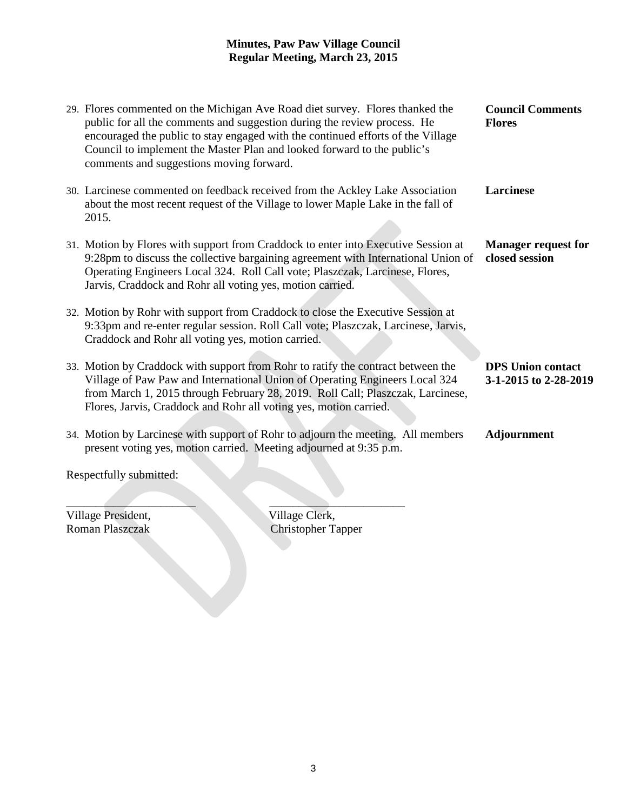| 29. Flores commented on the Michigan Ave Road diet survey. Flores thanked the<br>public for all the comments and suggestion during the review process. He<br>encouraged the public to stay engaged with the continued efforts of the Village<br>Council to implement the Master Plan and looked forward to the public's<br>comments and suggestions moving forward. | <b>Council Comments</b><br><b>Flores</b>          |
|---------------------------------------------------------------------------------------------------------------------------------------------------------------------------------------------------------------------------------------------------------------------------------------------------------------------------------------------------------------------|---------------------------------------------------|
| 30. Larcinese commented on feedback received from the Ackley Lake Association<br>about the most recent request of the Village to lower Maple Lake in the fall of<br>2015.                                                                                                                                                                                           | Larcinese                                         |
| 31. Motion by Flores with support from Craddock to enter into Executive Session at<br>9:28pm to discuss the collective bargaining agreement with International Union of<br>Operating Engineers Local 324. Roll Call vote; Plaszczak, Larcinese, Flores,<br>Jarvis, Craddock and Rohr all voting yes, motion carried.                                                | <b>Manager request for</b><br>closed session      |
| 32. Motion by Rohr with support from Craddock to close the Executive Session at<br>9:33pm and re-enter regular session. Roll Call vote; Plaszczak, Larcinese, Jarvis,<br>Craddock and Rohr all voting yes, motion carried.                                                                                                                                          |                                                   |
| 33. Motion by Craddock with support from Rohr to ratify the contract between the<br>Village of Paw Paw and International Union of Operating Engineers Local 324<br>from March 1, 2015 through February 28, 2019. Roll Call; Plaszczak, Larcinese,<br>Flores, Jarvis, Craddock and Rohr all voting yes, motion carried.                                              | <b>DPS Union contact</b><br>3-1-2015 to 2-28-2019 |
| 34. Motion by Larcinese with support of Rohr to adjourn the meeting. All members<br>present voting yes, motion carried. Meeting adjourned at 9:35 p.m.                                                                                                                                                                                                              | <b>Adjournment</b>                                |

Respectfully submitted:

Village President,<br>Roman Plaszczak

 $\qquad \qquad \qquad \qquad$ Roman Plaszczak Christopher Tapper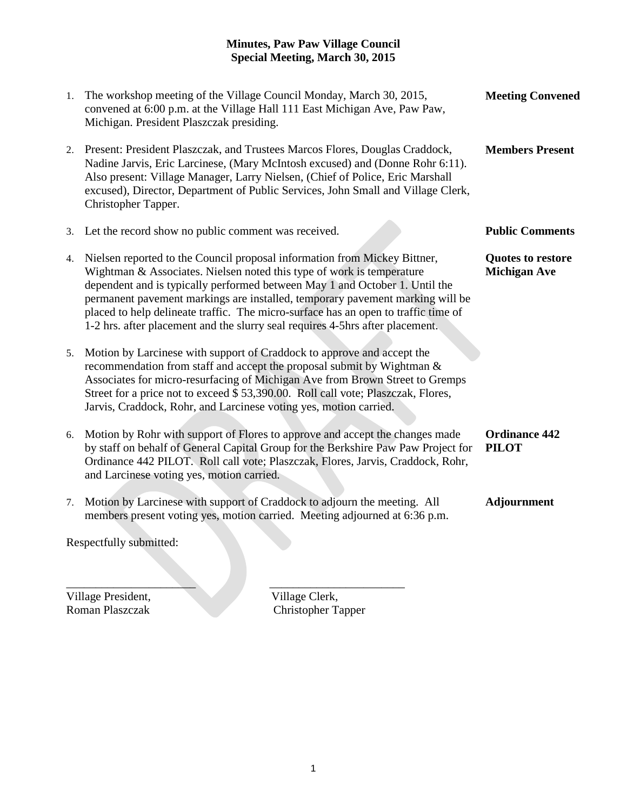# **Minutes, Paw Paw Village Council Special Meeting, March 30, 2015**

| 1. | The workshop meeting of the Village Council Monday, March 30, 2015,<br>convened at 6:00 p.m. at the Village Hall 111 East Michigan Ave, Paw Paw,<br>Michigan. President Plaszczak presiding.                                                                                                                                                                                                                                                                                              | <b>Meeting Convened</b>                         |
|----|-------------------------------------------------------------------------------------------------------------------------------------------------------------------------------------------------------------------------------------------------------------------------------------------------------------------------------------------------------------------------------------------------------------------------------------------------------------------------------------------|-------------------------------------------------|
| 2. | Present: President Plaszczak, and Trustees Marcos Flores, Douglas Craddock,<br>Nadine Jarvis, Eric Larcinese, (Mary McIntosh excused) and (Donne Rohr 6:11).<br>Also present: Village Manager, Larry Nielsen, (Chief of Police, Eric Marshall<br>excused), Director, Department of Public Services, John Small and Village Clerk,<br>Christopher Tapper.                                                                                                                                  | <b>Members Present</b>                          |
| 3. | Let the record show no public comment was received.                                                                                                                                                                                                                                                                                                                                                                                                                                       | <b>Public Comments</b>                          |
| 4. | Nielsen reported to the Council proposal information from Mickey Bittner,<br>Wightman & Associates. Nielsen noted this type of work is temperature<br>dependent and is typically performed between May 1 and October 1. Until the<br>permanent pavement markings are installed, temporary pavement marking will be<br>placed to help delineate traffic. The micro-surface has an open to traffic time of<br>1-2 hrs. after placement and the slurry seal requires 4-5hrs after placement. | <b>Quotes to restore</b><br><b>Michigan Ave</b> |
| 5. | Motion by Larcinese with support of Craddock to approve and accept the<br>recommendation from staff and accept the proposal submit by Wightman $\&$<br>Associates for micro-resurfacing of Michigan Ave from Brown Street to Gremps<br>Street for a price not to exceed \$53,390.00. Roll call vote; Plaszczak, Flores,<br>Jarvis, Craddock, Rohr, and Larcinese voting yes, motion carried.                                                                                              |                                                 |
| 6. | Motion by Rohr with support of Flores to approve and accept the changes made<br>by staff on behalf of General Capital Group for the Berkshire Paw Paw Project for<br>Ordinance 442 PILOT. Roll call vote; Plaszczak, Flores, Jarvis, Craddock, Rohr,<br>and Larcinese voting yes, motion carried.                                                                                                                                                                                         | <b>Ordinance 442</b><br><b>PILOT</b>            |
| 7. | Motion by Larcinese with support of Craddock to adjourn the meeting. All<br>members present voting yes, motion carried. Meeting adjourned at 6:36 p.m.                                                                                                                                                                                                                                                                                                                                    | <b>Adjournment</b>                              |
|    | Respectfully submitted:                                                                                                                                                                                                                                                                                                                                                                                                                                                                   |                                                 |

Village President,<br>Roman Plaszczak

 $\overline{\phantom{a}}$  , and the contract of the contract of the contract of the contract of the contract of the contract of the contract of the contract of the contract of the contract of the contract of the contract of the contrac Village Clerk,<br>Christopher Tapper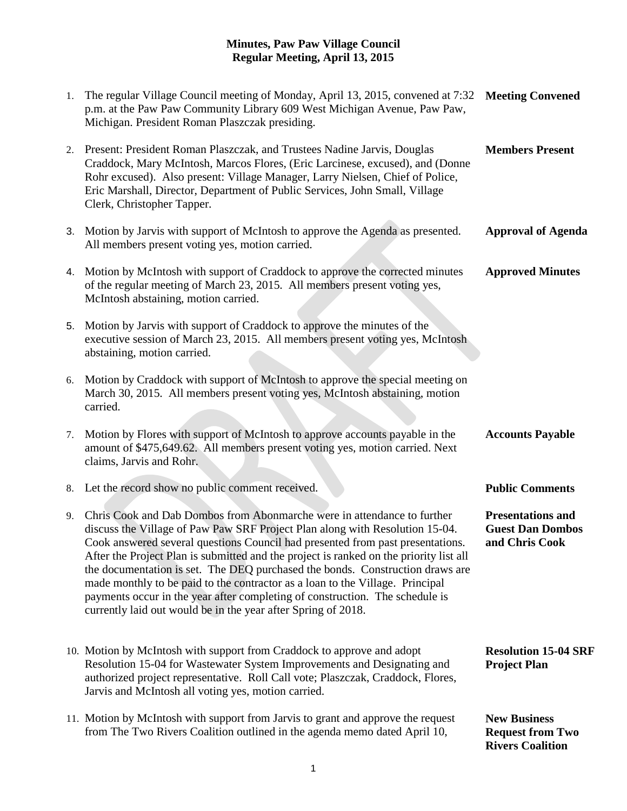| 1. | The regular Village Council meeting of Monday, April 13, 2015, convened at 7:32 Meeting Convened<br>p.m. at the Paw Paw Community Library 609 West Michigan Avenue, Paw Paw,<br>Michigan. President Roman Plaszczak presiding.                                                                                                                                                                                                                                                                                                                                                                                                                         |                                                                           |
|----|--------------------------------------------------------------------------------------------------------------------------------------------------------------------------------------------------------------------------------------------------------------------------------------------------------------------------------------------------------------------------------------------------------------------------------------------------------------------------------------------------------------------------------------------------------------------------------------------------------------------------------------------------------|---------------------------------------------------------------------------|
| 2. | Present: President Roman Plaszczak, and Trustees Nadine Jarvis, Douglas<br>Craddock, Mary McIntosh, Marcos Flores, (Eric Larcinese, excused), and (Donne<br>Rohr excused). Also present: Village Manager, Larry Nielsen, Chief of Police,<br>Eric Marshall, Director, Department of Public Services, John Small, Village<br>Clerk, Christopher Tapper.                                                                                                                                                                                                                                                                                                 | <b>Members Present</b>                                                    |
|    | 3. Motion by Jarvis with support of McIntosh to approve the Agenda as presented.<br>All members present voting yes, motion carried.                                                                                                                                                                                                                                                                                                                                                                                                                                                                                                                    | <b>Approval of Agenda</b>                                                 |
|    | 4. Motion by McIntosh with support of Craddock to approve the corrected minutes<br>of the regular meeting of March 23, 2015. All members present voting yes,<br>McIntosh abstaining, motion carried.                                                                                                                                                                                                                                                                                                                                                                                                                                                   | <b>Approved Minutes</b>                                                   |
| 5. | Motion by Jarvis with support of Craddock to approve the minutes of the<br>executive session of March 23, 2015. All members present voting yes, McIntosh<br>abstaining, motion carried.                                                                                                                                                                                                                                                                                                                                                                                                                                                                |                                                                           |
| 6. | Motion by Craddock with support of McIntosh to approve the special meeting on<br>March 30, 2015. All members present voting yes, McIntosh abstaining, motion<br>carried.                                                                                                                                                                                                                                                                                                                                                                                                                                                                               |                                                                           |
| 7. | Motion by Flores with support of McIntosh to approve accounts payable in the<br>amount of \$475,649.62. All members present voting yes, motion carried. Next<br>claims, Jarvis and Rohr.                                                                                                                                                                                                                                                                                                                                                                                                                                                               | <b>Accounts Payable</b>                                                   |
| 8. | Let the record show no public comment received.                                                                                                                                                                                                                                                                                                                                                                                                                                                                                                                                                                                                        | <b>Public Comments</b>                                                    |
| 9. | Chris Cook and Dab Dombos from Abonmarche were in attendance to further<br>discuss the Village of Paw Paw SRF Project Plan along with Resolution 15-04.<br>Cook answered several questions Council had presented from past presentations.<br>After the Project Plan is submitted and the project is ranked on the priority list all<br>the documentation is set. The DEQ purchased the bonds. Construction draws are<br>made monthly to be paid to the contractor as a loan to the Village. Principal<br>payments occur in the year after completing of construction. The schedule is<br>currently laid out would be in the year after Spring of 2018. | <b>Presentations and</b><br><b>Guest Dan Dombos</b><br>and Chris Cook     |
|    | 10. Motion by McIntosh with support from Craddock to approve and adopt<br>Resolution 15-04 for Wastewater System Improvements and Designating and<br>authorized project representative. Roll Call vote; Plaszczak, Craddock, Flores,<br>Jarvis and McIntosh all voting yes, motion carried.                                                                                                                                                                                                                                                                                                                                                            | <b>Resolution 15-04 SRF</b><br><b>Project Plan</b>                        |
|    | 11. Motion by McIntosh with support from Jarvis to grant and approve the request<br>from The Two Rivers Coalition outlined in the agenda memo dated April 10,                                                                                                                                                                                                                                                                                                                                                                                                                                                                                          | <b>New Business</b><br><b>Request from Two</b><br><b>Rivers Coalition</b> |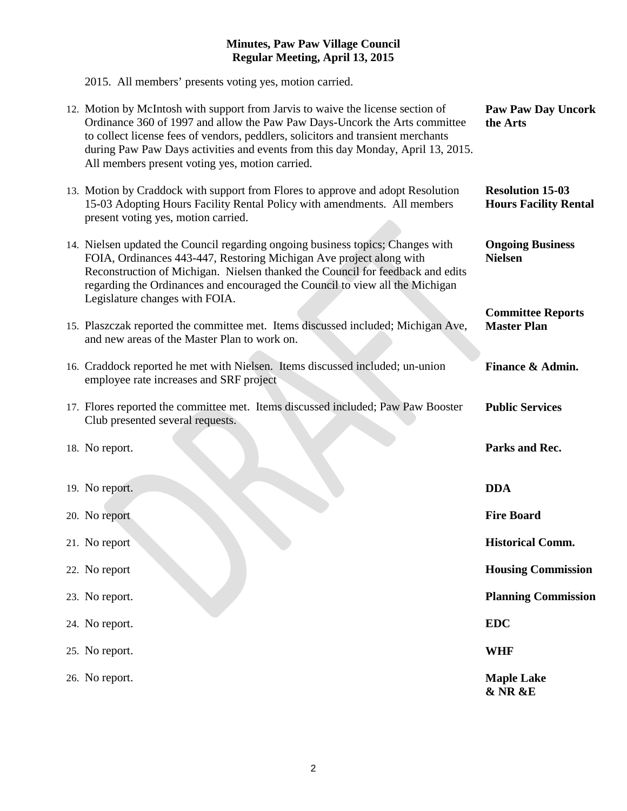2015. All members' presents voting yes, motion carried.

| 12. Motion by McIntosh with support from Jarvis to waive the license section of<br>Ordinance 360 of 1997 and allow the Paw Paw Days-Uncork the Arts committee<br>to collect license fees of vendors, peddlers, solicitors and transient merchants<br>during Paw Paw Days activities and events from this day Monday, April 13, 2015.<br>All members present voting yes, motion carried. | <b>Paw Paw Day Uncork</b><br>the Arts                   |
|-----------------------------------------------------------------------------------------------------------------------------------------------------------------------------------------------------------------------------------------------------------------------------------------------------------------------------------------------------------------------------------------|---------------------------------------------------------|
| 13. Motion by Craddock with support from Flores to approve and adopt Resolution<br>15-03 Adopting Hours Facility Rental Policy with amendments. All members<br>present voting yes, motion carried.                                                                                                                                                                                      | <b>Resolution 15-03</b><br><b>Hours Facility Rental</b> |
| 14. Nielsen updated the Council regarding ongoing business topics; Changes with<br>FOIA, Ordinances 443-447, Restoring Michigan Ave project along with<br>Reconstruction of Michigan. Nielsen thanked the Council for feedback and edits<br>regarding the Ordinances and encouraged the Council to view all the Michigan<br>Legislature changes with FOIA.                              | <b>Ongoing Business</b><br><b>Nielsen</b>               |
| 15. Plaszczak reported the committee met. Items discussed included; Michigan Ave,<br>and new areas of the Master Plan to work on.                                                                                                                                                                                                                                                       | <b>Committee Reports</b><br><b>Master Plan</b>          |
| 16. Craddock reported he met with Nielsen. Items discussed included; un-union<br>employee rate increases and SRF project                                                                                                                                                                                                                                                                | Finance & Admin.                                        |
| 17. Flores reported the committee met. Items discussed included; Paw Paw Booster<br>Club presented several requests.                                                                                                                                                                                                                                                                    | <b>Public Services</b>                                  |
| 18. No report.                                                                                                                                                                                                                                                                                                                                                                          | Parks and Rec.                                          |
| 19. No report.                                                                                                                                                                                                                                                                                                                                                                          | <b>DDA</b>                                              |
| 20. No report                                                                                                                                                                                                                                                                                                                                                                           | <b>Fire Board</b>                                       |
| 21. No report                                                                                                                                                                                                                                                                                                                                                                           | <b>Historical Comm.</b>                                 |
| 22. No report                                                                                                                                                                                                                                                                                                                                                                           | <b>Housing Commission</b>                               |
| 23. No report.                                                                                                                                                                                                                                                                                                                                                                          | <b>Planning Commission</b>                              |
| 24. No report.                                                                                                                                                                                                                                                                                                                                                                          | <b>EDC</b>                                              |
| 25. No report.                                                                                                                                                                                                                                                                                                                                                                          | <b>WHF</b>                                              |
| 26. No report.                                                                                                                                                                                                                                                                                                                                                                          | <b>Maple Lake</b><br><b>&amp; NR &amp;E</b>             |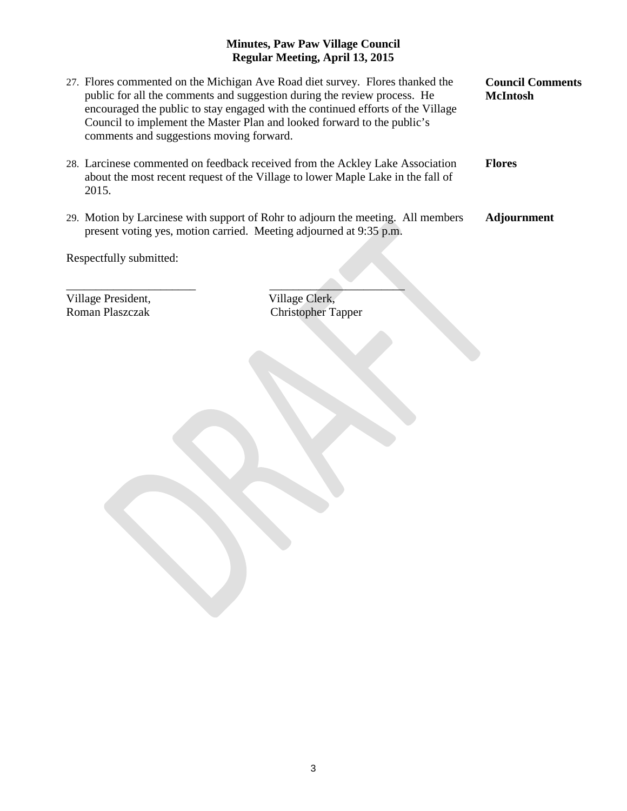| 27. Flores commented on the Michigan Ave Road diet survey. Flores thanked the<br>public for all the comments and suggestion during the review process. He<br>encouraged the public to stay engaged with the continued efforts of the Village<br>Council to implement the Master Plan and looked forward to the public's<br>comments and suggestions moving forward. | <b>Council Comments</b><br><b>McIntosh</b> |
|---------------------------------------------------------------------------------------------------------------------------------------------------------------------------------------------------------------------------------------------------------------------------------------------------------------------------------------------------------------------|--------------------------------------------|
| 28. Larcinese commented on feedback received from the Ackley Lake Association<br>about the most recent request of the Village to lower Maple Lake in the fall of<br>2015.                                                                                                                                                                                           | <b>Flores</b>                              |
| 29. Motion by Larcinese with support of Rohr to adjourn the meeting. All members<br>present voting yes, motion carried. Meeting adjourned at 9:35 p.m.                                                                                                                                                                                                              | <b>Adjournment</b>                         |
| Respectfully submitted:                                                                                                                                                                                                                                                                                                                                             |                                            |

Village President,<br>Roman Plaszczak

Roman Plaszczak Christopher Tapper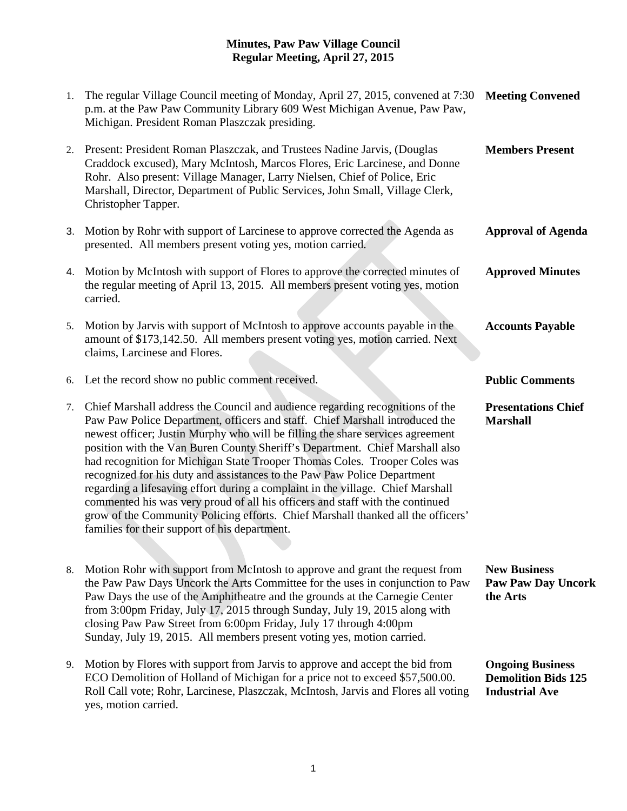| 1. | The regular Village Council meeting of Monday, April 27, 2015, convened at 7:30<br>p.m. at the Paw Paw Community Library 609 West Michigan Avenue, Paw Paw,<br>Michigan. President Roman Plaszczak presiding.                                                                                                                                                                                                                                                                                                                                                                                                                                                                                                                                                                                      | <b>Meeting Convened</b>                                                        |
|----|----------------------------------------------------------------------------------------------------------------------------------------------------------------------------------------------------------------------------------------------------------------------------------------------------------------------------------------------------------------------------------------------------------------------------------------------------------------------------------------------------------------------------------------------------------------------------------------------------------------------------------------------------------------------------------------------------------------------------------------------------------------------------------------------------|--------------------------------------------------------------------------------|
| 2. | Present: President Roman Plaszczak, and Trustees Nadine Jarvis, (Douglas<br>Craddock excused), Mary McIntosh, Marcos Flores, Eric Larcinese, and Donne<br>Rohr. Also present: Village Manager, Larry Nielsen, Chief of Police, Eric<br>Marshall, Director, Department of Public Services, John Small, Village Clerk,<br>Christopher Tapper.                                                                                                                                                                                                                                                                                                                                                                                                                                                        | <b>Members Present</b>                                                         |
| 3. | Motion by Rohr with support of Larcinese to approve corrected the Agenda as<br>presented. All members present voting yes, motion carried.                                                                                                                                                                                                                                                                                                                                                                                                                                                                                                                                                                                                                                                          | <b>Approval of Agenda</b>                                                      |
|    | 4. Motion by McIntosh with support of Flores to approve the corrected minutes of<br>the regular meeting of April 13, 2015. All members present voting yes, motion<br>carried.                                                                                                                                                                                                                                                                                                                                                                                                                                                                                                                                                                                                                      | <b>Approved Minutes</b>                                                        |
| 5. | Motion by Jarvis with support of McIntosh to approve accounts payable in the<br>amount of \$173,142.50. All members present voting yes, motion carried. Next<br>claims, Larcinese and Flores.                                                                                                                                                                                                                                                                                                                                                                                                                                                                                                                                                                                                      | <b>Accounts Payable</b>                                                        |
| 6. | Let the record show no public comment received.                                                                                                                                                                                                                                                                                                                                                                                                                                                                                                                                                                                                                                                                                                                                                    | <b>Public Comments</b>                                                         |
| 7. | Chief Marshall address the Council and audience regarding recognitions of the<br>Paw Paw Police Department, officers and staff. Chief Marshall introduced the<br>newest officer; Justin Murphy who will be filling the share services agreement<br>position with the Van Buren County Sheriff's Department. Chief Marshall also<br>had recognition for Michigan State Trooper Thomas Coles. Trooper Coles was<br>recognized for his duty and assistances to the Paw Paw Police Department<br>regarding a lifesaving effort during a complaint in the village. Chief Marshall<br>commented his was very proud of all his officers and staff with the continued<br>grow of the Community Policing efforts. Chief Marshall thanked all the officers'<br>families for their support of his department. | <b>Presentations Chief</b><br><b>Marshall</b>                                  |
| 8. | Motion Rohr with support from McIntosh to approve and grant the request from<br>the Paw Paw Days Uncork the Arts Committee for the uses in conjunction to Paw<br>Paw Days the use of the Amphitheatre and the grounds at the Carnegie Center<br>from 3:00pm Friday, July 17, 2015 through Sunday, July 19, 2015 along with<br>closing Paw Paw Street from 6:00pm Friday, July 17 through 4:00pm<br>Sunday, July 19, 2015. All members present voting yes, motion carried.                                                                                                                                                                                                                                                                                                                          | <b>New Business</b><br><b>Paw Paw Day Uncork</b><br>the Arts                   |
| 9. | Motion by Flores with support from Jarvis to approve and accept the bid from<br>ECO Demolition of Holland of Michigan for a price not to exceed \$57,500.00.<br>Roll Call vote; Rohr, Larcinese, Plaszczak, McIntosh, Jarvis and Flores all voting<br>yes, motion carried.                                                                                                                                                                                                                                                                                                                                                                                                                                                                                                                         | <b>Ongoing Business</b><br><b>Demolition Bids 125</b><br><b>Industrial Ave</b> |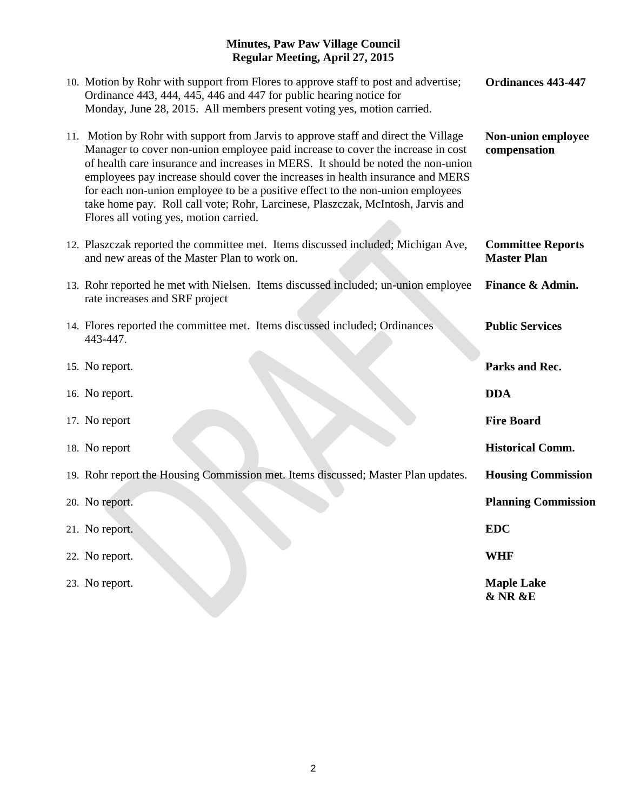| 10. Motion by Rohr with support from Flores to approve staff to post and advertise;<br>Ordinance 443, 444, 445, 446 and 447 for public hearing notice for<br>Monday, June 28, 2015. All members present voting yes, motion carried.                                                                                                                                                                                                                                                                                                                         | <b>Ordinances 443-447</b>                      |
|-------------------------------------------------------------------------------------------------------------------------------------------------------------------------------------------------------------------------------------------------------------------------------------------------------------------------------------------------------------------------------------------------------------------------------------------------------------------------------------------------------------------------------------------------------------|------------------------------------------------|
| 11. Motion by Rohr with support from Jarvis to approve staff and direct the Village<br>Manager to cover non-union employee paid increase to cover the increase in cost<br>of health care insurance and increases in MERS. It should be noted the non-union<br>employees pay increase should cover the increases in health insurance and MERS<br>for each non-union employee to be a positive effect to the non-union employees<br>take home pay. Roll call vote; Rohr, Larcinese, Plaszczak, McIntosh, Jarvis and<br>Flores all voting yes, motion carried. | Non-union employee<br>compensation             |
| 12. Plaszczak reported the committee met. Items discussed included; Michigan Ave,<br>and new areas of the Master Plan to work on.                                                                                                                                                                                                                                                                                                                                                                                                                           | <b>Committee Reports</b><br><b>Master Plan</b> |
| 13. Rohr reported he met with Nielsen. Items discussed included; un-union employee<br>rate increases and SRF project                                                                                                                                                                                                                                                                                                                                                                                                                                        | Finance & Admin.                               |
| 14. Flores reported the committee met. Items discussed included; Ordinances<br>443-447.                                                                                                                                                                                                                                                                                                                                                                                                                                                                     | <b>Public Services</b>                         |
| 15. No report.                                                                                                                                                                                                                                                                                                                                                                                                                                                                                                                                              | Parks and Rec.                                 |
| 16. No report.                                                                                                                                                                                                                                                                                                                                                                                                                                                                                                                                              | <b>DDA</b>                                     |
| 17. No report                                                                                                                                                                                                                                                                                                                                                                                                                                                                                                                                               | <b>Fire Board</b>                              |
| 18. No report                                                                                                                                                                                                                                                                                                                                                                                                                                                                                                                                               | <b>Historical Comm.</b>                        |
| 19. Rohr report the Housing Commission met. Items discussed; Master Plan updates.                                                                                                                                                                                                                                                                                                                                                                                                                                                                           | <b>Housing Commission</b>                      |
| 20. No report.                                                                                                                                                                                                                                                                                                                                                                                                                                                                                                                                              | <b>Planning Commission</b>                     |
| 21. No report.                                                                                                                                                                                                                                                                                                                                                                                                                                                                                                                                              | <b>EDC</b>                                     |
| 22. No report.                                                                                                                                                                                                                                                                                                                                                                                                                                                                                                                                              | <b>WHF</b>                                     |
| 23. No report.                                                                                                                                                                                                                                                                                                                                                                                                                                                                                                                                              | <b>Maple Lake</b><br><b>&amp; NR &amp;E</b>    |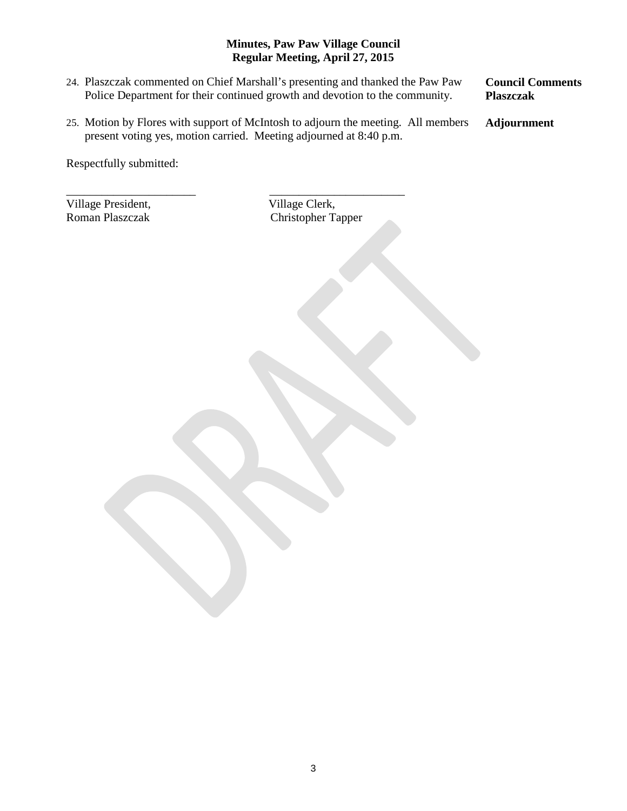24. Plaszczak commented on Chief Marshall's presenting and thanked the Paw Paw Police Department for their continued growth and devotion to the community. 25. Motion by Flores with support of McIntosh to adjourn the meeting. All members present voting yes, motion carried. Meeting adjourned at 8:40 p.m. **Council Comments Plaszczak Adjournment**

Respectfully submitted:

\_\_\_\_\_\_\_\_\_\_\_\_\_\_\_\_\_\_\_\_\_\_ \_\_\_\_\_\_\_\_\_\_\_\_\_\_\_\_\_\_\_\_\_\_\_ Village President, Village Clerk,

Roman Plaszczak Christopher Tapper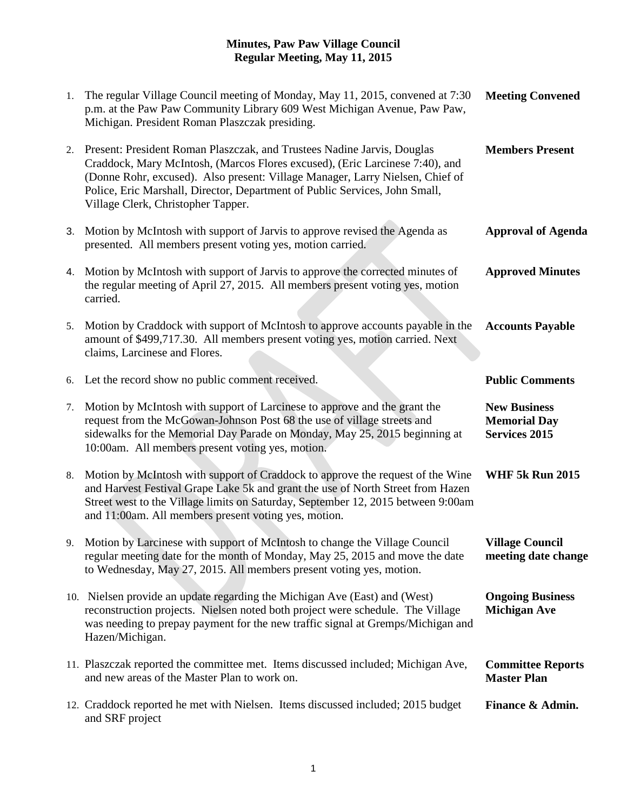| 1. | The regular Village Council meeting of Monday, May 11, 2015, convened at 7:30<br>p.m. at the Paw Paw Community Library 609 West Michigan Avenue, Paw Paw,<br>Michigan. President Roman Plaszczak presiding.                                                                                                                                                   | <b>Meeting Convened</b>                                            |
|----|---------------------------------------------------------------------------------------------------------------------------------------------------------------------------------------------------------------------------------------------------------------------------------------------------------------------------------------------------------------|--------------------------------------------------------------------|
| 2. | Present: President Roman Plaszczak, and Trustees Nadine Jarvis, Douglas<br>Craddock, Mary McIntosh, (Marcos Flores excused), (Eric Larcinese 7:40), and<br>(Donne Rohr, excused). Also present: Village Manager, Larry Nielsen, Chief of<br>Police, Eric Marshall, Director, Department of Public Services, John Small,<br>Village Clerk, Christopher Tapper. | <b>Members Present</b>                                             |
| 3. | Motion by McIntosh with support of Jarvis to approve revised the Agenda as<br>presented. All members present voting yes, motion carried.                                                                                                                                                                                                                      | <b>Approval of Agenda</b>                                          |
| 4. | Motion by McIntosh with support of Jarvis to approve the corrected minutes of<br>the regular meeting of April 27, 2015. All members present voting yes, motion<br>carried.                                                                                                                                                                                    | <b>Approved Minutes</b>                                            |
| 5. | Motion by Craddock with support of McIntosh to approve accounts payable in the<br>amount of \$499,717.30. All members present voting yes, motion carried. Next<br>claims, Larcinese and Flores.                                                                                                                                                               | <b>Accounts Payable</b>                                            |
|    | 6. Let the record show no public comment received.                                                                                                                                                                                                                                                                                                            | <b>Public Comments</b>                                             |
| 7. | Motion by McIntosh with support of Larcinese to approve and the grant the<br>request from the McGowan-Johnson Post 68 the use of village streets and<br>sidewalks for the Memorial Day Parade on Monday, May 25, 2015 beginning at<br>10:00am. All members present voting yes, motion.                                                                        | <b>New Business</b><br><b>Memorial Day</b><br><b>Services 2015</b> |
| 8. | Motion by McIntosh with support of Craddock to approve the request of the Wine<br>and Harvest Festival Grape Lake 5k and grant the use of North Street from Hazen<br>Street west to the Village limits on Saturday, September 12, 2015 between 9:00am<br>and 11:00am. All members present voting yes, motion.                                                 | <b>WHF 5k Run 2015</b>                                             |
| 9. | Motion by Larcinese with support of McIntosh to change the Village Council<br>regular meeting date for the month of Monday, May 25, 2015 and move the date<br>to Wednesday, May 27, 2015. All members present voting yes, motion.                                                                                                                             | <b>Village Council</b><br>meeting date change                      |
|    | 10. Nielsen provide an update regarding the Michigan Ave (East) and (West)<br>reconstruction projects. Nielsen noted both project were schedule. The Village<br>was needing to prepay payment for the new traffic signal at Gremps/Michigan and<br>Hazen/Michigan.                                                                                            | <b>Ongoing Business</b><br><b>Michigan Ave</b>                     |
|    | 11. Plaszczak reported the committee met. Items discussed included; Michigan Ave,<br>and new areas of the Master Plan to work on.                                                                                                                                                                                                                             | <b>Committee Reports</b><br><b>Master Plan</b>                     |
|    | 12. Craddock reported he met with Nielsen. Items discussed included; 2015 budget<br>and SRF project                                                                                                                                                                                                                                                           | Finance & Admin.                                                   |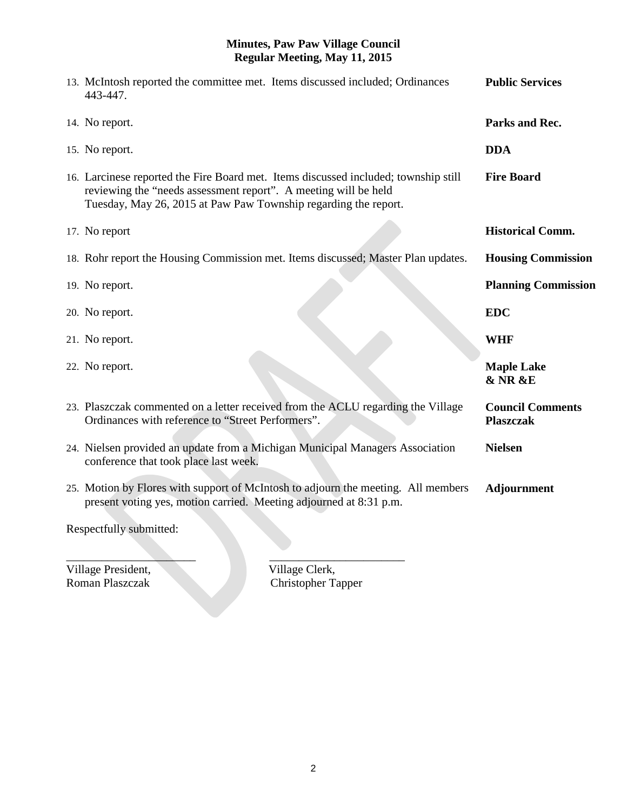| 13. McIntosh reported the committee met. Items discussed included; Ordinances<br>443-447.                                                                                                                                 | <b>Public Services</b>                      |
|---------------------------------------------------------------------------------------------------------------------------------------------------------------------------------------------------------------------------|---------------------------------------------|
| 14. No report.                                                                                                                                                                                                            | Parks and Rec.                              |
| 15. No report.                                                                                                                                                                                                            | <b>DDA</b>                                  |
| 16. Larcinese reported the Fire Board met. Items discussed included; township still<br>reviewing the "needs assessment report". A meeting will be held<br>Tuesday, May 26, 2015 at Paw Paw Township regarding the report. | <b>Fire Board</b>                           |
| 17. No report                                                                                                                                                                                                             | <b>Historical Comm.</b>                     |
| 18. Rohr report the Housing Commission met. Items discussed; Master Plan updates.                                                                                                                                         | <b>Housing Commission</b>                   |
| 19. No report.                                                                                                                                                                                                            | <b>Planning Commission</b>                  |
| 20. No report.                                                                                                                                                                                                            | <b>EDC</b>                                  |
| 21. No report.                                                                                                                                                                                                            | <b>WHF</b>                                  |
| 22. No report.                                                                                                                                                                                                            | <b>Maple Lake</b><br>& NR &E                |
| 23. Plaszczak commented on a letter received from the ACLU regarding the Village<br>Ordinances with reference to "Street Performers".                                                                                     | <b>Council Comments</b><br><b>Plaszczak</b> |
|                                                                                                                                                                                                                           |                                             |
| 24. Nielsen provided an update from a Michigan Municipal Managers Association<br>conference that took place last week.                                                                                                    | <b>Nielsen</b>                              |

Respectfully submitted:

\_\_\_\_\_\_\_\_\_\_\_\_\_\_\_\_\_\_\_\_\_\_ \_\_\_\_\_\_\_\_\_\_\_\_\_\_\_\_\_\_\_\_\_\_\_ Village President,<br>Roman Plaszczak

Roman Plaszczak Christopher Tapper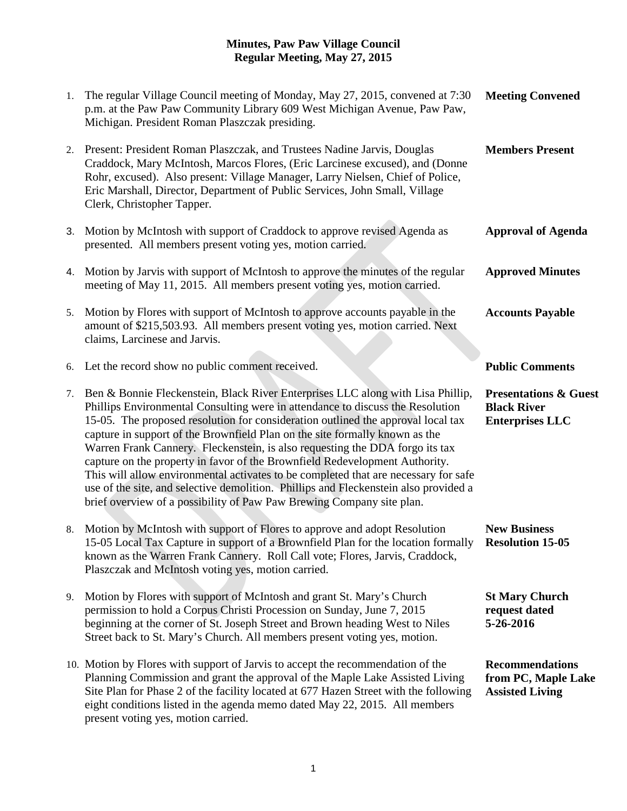| 1. | The regular Village Council meeting of Monday, May 27, 2015, convened at 7:30<br>p.m. at the Paw Paw Community Library 609 West Michigan Avenue, Paw Paw,<br>Michigan. President Roman Plaszczak presiding.                                                                                                                                                                                                                                                                                                                                                                                                                                                                                                                                                 | <b>Meeting Convened</b>                                                          |
|----|-------------------------------------------------------------------------------------------------------------------------------------------------------------------------------------------------------------------------------------------------------------------------------------------------------------------------------------------------------------------------------------------------------------------------------------------------------------------------------------------------------------------------------------------------------------------------------------------------------------------------------------------------------------------------------------------------------------------------------------------------------------|----------------------------------------------------------------------------------|
| 2. | Present: President Roman Plaszczak, and Trustees Nadine Jarvis, Douglas<br>Craddock, Mary McIntosh, Marcos Flores, (Eric Larcinese excused), and (Donne<br>Rohr, excused). Also present: Village Manager, Larry Nielsen, Chief of Police,<br>Eric Marshall, Director, Department of Public Services, John Small, Village<br>Clerk, Christopher Tapper.                                                                                                                                                                                                                                                                                                                                                                                                      | <b>Members Present</b>                                                           |
|    | 3. Motion by McIntosh with support of Craddock to approve revised Agenda as<br>presented. All members present voting yes, motion carried.                                                                                                                                                                                                                                                                                                                                                                                                                                                                                                                                                                                                                   | <b>Approval of Agenda</b>                                                        |
|    | 4. Motion by Jarvis with support of McIntosh to approve the minutes of the regular<br>meeting of May 11, 2015. All members present voting yes, motion carried.                                                                                                                                                                                                                                                                                                                                                                                                                                                                                                                                                                                              | <b>Approved Minutes</b>                                                          |
| 5. | Motion by Flores with support of McIntosh to approve accounts payable in the<br>amount of \$215,503.93. All members present voting yes, motion carried. Next<br>claims, Larcinese and Jarvis.                                                                                                                                                                                                                                                                                                                                                                                                                                                                                                                                                               | <b>Accounts Payable</b>                                                          |
| 6. | Let the record show no public comment received.                                                                                                                                                                                                                                                                                                                                                                                                                                                                                                                                                                                                                                                                                                             | <b>Public Comments</b>                                                           |
| 7. | Ben & Bonnie Fleckenstein, Black River Enterprises LLC along with Lisa Phillip,<br>Phillips Environmental Consulting were in attendance to discuss the Resolution<br>15-05. The proposed resolution for consideration outlined the approval local tax<br>capture in support of the Brownfield Plan on the site formally known as the<br>Warren Frank Cannery. Fleckenstein, is also requesting the DDA forgo its tax<br>capture on the property in favor of the Brownfield Redevelopment Authority.<br>This will allow environmental activates to be completed that are necessary for safe<br>use of the site, and selective demolition. Phillips and Fleckenstein also provided a<br>brief overview of a possibility of Paw Paw Brewing Company site plan. | <b>Presentations &amp; Guest</b><br><b>Black River</b><br><b>Enterprises LLC</b> |
|    | 8. Motion by McIntosh with support of Flores to approve and adopt Resolution<br>15-05 Local Tax Capture in support of a Brownfield Plan for the location formally<br>known as the Warren Frank Cannery. Roll Call vote; Flores, Jarvis, Craddock,<br>Plaszczak and McIntosh voting yes, motion carried.                                                                                                                                                                                                                                                                                                                                                                                                                                                     | <b>New Business</b><br><b>Resolution 15-05</b>                                   |
| 9. | Motion by Flores with support of McIntosh and grant St. Mary's Church<br>permission to hold a Corpus Christi Procession on Sunday, June 7, 2015<br>beginning at the corner of St. Joseph Street and Brown heading West to Niles<br>Street back to St. Mary's Church. All members present voting yes, motion.                                                                                                                                                                                                                                                                                                                                                                                                                                                | <b>St Mary Church</b><br>request dated<br>5-26-2016                              |
|    | 10. Motion by Flores with support of Jarvis to accept the recommendation of the<br>Planning Commission and grant the approval of the Maple Lake Assisted Living<br>Site Plan for Phase 2 of the facility located at 677 Hazen Street with the following<br>eight conditions listed in the agenda memo dated May 22, 2015. All members<br>present voting yes, motion carried.                                                                                                                                                                                                                                                                                                                                                                                | <b>Recommendations</b><br>from PC, Maple Lake<br><b>Assisted Living</b>          |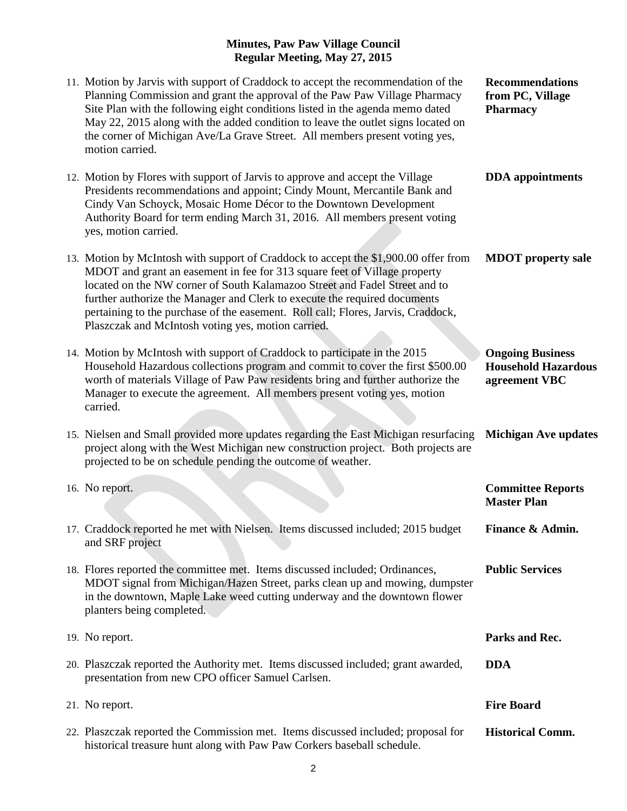| 11. Motion by Jarvis with support of Craddock to accept the recommendation of the<br>Planning Commission and grant the approval of the Paw Paw Village Pharmacy<br>Site Plan with the following eight conditions listed in the agenda memo dated<br>May 22, 2015 along with the added condition to leave the outlet signs located on<br>the corner of Michigan Ave/La Grave Street. All members present voting yes,<br>motion carried.                                | <b>Recommendations</b><br>from PC, Village<br><b>Pharmacy</b>          |
|-----------------------------------------------------------------------------------------------------------------------------------------------------------------------------------------------------------------------------------------------------------------------------------------------------------------------------------------------------------------------------------------------------------------------------------------------------------------------|------------------------------------------------------------------------|
| 12. Motion by Flores with support of Jarvis to approve and accept the Village<br>Presidents recommendations and appoint; Cindy Mount, Mercantile Bank and<br>Cindy Van Schoyck, Mosaic Home Décor to the Downtown Development<br>Authority Board for term ending March 31, 2016. All members present voting<br>yes, motion carried.                                                                                                                                   | <b>DDA</b> appointments                                                |
| 13. Motion by McIntosh with support of Craddock to accept the \$1,900.00 offer from<br>MDOT and grant an easement in fee for 313 square feet of Village property<br>located on the NW corner of South Kalamazoo Street and Fadel Street and to<br>further authorize the Manager and Clerk to execute the required documents<br>pertaining to the purchase of the easement. Roll call; Flores, Jarvis, Craddock,<br>Plaszczak and McIntosh voting yes, motion carried. | <b>MDOT</b> property sale                                              |
| 14. Motion by McIntosh with support of Craddock to participate in the 2015<br>Household Hazardous collections program and commit to cover the first \$500.00<br>worth of materials Village of Paw Paw residents bring and further authorize the<br>Manager to execute the agreement. All members present voting yes, motion<br>carried.                                                                                                                               | <b>Ongoing Business</b><br><b>Household Hazardous</b><br>agreement VBC |
| 15. Nielsen and Small provided more updates regarding the East Michigan resurfacing<br>project along with the West Michigan new construction project. Both projects are<br>projected to be on schedule pending the outcome of weather.                                                                                                                                                                                                                                | <b>Michigan Ave updates</b>                                            |
| 16. No report.                                                                                                                                                                                                                                                                                                                                                                                                                                                        | <b>Committee Reports</b><br><b>Master Plan</b>                         |
| 17. Craddock reported he met with Nielsen. Items discussed included; 2015 budget<br>and SRF project                                                                                                                                                                                                                                                                                                                                                                   | Finance & Admin.                                                       |
| 18. Flores reported the committee met. Items discussed included; Ordinances,<br>MDOT signal from Michigan/Hazen Street, parks clean up and mowing, dumpster<br>in the downtown, Maple Lake weed cutting underway and the downtown flower<br>planters being completed.                                                                                                                                                                                                 | <b>Public Services</b>                                                 |
| 19. No report.                                                                                                                                                                                                                                                                                                                                                                                                                                                        | Parks and Rec.                                                         |
| 20. Plaszczak reported the Authority met. Items discussed included; grant awarded,<br>presentation from new CPO officer Samuel Carlsen.                                                                                                                                                                                                                                                                                                                               | <b>DDA</b>                                                             |
| 21. No report.                                                                                                                                                                                                                                                                                                                                                                                                                                                        | <b>Fire Board</b>                                                      |
| 22. Plaszczak reported the Commission met. Items discussed included; proposal for<br>historical treasure hunt along with Paw Paw Corkers baseball schedule.                                                                                                                                                                                                                                                                                                           | <b>Historical Comm.</b>                                                |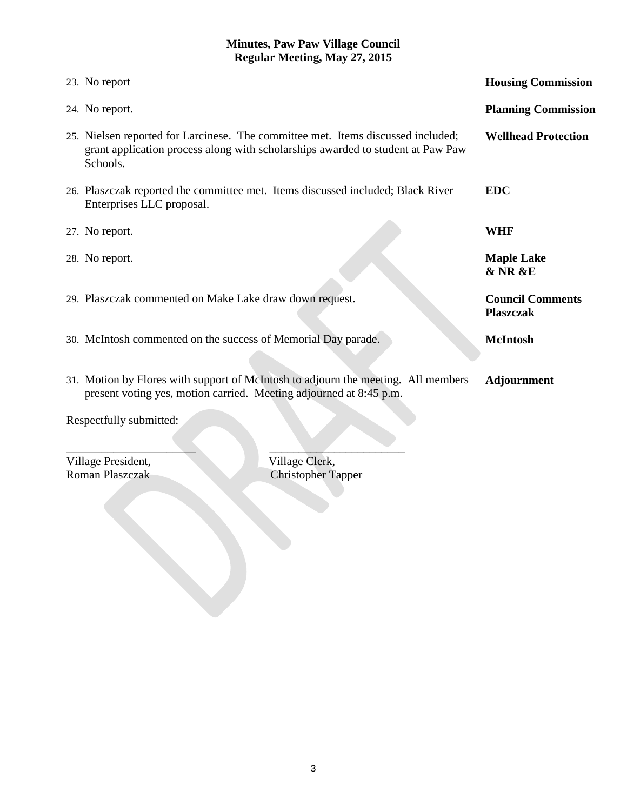| 23. No report                                                                                                                                                                   | <b>Housing Commission</b>                   |
|---------------------------------------------------------------------------------------------------------------------------------------------------------------------------------|---------------------------------------------|
| 24. No report.                                                                                                                                                                  | <b>Planning Commission</b>                  |
| 25. Nielsen reported for Larcinese. The committee met. Items discussed included;<br>grant application process along with scholarships awarded to student at Paw Paw<br>Schools. | <b>Wellhead Protection</b>                  |
| 26. Plaszczak reported the committee met. Items discussed included; Black River<br>Enterprises LLC proposal.                                                                    | <b>EDC</b>                                  |
| 27. No report.                                                                                                                                                                  | <b>WHF</b>                                  |
| 28. No report.                                                                                                                                                                  | <b>Maple Lake</b><br><b>&amp; NR &amp;E</b> |
| 29. Plaszczak commented on Make Lake draw down request.                                                                                                                         | <b>Council Comments</b><br><b>Plaszczak</b> |
| 30. McIntosh commented on the success of Memorial Day parade.                                                                                                                   | <b>McIntosh</b>                             |
| 31. Motion by Flores with support of McIntosh to adjourn the meeting. All members<br>present voting yes, motion carried. Meeting adjourned at 8:45 p.m.                         | <b>Adjournment</b>                          |
| Respectfully submitted:                                                                                                                                                         |                                             |

Village President,<br>Roman Plaszczak

\_\_\_\_\_\_\_\_\_\_\_\_\_\_\_\_\_\_\_\_\_\_ \_\_\_\_\_\_\_\_\_\_\_\_\_\_\_\_\_\_\_\_\_\_\_ Roman Plaszczak Christopher Tapper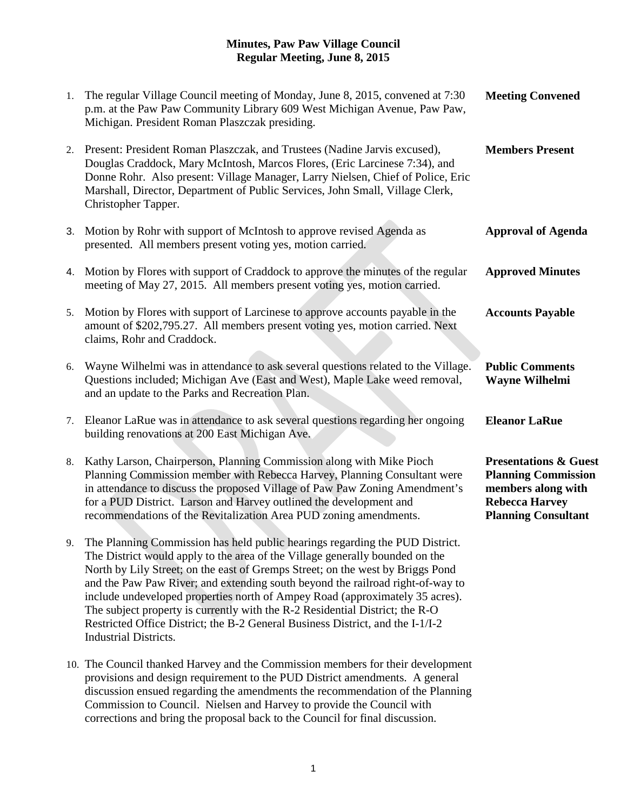| 1. | The regular Village Council meeting of Monday, June 8, 2015, convened at 7:30<br>p.m. at the Paw Paw Community Library 609 West Michigan Avenue, Paw Paw,<br>Michigan. President Roman Plaszczak presiding.                                                                                                                                                                                                                                                                                                                                                                                                           | <b>Meeting Convened</b>                                                                                                                     |
|----|-----------------------------------------------------------------------------------------------------------------------------------------------------------------------------------------------------------------------------------------------------------------------------------------------------------------------------------------------------------------------------------------------------------------------------------------------------------------------------------------------------------------------------------------------------------------------------------------------------------------------|---------------------------------------------------------------------------------------------------------------------------------------------|
| 2. | Present: President Roman Plaszczak, and Trustees (Nadine Jarvis excused),<br>Douglas Craddock, Mary McIntosh, Marcos Flores, (Eric Larcinese 7:34), and<br>Donne Rohr. Also present: Village Manager, Larry Nielsen, Chief of Police, Eric<br>Marshall, Director, Department of Public Services, John Small, Village Clerk,<br>Christopher Tapper.                                                                                                                                                                                                                                                                    | <b>Members Present</b>                                                                                                                      |
|    | 3. Motion by Rohr with support of McIntosh to approve revised Agenda as<br>presented. All members present voting yes, motion carried.                                                                                                                                                                                                                                                                                                                                                                                                                                                                                 | <b>Approval of Agenda</b>                                                                                                                   |
|    | 4. Motion by Flores with support of Craddock to approve the minutes of the regular<br>meeting of May 27, 2015. All members present voting yes, motion carried.                                                                                                                                                                                                                                                                                                                                                                                                                                                        | <b>Approved Minutes</b>                                                                                                                     |
| 5. | Motion by Flores with support of Larcinese to approve accounts payable in the<br>amount of \$202,795.27. All members present voting yes, motion carried. Next<br>claims, Rohr and Craddock.                                                                                                                                                                                                                                                                                                                                                                                                                           | <b>Accounts Payable</b>                                                                                                                     |
| 6. | Wayne Wilhelmi was in attendance to ask several questions related to the Village.<br>Questions included; Michigan Ave (East and West), Maple Lake weed removal,<br>and an update to the Parks and Recreation Plan.                                                                                                                                                                                                                                                                                                                                                                                                    | <b>Public Comments</b><br><b>Wayne Wilhelmi</b>                                                                                             |
| 7. | Eleanor LaRue was in attendance to ask several questions regarding her ongoing<br>building renovations at 200 East Michigan Ave.                                                                                                                                                                                                                                                                                                                                                                                                                                                                                      | <b>Eleanor LaRue</b>                                                                                                                        |
| 8. | Kathy Larson, Chairperson, Planning Commission along with Mike Pioch<br>Planning Commission member with Rebecca Harvey, Planning Consultant were<br>in attendance to discuss the proposed Village of Paw Paw Zoning Amendment's<br>for a PUD District. Larson and Harvey outlined the development and<br>recommendations of the Revitalization Area PUD zoning amendments.                                                                                                                                                                                                                                            | <b>Presentations &amp; Guest</b><br><b>Planning Commission</b><br>members along with<br><b>Rebecca Harvey</b><br><b>Planning Consultant</b> |
|    | 9. The Planning Commission has held public hearings regarding the PUD District.<br>The District would apply to the area of the Village generally bounded on the<br>North by Lily Street; on the east of Gremps Street; on the west by Briggs Pond<br>and the Paw Paw River; and extending south beyond the railroad right-of-way to<br>include undeveloped properties north of Ampey Road (approximately 35 acres).<br>The subject property is currently with the R-2 Residential District; the R-O<br>Restricted Office District; the B-2 General Business District, and the I-1/I-2<br><b>Industrial Districts.</b> |                                                                                                                                             |
|    | 10. The Council thanked Harvey and the Commission members for their development                                                                                                                                                                                                                                                                                                                                                                                                                                                                                                                                       |                                                                                                                                             |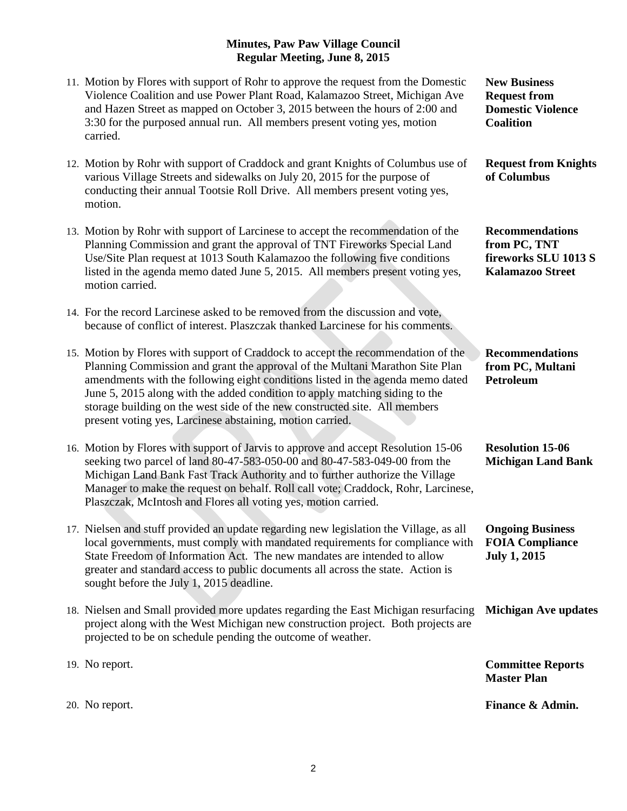| 11. Motion by Flores with support of Rohr to approve the request from the Domestic<br>Violence Coalition and use Power Plant Road, Kalamazoo Street, Michigan Ave<br>and Hazen Street as mapped on October 3, 2015 between the hours of 2:00 and<br>3:30 for the purposed annual run. All members present voting yes, motion<br>carried.                                                                                                                                      | <b>New Business</b><br><b>Request from</b><br><b>Domestic Violence</b><br><b>Coalition</b> |
|-------------------------------------------------------------------------------------------------------------------------------------------------------------------------------------------------------------------------------------------------------------------------------------------------------------------------------------------------------------------------------------------------------------------------------------------------------------------------------|--------------------------------------------------------------------------------------------|
| 12. Motion by Rohr with support of Craddock and grant Knights of Columbus use of<br>various Village Streets and sidewalks on July 20, 2015 for the purpose of<br>conducting their annual Tootsie Roll Drive. All members present voting yes,<br>motion.                                                                                                                                                                                                                       | <b>Request from Knights</b><br>of Columbus                                                 |
| 13. Motion by Rohr with support of Larcinese to accept the recommendation of the<br>Planning Commission and grant the approval of TNT Fireworks Special Land<br>Use/Site Plan request at 1013 South Kalamazoo the following five conditions<br>listed in the agenda memo dated June 5, 2015. All members present voting yes,<br>motion carried.                                                                                                                               | <b>Recommendations</b><br>from PC, TNT<br>fireworks SLU 1013 S<br><b>Kalamazoo Street</b>  |
| 14. For the record Larcinese asked to be removed from the discussion and vote,<br>because of conflict of interest. Plaszczak thanked Larcinese for his comments.                                                                                                                                                                                                                                                                                                              |                                                                                            |
| 15. Motion by Flores with support of Craddock to accept the recommendation of the<br>Planning Commission and grant the approval of the Multani Marathon Site Plan<br>amendments with the following eight conditions listed in the agenda memo dated<br>June 5, 2015 along with the added condition to apply matching siding to the<br>storage building on the west side of the new constructed site. All members<br>present voting yes, Larcinese abstaining, motion carried. | <b>Recommendations</b><br>from PC, Multani<br>Petroleum                                    |
| 16. Motion by Flores with support of Jarvis to approve and accept Resolution 15-06<br>seeking two parcel of land 80-47-583-050-00 and 80-47-583-049-00 from the<br>Michigan Land Bank Fast Track Authority and to further authorize the Village<br>Manager to make the request on behalf. Roll call vote; Craddock, Rohr, Larcinese,<br>Plaszczak, McIntosh and Flores all voting yes, motion carried.                                                                        | <b>Resolution 15-06</b><br><b>Michigan Land Bank</b>                                       |
| 17. Nielsen and stuff provided an update regarding new legislation the Village, as all Ongoing Business<br>local governments, must comply with mandated requirements for compliance with<br>State Freedom of Information Act. The new mandates are intended to allow<br>greater and standard access to public documents all across the state. Action is<br>sought before the July 1, 2015 deadline.                                                                           | <b>FOIA Compliance</b><br><b>July 1, 2015</b>                                              |
| 18. Nielsen and Small provided more updates regarding the East Michigan resurfacing<br>project along with the West Michigan new construction project. Both projects are<br>projected to be on schedule pending the outcome of weather.                                                                                                                                                                                                                                        | <b>Michigan Ave updates</b>                                                                |
| 19. No report.                                                                                                                                                                                                                                                                                                                                                                                                                                                                | <b>Committee Reports</b><br><b>Master Plan</b>                                             |
| 20. No report.                                                                                                                                                                                                                                                                                                                                                                                                                                                                | Finance & Admin.                                                                           |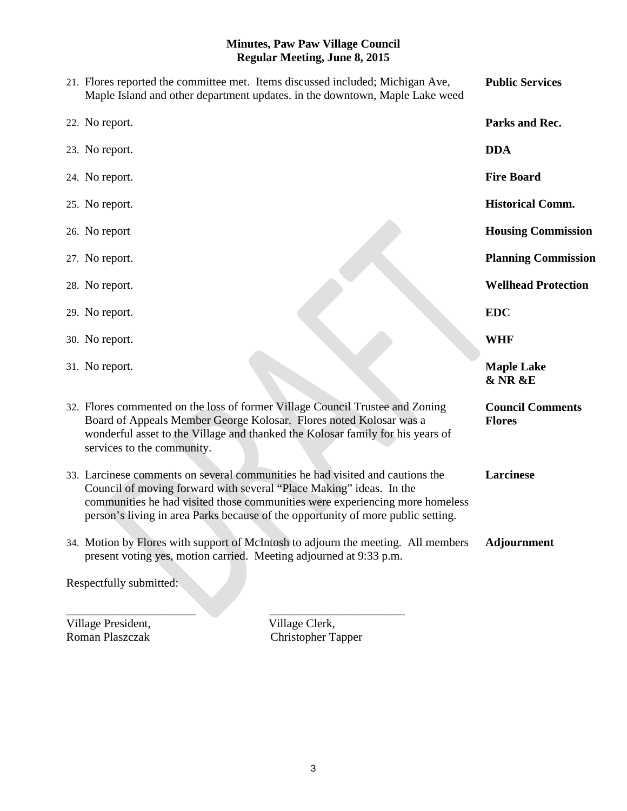| 21. Flores reported the committee met. Items discussed included; Michigan Ave,<br>Maple Island and other department updates. in the downtown, Maple Lake weed                                                                                                                                                            | <b>Public Services</b>                   |
|--------------------------------------------------------------------------------------------------------------------------------------------------------------------------------------------------------------------------------------------------------------------------------------------------------------------------|------------------------------------------|
| 22. No report.                                                                                                                                                                                                                                                                                                           | Parks and Rec.                           |
| 23. No report.                                                                                                                                                                                                                                                                                                           | <b>DDA</b>                               |
| 24. No report.                                                                                                                                                                                                                                                                                                           | <b>Fire Board</b>                        |
| 25. No report.                                                                                                                                                                                                                                                                                                           | <b>Historical Comm.</b>                  |
| 26. No report                                                                                                                                                                                                                                                                                                            | <b>Housing Commission</b>                |
| 27. No report.                                                                                                                                                                                                                                                                                                           | <b>Planning Commission</b>               |
| 28. No report.                                                                                                                                                                                                                                                                                                           | <b>Wellhead Protection</b>               |
| 29. No report.                                                                                                                                                                                                                                                                                                           | <b>EDC</b>                               |
| 30. No report.                                                                                                                                                                                                                                                                                                           | <b>WHF</b>                               |
| 31. No report.                                                                                                                                                                                                                                                                                                           | <b>Maple Lake</b><br>& NR &E             |
| 32. Flores commented on the loss of former Village Council Trustee and Zoning<br>Board of Appeals Member George Kolosar. Flores noted Kolosar was a<br>wonderful asset to the Village and thanked the Kolosar family for his years of<br>services to the community.                                                      | <b>Council Comments</b><br><b>Flores</b> |
| 33. Larcinese comments on several communities he had visited and cautions the<br>Council of moving forward with several "Place Making" ideas. In the<br>communities he had visited those communities were experiencing more homeless<br>person's living in area Parks because of the opportunity of more public setting. | Larcinese                                |
| 34. Motion by Flores with support of McIntosh to adjourn the meeting. All members<br>present voting yes, motion carried. Meeting adjourned at 9:33 p.m.                                                                                                                                                                  | <b>Adjournment</b>                       |
| Respectfully submitted:                                                                                                                                                                                                                                                                                                  |                                          |

Village President,<br>
Roman Plaszczak<br>
Christopher Ta

\_\_\_\_\_\_\_\_\_\_\_\_\_\_\_\_\_\_\_\_\_\_ \_\_\_\_\_\_\_\_\_\_\_\_\_\_\_\_\_\_\_\_\_\_\_ Christopher Tapper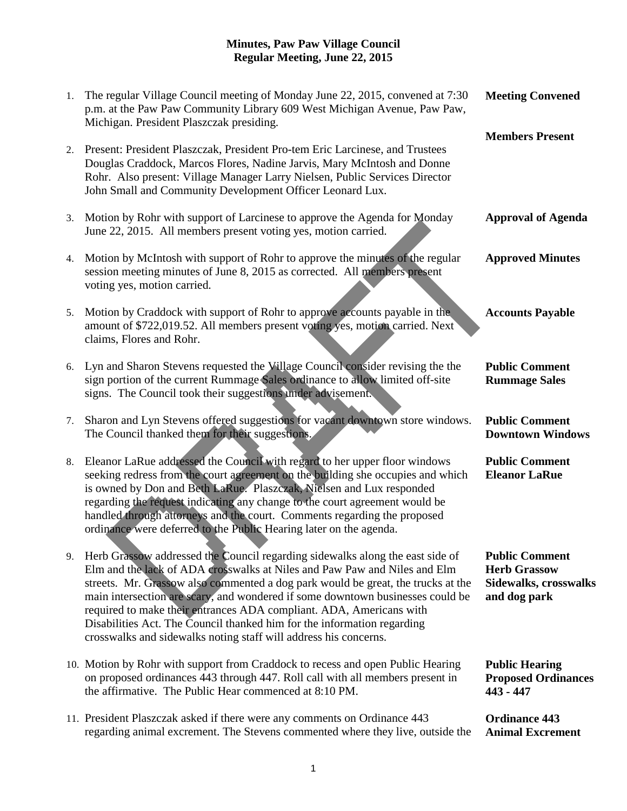| 1. | The regular Village Council meeting of Monday June 22, 2015, convened at 7:30<br>p.m. at the Paw Paw Community Library 609 West Michigan Avenue, Paw Paw,<br>Michigan. President Plaszczak presiding.                                                                                                                                                                                                                                                                                                                                                  | <b>Meeting Convened</b>                                                                      |
|----|--------------------------------------------------------------------------------------------------------------------------------------------------------------------------------------------------------------------------------------------------------------------------------------------------------------------------------------------------------------------------------------------------------------------------------------------------------------------------------------------------------------------------------------------------------|----------------------------------------------------------------------------------------------|
| 2. | Present: President Plaszczak, President Pro-tem Eric Larcinese, and Trustees<br>Douglas Craddock, Marcos Flores, Nadine Jarvis, Mary McIntosh and Donne<br>Rohr. Also present: Village Manager Larry Nielsen, Public Services Director<br>John Small and Community Development Officer Leonard Lux.                                                                                                                                                                                                                                                    | <b>Members Present</b>                                                                       |
| 3. | Motion by Rohr with support of Larcinese to approve the Agenda for Monday<br>June 22, 2015. All members present voting yes, motion carried.                                                                                                                                                                                                                                                                                                                                                                                                            | <b>Approval of Agenda</b>                                                                    |
| 4. | Motion by McIntosh with support of Rohr to approve the minutes of the regular<br>session meeting minutes of June 8, 2015 as corrected. All members present<br>voting yes, motion carried.                                                                                                                                                                                                                                                                                                                                                              | <b>Approved Minutes</b>                                                                      |
| 5. | Motion by Craddock with support of Rohr to approve accounts payable in the<br>amount of \$722,019.52. All members present voting yes, motion carried. Next<br>claims, Flores and Rohr.                                                                                                                                                                                                                                                                                                                                                                 | <b>Accounts Payable</b>                                                                      |
|    | 6. Lyn and Sharon Stevens requested the Village Council consider revising the the<br>sign portion of the current Rummage Sales ordinance to allow limited off-site<br>signs. The Council took their suggestions under advisement.                                                                                                                                                                                                                                                                                                                      | <b>Public Comment</b><br><b>Rummage Sales</b>                                                |
| 7. | Sharon and Lyn Stevens offered suggestions for vacant downtown store windows.<br>The Council thanked them for their suggestions.                                                                                                                                                                                                                                                                                                                                                                                                                       | <b>Public Comment</b><br><b>Downtown Windows</b>                                             |
| 8. | Eleanor LaRue addressed the Council with regard to her upper floor windows<br>seeking redress from the court agreement on the building she occupies and which<br>is owned by Don and Beth LaRue. Plaszczak, Nielsen and Lux responded<br>regarding the request indicating any change to the court agreement would be<br>handled through attorneys and the court. Comments regarding the proposed<br>ordinance were deferred to the Public Hearing later on the agenda.                                                                                 | <b>Public Comment</b><br><b>Eleanor LaRue</b>                                                |
| 9. | Herb Grassow addressed the Council regarding sidewalks along the east side of<br>Elm and the lack of ADA crosswalks at Niles and Paw Paw and Niles and Elm<br>streets. Mr. Grassow also commented a dog park would be great, the trucks at the<br>main intersection are scary, and wondered if some downtown businesses could be<br>required to make their entrances ADA compliant. ADA, Americans with<br>Disabilities Act. The Council thanked him for the information regarding<br>crosswalks and sidewalks noting staff will address his concerns. | <b>Public Comment</b><br><b>Herb Grassow</b><br><b>Sidewalks, crosswalks</b><br>and dog park |
|    | 10. Motion by Rohr with support from Craddock to recess and open Public Hearing<br>on proposed ordinances 443 through 447. Roll call with all members present in<br>the affirmative. The Public Hear commenced at 8:10 PM.                                                                                                                                                                                                                                                                                                                             | <b>Public Hearing</b><br><b>Proposed Ordinances</b><br>443 - 447                             |
|    | 11. President Plaszczak asked if there were any comments on Ordinance 443<br>regarding animal excrement. The Stevens commented where they live, outside the                                                                                                                                                                                                                                                                                                                                                                                            | <b>Ordinance 443</b><br><b>Animal Excrement</b>                                              |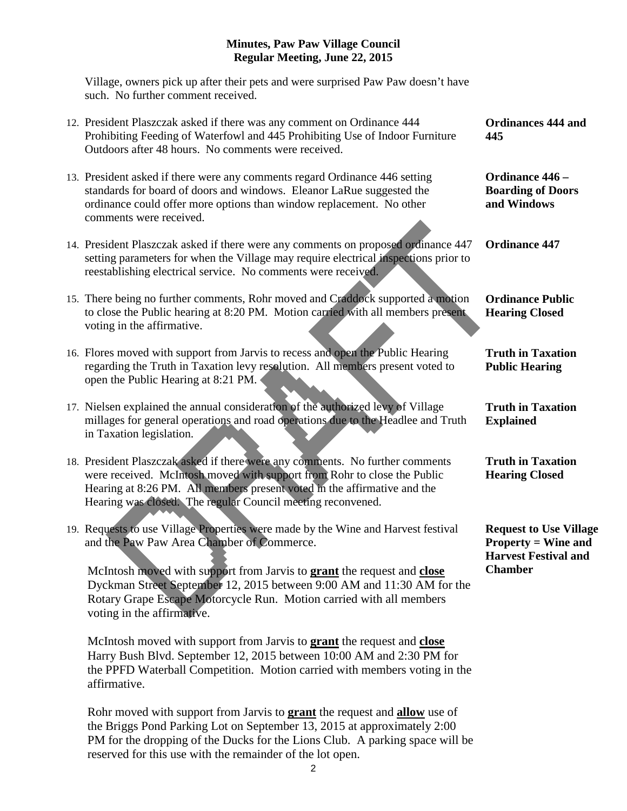Village, owners pick up after their pets and were surprised Paw Paw doesn't have such. No further comment received.

12. President Plaszczak asked if there was any comment on Ordinance 444 Prohibiting Feeding of Waterfowl and 445 Prohibiting Use of Indoor Furniture Outdoors after 48 hours. No comments were received. 13. President asked if there were any comments regard Ordinance 446 setting standards for board of doors and windows. Eleanor LaRue suggested the ordinance could offer more options than window replacement. No other comments were received. 14. President Plaszczak asked if there were any comments on proposed ordinance 447 setting parameters for when the Village may require electrical inspections prior to reestablishing electrical service. No comments were received. 15. There being no further comments, Rohr moved and Craddock supported a motion to close the Public hearing at 8:20 PM. Motion carried with all members present voting in the affirmative. 16. Flores moved with support from Jarvis to recess and open the Public Hearing regarding the Truth in Taxation levy resolution. All members present voted to open the Public Hearing at 8:21 PM. 17. Nielsen explained the annual consideration of the authorized levy of Village millages for general operations and road operations due to the Headlee and Truth in Taxation legislation. 18. President Plaszczak asked if there were any comments. No further comments were received. McIntosh moved with support from Rohr to close the Public Hearing at 8:26 PM. All members present voted in the affirmative and the Hearing was closed. The regular Council meeting reconvened. 19. Requests to use Village Properties were made by the Wine and Harvest festival and the Paw Paw Area Chamber of Commerce. McIntosh moved with support from Jarvis to **grant** the request and **close** Dyckman Street September 12, 2015 between 9:00 AM and 11:30 AM for the Rotary Grape Escape Motorcycle Run. Motion carried with all members voting in the affirmative. McIntosh moved with support from Jarvis to **grant** the request and **close** Harry Bush Blvd. September 12, 2015 between 10:00 AM and 2:30 PM for the PPFD Waterball Competition. Motion carried with members voting in the affirmative. Rohr moved with support from Jarvis to **grant** the request and **allow** use of the Briggs Pond Parking Lot on September 13, 2015 at approximately 2:00 PM for the dropping of the Ducks for the Lions Club. A parking space will be **Ordinances 444 and 445 Ordinance 446 – Boarding of Doors and Windows Ordinance 447 Ordinance Public Hearing Closed Truth in Taxation Public Hearing Truth in Taxation Explained Truth in Taxation Hearing Closed Request to Use Village Property = Wine and Harvest Festival and Chamber**

reserved for this use with the remainder of the lot open.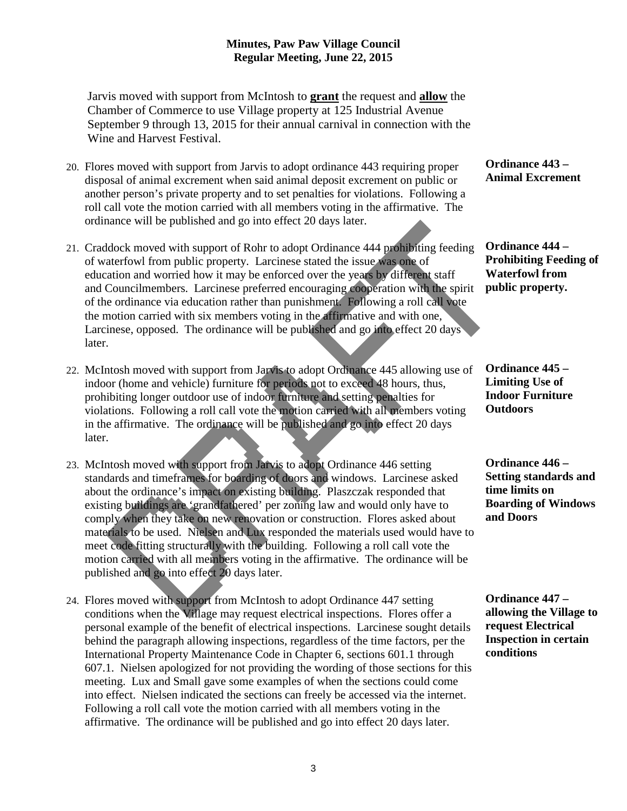Jarvis moved with support from McIntosh to **grant** the request and **allow** the Chamber of Commerce to use Village property at 125 Industrial Avenue September 9 through 13, 2015 for their annual carnival in connection with the Wine and Harvest Festival.

- 20. Flores moved with support from Jarvis to adopt ordinance 443 requiring proper disposal of animal excrement when said animal deposit excrement on public or another person's private property and to set penalties for violations. Following a roll call vote the motion carried with all members voting in the affirmative. The ordinance will be published and go into effect 20 days later.
- 21. Craddock moved with support of Rohr to adopt Ordinance 444 prohibiting feeding of waterfowl from public property. Larcinese stated the issue was one of education and worried how it may be enforced over the years by different staff and Councilmembers. Larcinese preferred encouraging cooperation with the spirit of the ordinance via education rather than punishment. Following a roll call vote the motion carried with six members voting in the affirmative and with one, Larcinese, opposed. The ordinance will be published and go into effect 20 days later.
- 22. McIntosh moved with support from Jarvis to adopt Ordinance 445 allowing use of indoor (home and vehicle) furniture for periods not to exceed 48 hours, thus, prohibiting longer outdoor use of indoor furniture and setting penalties for violations. Following a roll call vote the motion carried with all members voting in the affirmative. The ordinance will be published and go into effect 20 days later.
- 23. McIntosh moved with support from Jarvis to adopt Ordinance 446 setting standards and timeframes for boarding of doors and windows. Larcinese asked about the ordinance's impact on existing building. Plaszczak responded that existing buildings are 'grandfathered' per zoning law and would only have to comply when they take on new renovation or construction. Flores asked about materials to be used. Nielsen and Lux responded the materials used would have to meet code fitting structurally with the building. Following a roll call vote the motion carried with all members voting in the affirmative. The ordinance will be published and go into effect 20 days later.
- 24. Flores moved with support from McIntosh to adopt Ordinance 447 setting conditions when the Village may request electrical inspections. Flores offer a personal example of the benefit of electrical inspections. Larcinese sought details behind the paragraph allowing inspections, regardless of the time factors, per the International Property Maintenance Code in Chapter 6, sections 601.1 through 607.1. Nielsen apologized for not providing the wording of those sections for this meeting. Lux and Small gave some examples of when the sections could come into effect. Nielsen indicated the sections can freely be accessed via the internet. Following a roll call vote the motion carried with all members voting in the affirmative. The ordinance will be published and go into effect 20 days later.

**Ordinance 443 – Animal Excrement**

**Ordinance 444 – Prohibiting Feeding of Waterfowl from public property.**

**Ordinance 445 – Limiting Use of Indoor Furniture Outdoors**

**Ordinance 446 – Setting standards and time limits on Boarding of Windows and Doors**

**Ordinance 447 – allowing the Village to request Electrical Inspection in certain conditions**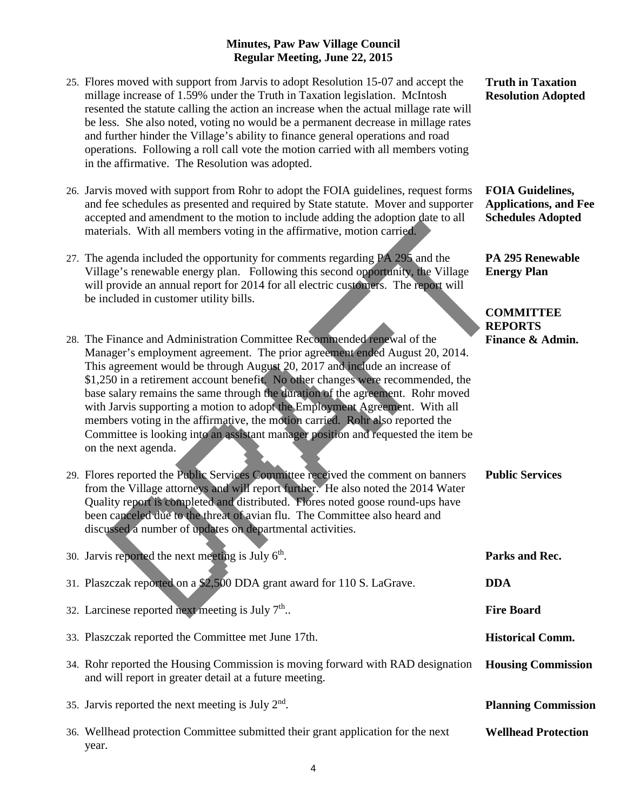- 25. Flores moved with support from Jarvis to adopt Resolution 15-07 and accept the millage increase of 1.59% under the Truth in Taxation legislation. McIntosh resented the statute calling the action an increase when the actual millage rate will be less. She also noted, voting no would be a permanent decrease in millage rates and further hinder the Village's ability to finance general operations and road operations. Following a roll call vote the motion carried with all members voting in the affirmative. The Resolution was adopted.
- 26. Jarvis moved with support from Rohr to adopt the FOIA guidelines, request forms and fee schedules as presented and required by State statute. Mover and supporter accepted and amendment to the motion to include adding the adoption date to all materials. With all members voting in the affirmative, motion carried.

be included in customer utility bills.

year.

27. The agenda included the opportunity for comments regarding PA 295 and the Village's renewable energy plan. Following this second opportunity, the Village will provide an annual report for 2014 for all electric customers. The report will 28. The Finance and Administration Committee Recommended renewal of the Manager's employment agreement. The prior agreement ended August 20, 2014. This agreement would be through August 20, 2017 and include an increase of \$1,250 in a retirement account benefit. No other changes were recommended, the base salary remains the same through the duration of the agreement. Rohr moved with Jarvis supporting a motion to adopt the Employment Agreement. With all members voting in the affirmative, the motion carried. Rohr also reported the **PA 295 Renewable Energy Plan COMMITTEE REPORTS Finance & Admin. Public Services** 

| members voting in the affirmative, the motion carried. Rohr also reported the<br>Committee is looking into an assistant manager position and requested the item be<br>on the next agenda.                                                                                                                                                                                                          |                            |
|----------------------------------------------------------------------------------------------------------------------------------------------------------------------------------------------------------------------------------------------------------------------------------------------------------------------------------------------------------------------------------------------------|----------------------------|
| 29. Flores reported the Public Services Committee received the comment on banners<br>from the Village attorneys and will report further. He also noted the 2014 Water<br>Quality report is completed and distributed. Flores noted goose round-ups have<br>been canceled due to the threat of avian flu. The Committee also heard and<br>discussed a number of updates on departmental activities. | <b>Public Services</b>     |
| 30. Jarvis reported the next meeting is July $6th$ .                                                                                                                                                                                                                                                                                                                                               | Parks and Rec.             |
| 31. Plaszczak reported on a \$2,500 DDA grant award for 110 S. LaGrave.                                                                                                                                                                                                                                                                                                                            | <b>DDA</b>                 |
| 32. Larcinese reported next meeting is July $7th$ .                                                                                                                                                                                                                                                                                                                                                | <b>Fire Board</b>          |
| 33. Plaszczak reported the Committee met June 17th.                                                                                                                                                                                                                                                                                                                                                | <b>Historical Comm.</b>    |
| 34. Rohr reported the Housing Commission is moving forward with RAD designation <b>Housing Commission</b><br>and will report in greater detail at a future meeting.                                                                                                                                                                                                                                |                            |
| 35. Jarvis reported the next meeting is July $2nd$ .                                                                                                                                                                                                                                                                                                                                               | <b>Planning Commission</b> |
| 36. Wellhead protection Committee submitted their grant application for the next                                                                                                                                                                                                                                                                                                                   | <b>Wellhead Protection</b> |

**FOIA Guidelines, Applications, and Fee Schedules Adopted**

4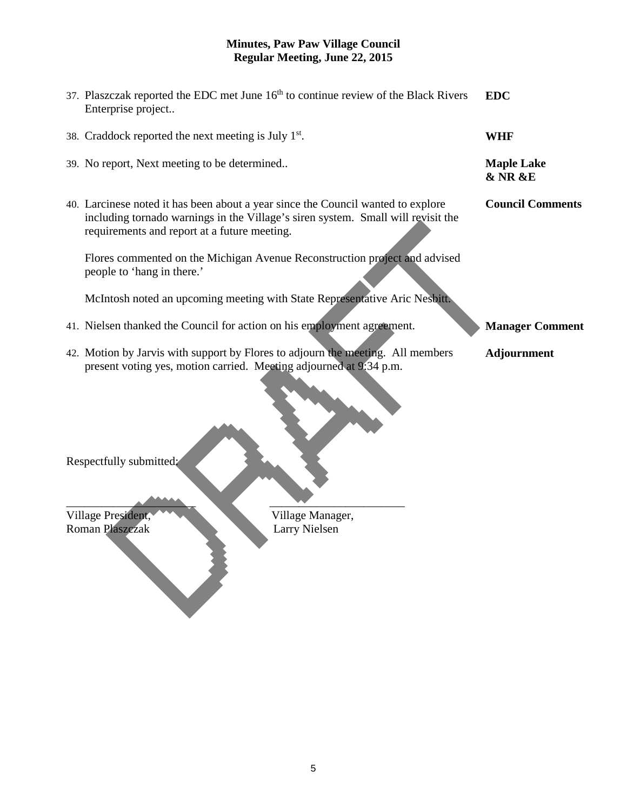- 37. Plaszczak reported the EDC met June  $16<sup>th</sup>$  to continue review of the Black Rivers Enterprise project.. **EDC**
- 38. Craddock reported the next meeting is July  $1<sup>st</sup>$ .
- 39. No report, Next meeting to be determined..
- 40. Larcinese noted it has been about a year since the Council wanted to explore including tornado warnings in the Village's siren system. Small will revisit the requirements and report at a future meeting. **Council Comments**

Flores commented on the Michigan Avenue Reconstruction project and advised people to 'hang in there.'

McIntosh noted an upcoming meeting with State Representative Aric Nesbitt.

- 41. Nielsen thanked the Council for action on his employment agreement.
- 42. Motion by Jarvis with support by Flores to adjourn the meeting. All members present voting yes, motion carried. Meeting adjourned at 9:34 p.m.

**Manager Comment**

**Adjournment**

Respectfully submitted:

\_\_\_\_\_\_\_\_\_\_\_\_\_\_\_\_\_\_\_\_\_\_ \_\_\_\_\_\_\_\_\_\_\_\_\_\_\_\_\_\_\_\_\_\_\_ Village President, Village Manager, Roman Plaszczak Larry Nielsen

**WHF**

**Maple Lake & NR &E**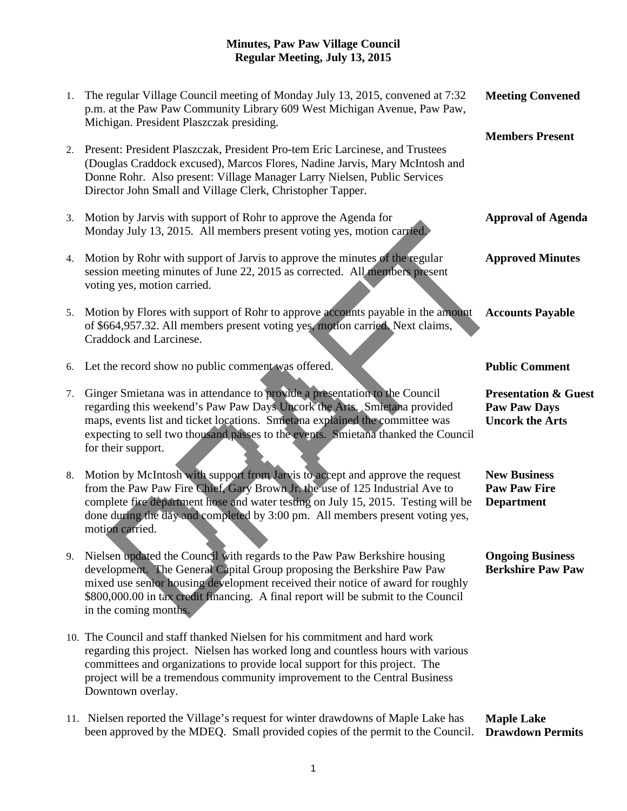| 1. | The regular Village Council meeting of Monday July 13, 2015, convened at 7:32<br>p.m. at the Paw Paw Community Library 609 West Michigan Avenue, Paw Paw,<br>Michigan. President Plaszczak presiding.                                                                                                                                                  | <b>Meeting Convened</b>                                                          |
|----|--------------------------------------------------------------------------------------------------------------------------------------------------------------------------------------------------------------------------------------------------------------------------------------------------------------------------------------------------------|----------------------------------------------------------------------------------|
| 2. | Present: President Plaszczak, President Pro-tem Eric Larcinese, and Trustees<br>(Douglas Craddock excused), Marcos Flores, Nadine Jarvis, Mary McIntosh and<br>Donne Rohr. Also present: Village Manager Larry Nielsen, Public Services<br>Director John Small and Village Clerk, Christopher Tapper.                                                  | <b>Members Present</b>                                                           |
| 3. | Motion by Jarvis with support of Rohr to approve the Agenda for<br>Monday July 13, 2015. All members present voting yes, motion carried.                                                                                                                                                                                                               | <b>Approval of Agenda</b>                                                        |
| 4. | Motion by Rohr with support of Jarvis to approve the minutes of the regular<br>session meeting minutes of June 22, 2015 as corrected. All members present<br>voting yes, motion carried.                                                                                                                                                               | <b>Approved Minutes</b>                                                          |
| 5. | Motion by Flores with support of Rohr to approve accounts payable in the amount<br>of \$664,957.32. All members present voting yes, motion carried. Next claims,<br>Craddock and Larcinese.                                                                                                                                                            | <b>Accounts Payable</b>                                                          |
| 6. | Let the record show no public comment was offered.                                                                                                                                                                                                                                                                                                     | <b>Public Comment</b>                                                            |
| 7. | Ginger Smietana was in attendance to provide a presentation to the Council<br>regarding this weekend's Paw Paw Days Uncork the Arts. Smietana provided<br>maps, events list and ticket locations. Smietana explained the committee was<br>expecting to sell two thousand passes to the events. Smietana thanked the Council<br>for their support.      | <b>Presentation &amp; Guest</b><br><b>Paw Paw Days</b><br><b>Uncork the Arts</b> |
| 8. | Motion by McIntosh with support from Jarvis to accept and approve the request<br>from the Paw Paw Fire Chief, Gary Brown Jr. the use of 125 Industrial Ave to<br>complete fire department hose and water testing on July 15, 2015. Testing will be<br>done during the day and completed by 3:00 pm. All members present voting yes,<br>motion carried. | <b>New Business</b><br><b>Paw Paw Fire</b><br><b>Department</b>                  |
| 9. | Nielsen updated the Council with regards to the Paw Paw Berkshire housing<br>development. The General Capital Group proposing the Berkshire Paw Paw<br>mixed use senior housing development received their notice of award for roughly<br>\$800,000.00 in tax credit financing. A final report will be submit to the Council<br>in the coming months.  | <b>Ongoing Business</b><br><b>Berkshire Paw Paw</b>                              |
|    | 10. The Council and staff thanked Nielsen for his commitment and hard work<br>regarding this project. Nielsen has worked long and countless hours with various<br>committees and organizations to provide local support for this project. The<br>project will be a tremendous community improvement to the Central Business<br>Downtown overlay.       |                                                                                  |
|    | 11. Nielsen reported the Village's request for winter drawdowns of Maple Lake has<br>been approved by the MDEQ. Small provided copies of the permit to the Council.                                                                                                                                                                                    | <b>Maple Lake</b><br><b>Drawdown Permits</b>                                     |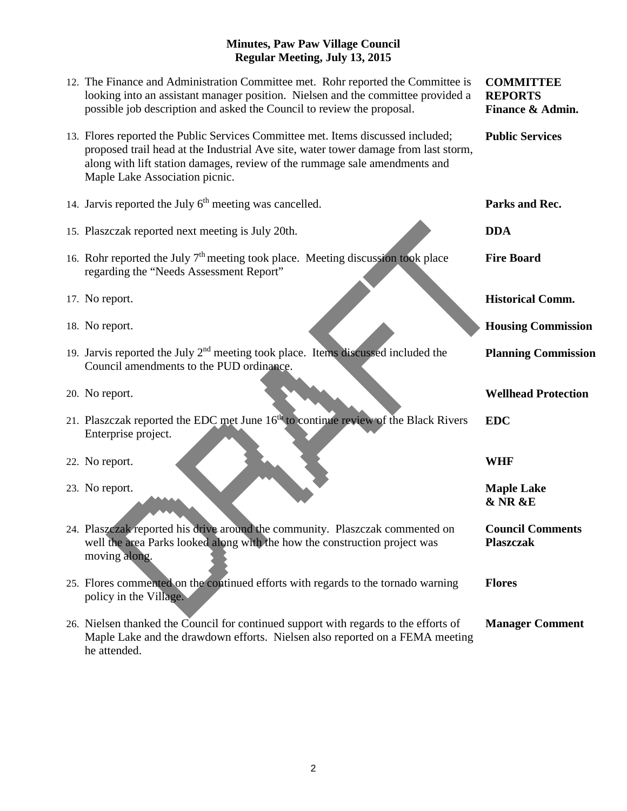| 12. The Finance and Administration Committee met. Rohr reported the Committee is<br>looking into an assistant manager position. Nielsen and the committee provided a<br>possible job description and asked the Council to review the proposal.                                          | <b>COMMITTEE</b><br><b>REPORTS</b><br>Finance & Admin. |
|-----------------------------------------------------------------------------------------------------------------------------------------------------------------------------------------------------------------------------------------------------------------------------------------|--------------------------------------------------------|
| 13. Flores reported the Public Services Committee met. Items discussed included;<br>proposed trail head at the Industrial Ave site, water tower damage from last storm,<br>along with lift station damages, review of the rummage sale amendments and<br>Maple Lake Association picnic. | <b>Public Services</b>                                 |
| 14. Jarvis reported the July 6 <sup>th</sup> meeting was cancelled.                                                                                                                                                                                                                     | Parks and Rec.                                         |
| 15. Plaszczak reported next meeting is July 20th.                                                                                                                                                                                                                                       | <b>DDA</b>                                             |
| 16. Rohr reported the July 7 <sup>th</sup> meeting took place. Meeting discussion took place<br>regarding the "Needs Assessment Report"                                                                                                                                                 | <b>Fire Board</b>                                      |
| 17. No report.                                                                                                                                                                                                                                                                          | <b>Historical Comm.</b>                                |
| 18. No report.                                                                                                                                                                                                                                                                          | <b>Housing Commission</b>                              |
| 19. Jarvis reported the July $2nd$ meeting took place. Items discussed included the<br>Council amendments to the PUD ordinance.                                                                                                                                                         | <b>Planning Commission</b>                             |
| 20. No report.                                                                                                                                                                                                                                                                          | <b>Wellhead Protection</b>                             |
| 21. Plaszczak reported the EDC met June 16 <sup>th</sup> to continue review of the Black Rivers<br>Enterprise project.                                                                                                                                                                  | <b>EDC</b>                                             |
| 22. No report.                                                                                                                                                                                                                                                                          | <b>WHF</b>                                             |
| 23. No report.                                                                                                                                                                                                                                                                          | <b>Maple Lake</b><br><b>&amp; NR &amp;E</b>            |
| 24. Plaszczak reported his drive around the community. Plaszczak commented on<br>well the area Parks looked along with the how the construction project was<br>moving along.                                                                                                            | <b>Council Comments</b><br><b>Plaszczak</b>            |
| 25. Flores commented on the continued efforts with regards to the tornado warning<br>policy in the Village.                                                                                                                                                                             | <b>Flores</b>                                          |
| 26. Nielsen thanked the Council for continued support with regards to the efforts of<br>Maple Lake and the drawdown efforts. Nielsen also reported on a FEMA meeting<br>he attended.                                                                                                    | <b>Manager Comment</b>                                 |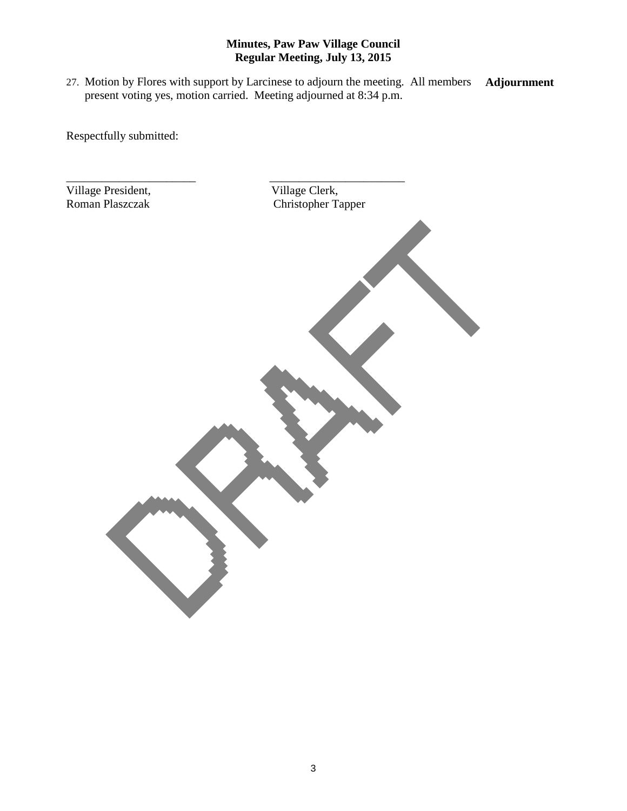27. Motion by Flores with support by Larcinese to adjourn the meeting. All members **Adjournment**present voting yes, motion carried. Meeting adjourned at 8:34 p.m.

Respectfully submitted:

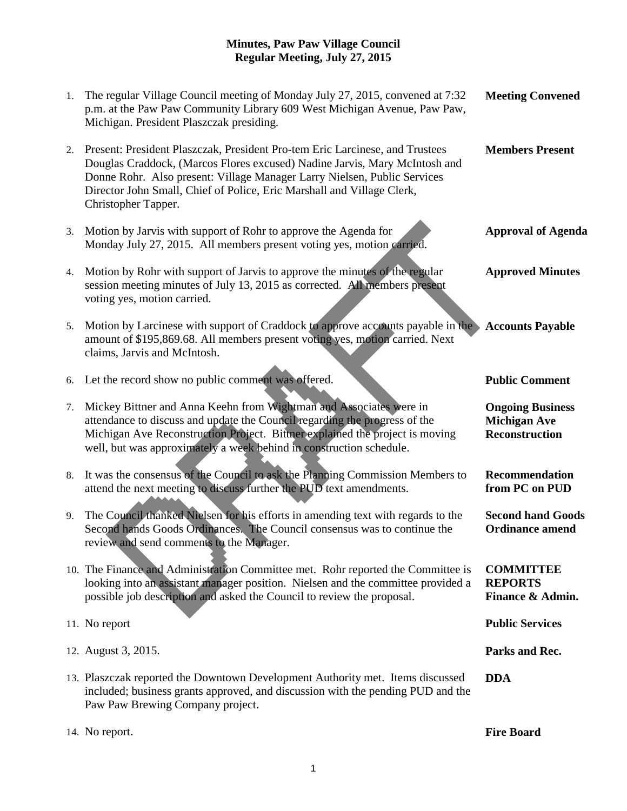| 1. | The regular Village Council meeting of Monday July 27, 2015, convened at 7:32<br>p.m. at the Paw Paw Community Library 609 West Michigan Avenue, Paw Paw,<br>Michigan. President Plaszczak presiding.                                                                                                                                   | <b>Meeting Convened</b>                                          |
|----|-----------------------------------------------------------------------------------------------------------------------------------------------------------------------------------------------------------------------------------------------------------------------------------------------------------------------------------------|------------------------------------------------------------------|
| 2. | Present: President Plaszczak, President Pro-tem Eric Larcinese, and Trustees<br>Douglas Craddock, (Marcos Flores excused) Nadine Jarvis, Mary McIntosh and<br>Donne Rohr. Also present: Village Manager Larry Nielsen, Public Services<br>Director John Small, Chief of Police, Eric Marshall and Village Clerk,<br>Christopher Tapper. | <b>Members Present</b>                                           |
| 3. | Motion by Jarvis with support of Rohr to approve the Agenda for<br>Monday July 27, 2015. All members present voting yes, motion carried.                                                                                                                                                                                                | <b>Approval of Agenda</b>                                        |
| 4. | Motion by Rohr with support of Jarvis to approve the minutes of the regular<br>session meeting minutes of July 13, 2015 as corrected. All members present<br>voting yes, motion carried.                                                                                                                                                | <b>Approved Minutes</b>                                          |
| 5. | Motion by Larcinese with support of Craddock to approve accounts payable in the<br>amount of \$195,869.68. All members present voting yes, motion carried. Next<br>claims, Jarvis and McIntosh.                                                                                                                                         | <b>Accounts Payable</b>                                          |
| 6. | Let the record show no public comment was offered.                                                                                                                                                                                                                                                                                      | <b>Public Comment</b>                                            |
| 7. | Mickey Bittner and Anna Keehn from Wightman and Associates were in<br>attendance to discuss and update the Council regarding the progress of the<br>Michigan Ave Reconstruction Project. Bittner explained the project is moving<br>well, but was approximately a week behind in construction schedule.                                 | <b>Ongoing Business</b><br><b>Michigan Ave</b><br>Reconstruction |
| 8. | It was the consensus of the Council to ask the Planning Commission Members to<br>attend the next meeting to discuss further the PUD text amendments.                                                                                                                                                                                    | <b>Recommendation</b><br>from PC on PUD                          |
| 9. | The Council thanked Nielsen for his efforts in amending text with regards to the<br>Second hands Goods Ordinances. The Council consensus was to continue the<br>review and send comments to the Manager.                                                                                                                                | <b>Second hand Goods</b><br><b>Ordinance amend</b>               |
|    | 10. The Finance and Administration Committee met. Rohr reported the Committee is<br>looking into an assistant manager position. Nielsen and the committee provided a<br>possible job description and asked the Council to review the proposal.                                                                                          | <b>COMMITTEE</b><br><b>REPORTS</b><br>Finance & Admin.           |
|    | 11. No report                                                                                                                                                                                                                                                                                                                           | <b>Public Services</b>                                           |
|    | 12. August 3, 2015.                                                                                                                                                                                                                                                                                                                     | Parks and Rec.                                                   |
|    | 13. Plaszczak reported the Downtown Development Authority met. Items discussed<br>included; business grants approved, and discussion with the pending PUD and the<br>Paw Paw Brewing Company project.                                                                                                                                   | <b>DDA</b>                                                       |
|    | 14. No report.                                                                                                                                                                                                                                                                                                                          | <b>Fire Board</b>                                                |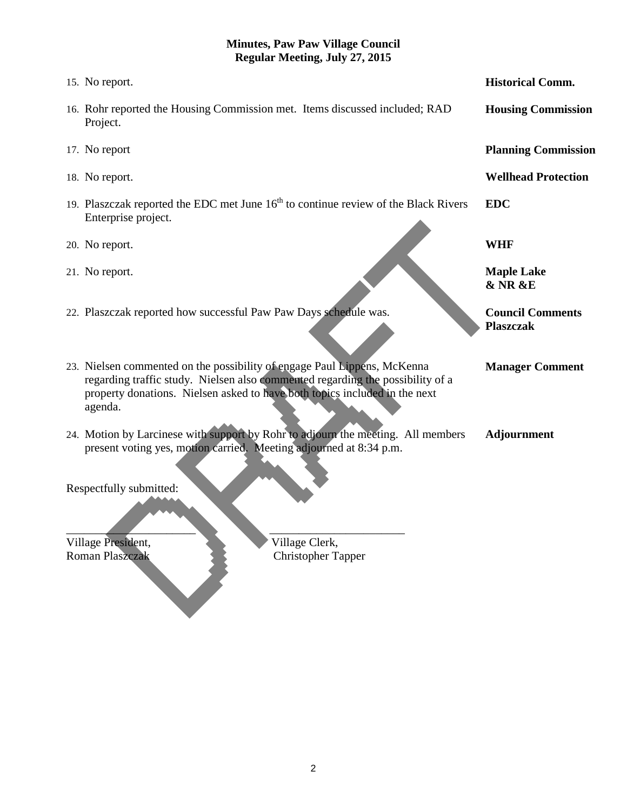15. No report. 16. Rohr reported the Housing Commission met. Items discussed included; RAD Project. 17. No report 18. No report. 19. Plaszczak reported the EDC met June  $16<sup>th</sup>$  to continue review of the Black Rivers Enterprise project. 20. No report. 21. No report. 22. Plaszczak reported how successful Paw Paw Days schedule was. 23. Nielsen commented on the possibility of engage Paul Lippens, McKenna regarding traffic study. Nielsen also commented regarding the possibility of a property donations. Nielsen asked to have both topics included in the next agenda. 24. Motion by Larcinese with support by Rohr to adjourn the meeting. All members present voting yes, motion carried. Meeting adjourned at 8:34 p.m. **Historical Comm. Housing Commission Planning Commission Wellhead Protection EDC WHF Maple Lake & NR &E Council Comments Plaszczak Manager Comment Adjournment**

Respectfully submitted:

| Village President,     | Village Clerk,            |  |
|------------------------|---------------------------|--|
| <b>Roman Plaszczak</b> | <b>Christopher Tapper</b> |  |
|                        |                           |  |
|                        |                           |  |

2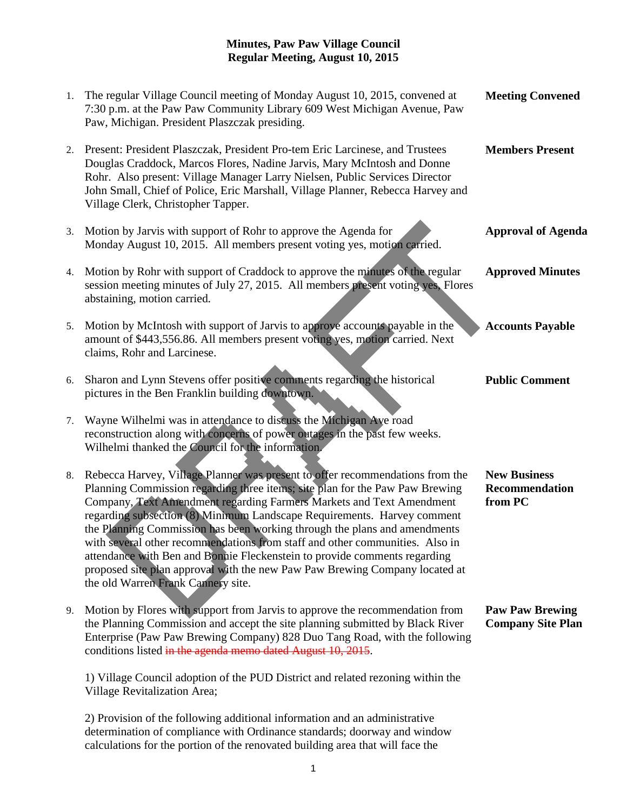| 1. | The regular Village Council meeting of Monday August 10, 2015, convened at<br>7:30 p.m. at the Paw Paw Community Library 609 West Michigan Avenue, Paw<br>Paw, Michigan. President Plaszczak presiding.                                                                                                                                                                                                                                                                                                                                                                                                                                                                         | <b>Meeting Convened</b>                            |
|----|---------------------------------------------------------------------------------------------------------------------------------------------------------------------------------------------------------------------------------------------------------------------------------------------------------------------------------------------------------------------------------------------------------------------------------------------------------------------------------------------------------------------------------------------------------------------------------------------------------------------------------------------------------------------------------|----------------------------------------------------|
| 2. | Present: President Plaszczak, President Pro-tem Eric Larcinese, and Trustees<br>Douglas Craddock, Marcos Flores, Nadine Jarvis, Mary McIntosh and Donne<br>Rohr. Also present: Village Manager Larry Nielsen, Public Services Director<br>John Small, Chief of Police, Eric Marshall, Village Planner, Rebecca Harvey and<br>Village Clerk, Christopher Tapper.                                                                                                                                                                                                                                                                                                                 | <b>Members Present</b>                             |
| 3. | Motion by Jarvis with support of Rohr to approve the Agenda for<br>Monday August 10, 2015. All members present voting yes, motion carried.                                                                                                                                                                                                                                                                                                                                                                                                                                                                                                                                      | <b>Approval of Agenda</b>                          |
| 4. | Motion by Rohr with support of Craddock to approve the minutes of the regular<br>session meeting minutes of July 27, 2015. All members present voting yes, Flores<br>abstaining, motion carried.                                                                                                                                                                                                                                                                                                                                                                                                                                                                                | <b>Approved Minutes</b>                            |
| 5. | Motion by McIntosh with support of Jarvis to approve accounts payable in the<br>amount of \$443,556.86. All members present voting yes, motion carried. Next<br>claims, Rohr and Larcinese.                                                                                                                                                                                                                                                                                                                                                                                                                                                                                     | <b>Accounts Payable</b>                            |
| 6. | Sharon and Lynn Stevens offer positive comments regarding the historical<br>pictures in the Ben Franklin building downtown.                                                                                                                                                                                                                                                                                                                                                                                                                                                                                                                                                     | <b>Public Comment</b>                              |
| 7. | Wayne Wilhelmi was in attendance to discuss the Michigan Ave road<br>reconstruction along with concerns of power outages in the past few weeks.<br>Wilhelmi thanked the Council for the information.                                                                                                                                                                                                                                                                                                                                                                                                                                                                            |                                                    |
| 8. | Rebecca Harvey, Village Planner was present to offer recommendations from the<br>Planning Commission regarding three items; site plan for the Paw Paw Brewing<br>Company, Text Amendment regarding Farmers Markets and Text Amendment<br>regarding subsection (8) Minimum Landscape Requirements. Harvey comment<br>the Planning Commission has been working through the plans and amendments<br>with several other recommendations from staff and other communities. Also in<br>attendance with Ben and Bonnie Fleckenstein to provide comments regarding<br>proposed site plan approval with the new Paw Paw Brewing Company located at<br>the old Warren Frank Cannery site. | <b>New Business</b><br>Recommendation<br>from PC   |
| 9. | Motion by Flores with support from Jarvis to approve the recommendation from<br>the Planning Commission and accept the site planning submitted by Black River<br>Enterprise (Paw Paw Brewing Company) 828 Duo Tang Road, with the following<br>conditions listed in the agenda memo dated August 10, 2015.                                                                                                                                                                                                                                                                                                                                                                      | <b>Paw Paw Brewing</b><br><b>Company Site Plan</b> |
|    | 1) Village Council adoption of the PUD District and related rezoning within the<br>Village Revitalization Area;                                                                                                                                                                                                                                                                                                                                                                                                                                                                                                                                                                 |                                                    |

2) Provision of the following additional information and an administrative determination of compliance with Ordinance standards; doorway and window calculations for the portion of the renovated building area that will face the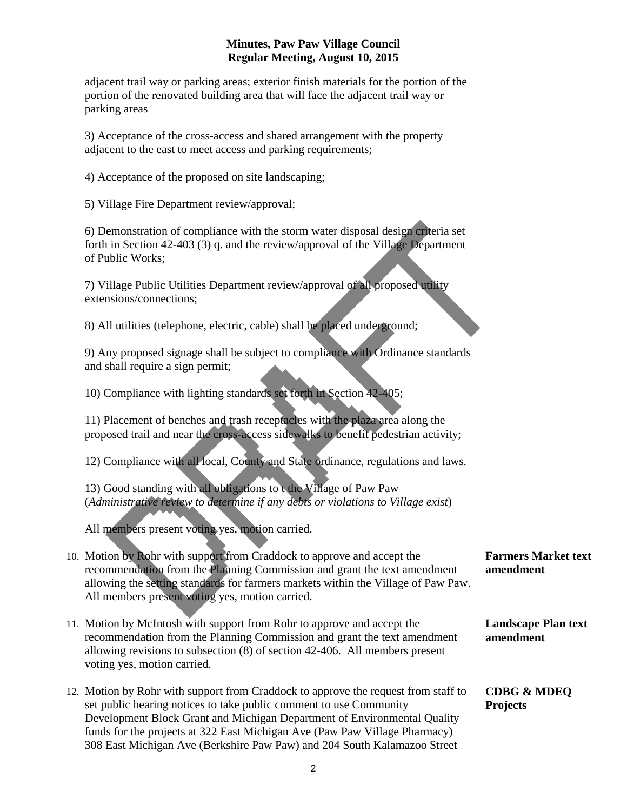adjacent trail way or parking areas; exterior finish materials for the portion of the portion of the renovated building area that will face the adjacent trail way or parking areas

3) Acceptance of the cross-access and shared arrangement with the property adjacent to the east to meet access and parking requirements;

4) Acceptance of the proposed on site landscaping;

5) Village Fire Department review/approval;

6) Demonstration of compliance with the storm water disposal design criteria set forth in Section 42-403 (3) q. and the review/approval of the Village Department of Public Works;

7) Village Public Utilities Department review/approval of all proposed utility extensions/connections;

8) All utilities (telephone, electric, cable) shall be placed underground;

9) Any proposed signage shall be subject to compliance with Ordinance standards and shall require a sign permit;

10) Compliance with lighting standards set forth in Section 42-405;

11) Placement of benches and trash receptacles with the plaza area along the proposed trail and near the cross-access sidewalks to benefit pedestrian activity;

12) Compliance with all local, County and State ordinance, regulations and laws.

13) Good standing with all obligations to t the Village of Paw Paw (*Administrative review to determine if any debts or violations to Village exist*)

All members present voting yes, motion carried.

- 10. Motion by Rohr with support from Craddock to approve and accept the recommendation from the Planning Commission and grant the text amendment allowing the setting standards for farmers markets within the Village of Paw Paw. All members present voting yes, motion carried.
- 11. Motion by McIntosh with support from Rohr to approve and accept the recommendation from the Planning Commission and grant the text amendment allowing revisions to subsection (8) of section 42-406. All members present voting yes, motion carried.
- 12. Motion by Rohr with support from Craddock to approve the request from staff to set public hearing notices to take public comment to use Community Development Block Grant and Michigan Department of Environmental Quality funds for the projects at 322 East Michigan Ave (Paw Paw Village Pharmacy) 308 East Michigan Ave (Berkshire Paw Paw) and 204 South Kalamazoo Street

**Farmers Market text amendment**

**Landscape Plan text amendment** 

**CDBG & MDEQ Projects**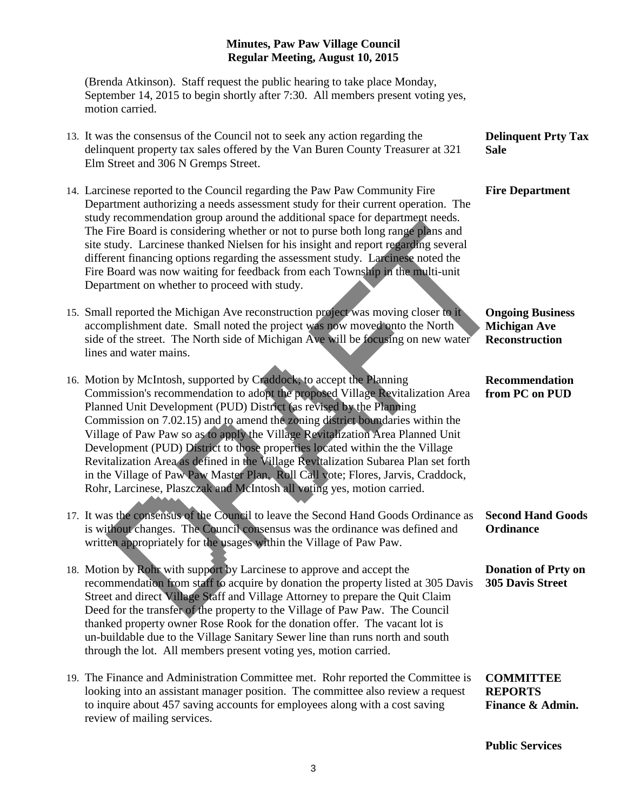(Brenda Atkinson). Staff request the public hearing to take place Monday, September 14, 2015 to begin shortly after 7:30. All members present voting yes, motion carried.

- 13. It was the consensus of the Council not to seek any action regarding the delinquent property tax sales offered by the Van Buren County Treasurer at 321 Elm Street and 306 N Gremps Street.
- 14. Larcinese reported to the Council regarding the Paw Paw Community Fire Department authorizing a needs assessment study for their current operation. The study recommendation group around the additional space for department needs. The Fire Board is considering whether or not to purse both long range plans and site study. Larcinese thanked Nielsen for his insight and report regarding several different financing options regarding the assessment study. Larcinese noted the Fire Board was now waiting for feedback from each Township in the multi-unit Department on whether to proceed with study.
- 15. Small reported the Michigan Ave reconstruction project was moving closer to it accomplishment date. Small noted the project was now moved onto the North side of the street. The North side of Michigan Ave will be focusing on new water lines and water mains.
- 16. Motion by McIntosh, supported by Craddock, to accept the Planning Commission's recommendation to adopt the proposed Village Revitalization Area Planned Unit Development (PUD) District (as revised by the Planning Commission on 7.02.15) and to amend the zoning district boundaries within the Village of Paw Paw so as to apply the Village Revitalization Area Planned Unit Development (PUD) District to those properties located within the the Village Revitalization Area as defined in the Village Revitalization Subarea Plan set forth in the Village of Paw Paw Master Plan. Roll Call vote; Flores, Jarvis, Craddock, Rohr, Larcinese, Plaszczak and McIntosh all voting yes, motion carried.
- 17. It was the consensus of the Council to leave the Second Hand Goods Ordinance as is without changes. The Council consensus was the ordinance was defined and written appropriately for the usages within the Village of Paw Paw.
- 18. Motion by Rohr with support by Larcinese to approve and accept the recommendation from staff to acquire by donation the property listed at 305 Davis Street and direct Village Staff and Village Attorney to prepare the Quit Claim Deed for the transfer of the property to the Village of Paw Paw. The Council thanked property owner Rose Rook for the donation offer. The vacant lot is un-buildable due to the Village Sanitary Sewer line than runs north and south through the lot. All members present voting yes, motion carried.
- 19. The Finance and Administration Committee met. Rohr reported the Committee is looking into an assistant manager position. The committee also review a request to inquire about 457 saving accounts for employees along with a cost saving review of mailing services. **COMMITTEE REPORTS Finance & Admin.**

**Public Services** 

#### **Fire Department**

**Ongoing Business Michigan Ave Reconstruction**

**Recommendation from PC on PUD**

**Second Hand Goods Ordinance**

**Donation of Prty on 305 Davis Street**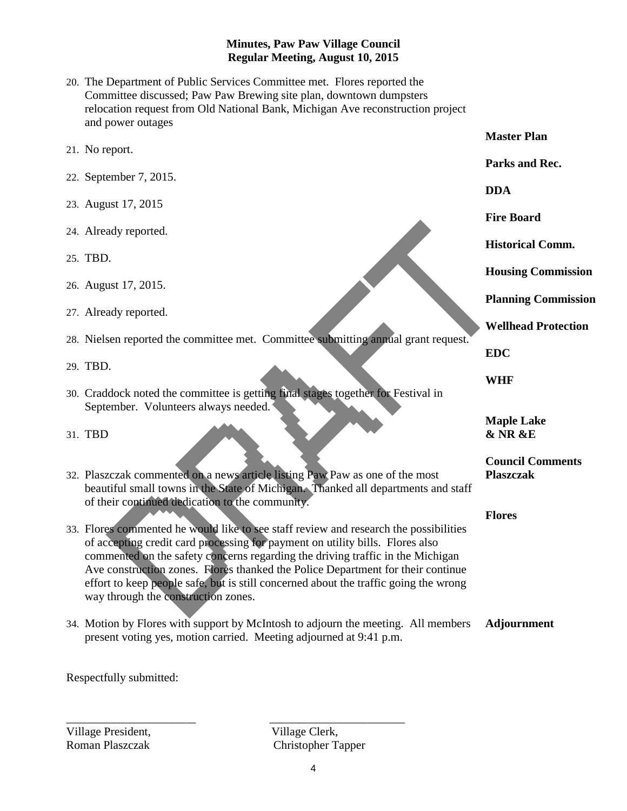20. The Department of Public Services Committee met. Flores reported the Committee discussed; Paw Paw Brewing site plan, downtown dumpsters relocation request from Old National Bank, Michigan Ave reconstruction project and power outages

|                                                                                                                                                                 | <b>Master Plan</b>                          |
|-----------------------------------------------------------------------------------------------------------------------------------------------------------------|---------------------------------------------|
| 21. No report.                                                                                                                                                  | Parks and Rec.                              |
| 22. September 7, 2015.                                                                                                                                          | <b>DDA</b>                                  |
| 23. August 17, 2015                                                                                                                                             | <b>Fire Board</b>                           |
| 24. Already reported.                                                                                                                                           |                                             |
| 25. TBD.                                                                                                                                                        | <b>Historical Comm.</b>                     |
| 26. August 17, 2015.                                                                                                                                            | <b>Housing Commission</b>                   |
| 27. Already reported.                                                                                                                                           | <b>Planning Commission</b>                  |
|                                                                                                                                                                 | <b>Wellhead Protection</b>                  |
| 28. Nielsen reported the committee met. Committee submitting annual grant request.                                                                              | <b>EDC</b>                                  |
| 29. TBD.                                                                                                                                                        | <b>WHF</b>                                  |
| 30. Craddock noted the committee is getting final stages together for Festival in<br>September. Volunteers always needed.                                       |                                             |
| 31. TBD                                                                                                                                                         | <b>Maple Lake</b><br><b>&amp; NR &amp;E</b> |
|                                                                                                                                                                 |                                             |
| 32. Plaszczak commented on a news article listing Paw Paw as one of the most                                                                                    | <b>Council Comments</b><br><b>Plaszczak</b> |
| beautiful small towns in the State of Michigan. Thanked all departments and staff<br>of their continued dedication to the community.                            |                                             |
| 33. Flores commented he would like to see staff review and research the possibilities                                                                           | <b>Flores</b>                               |
| of accepting credit card processing for payment on utility bills. Flores also<br>commented on the safety concerns regarding the driving traffic in the Michigan |                                             |
| Ave construction zones. Flores thanked the Police Department for their continue                                                                                 |                                             |
| effort to keep people safe, but is still concerned about the traffic going the wrong<br>way through the construction zones.                                     |                                             |
| 34. Motion by Flores with support by McIntosh to adjourn the meeting. All members                                                                               | <b>Adjournment</b>                          |
| present voting yes, motion carried. Meeting adjourned at 9:41 p.m.                                                                                              |                                             |
|                                                                                                                                                                 |                                             |

Respectfully submitted:

Village President, Village Clerk, Noman Plaszczak (Christopher Ta

\_\_\_\_\_\_\_\_\_\_\_\_\_\_\_\_\_\_\_\_\_\_ \_\_\_\_\_\_\_\_\_\_\_\_\_\_\_\_\_\_\_\_\_\_\_ Christopher Tapper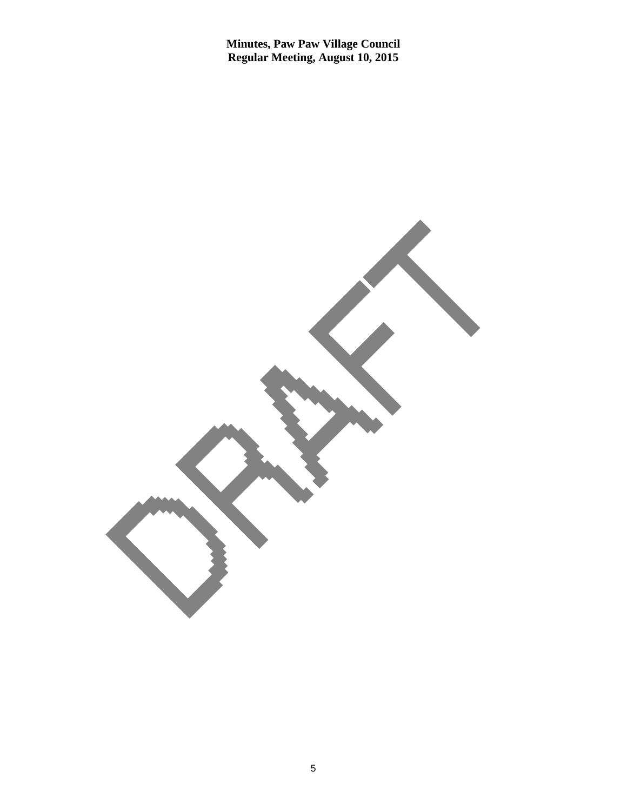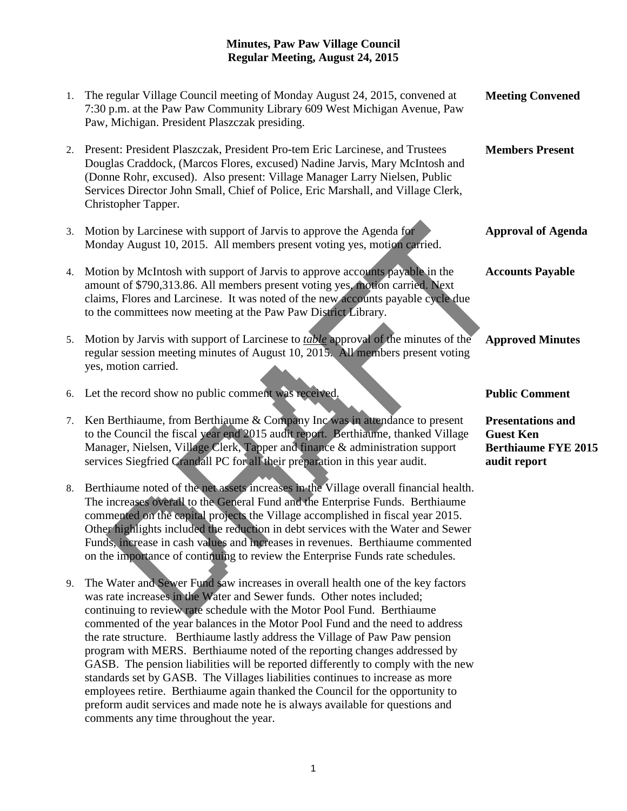| 1. | The regular Village Council meeting of Monday August 24, 2015, convened at<br>7:30 p.m. at the Paw Paw Community Library 609 West Michigan Avenue, Paw<br>Paw, Michigan. President Plaszczak presiding.                                                                                                                                                                                                                                                                                                                                                                                                                                                                                                                                                                                                                                                              | <b>Meeting Convened</b>                                                                    |
|----|----------------------------------------------------------------------------------------------------------------------------------------------------------------------------------------------------------------------------------------------------------------------------------------------------------------------------------------------------------------------------------------------------------------------------------------------------------------------------------------------------------------------------------------------------------------------------------------------------------------------------------------------------------------------------------------------------------------------------------------------------------------------------------------------------------------------------------------------------------------------|--------------------------------------------------------------------------------------------|
| 2. | Present: President Plaszczak, President Pro-tem Eric Larcinese, and Trustees<br>Douglas Craddock, (Marcos Flores, excused) Nadine Jarvis, Mary McIntosh and<br>(Donne Rohr, excused). Also present: Village Manager Larry Nielsen, Public<br>Services Director John Small, Chief of Police, Eric Marshall, and Village Clerk,<br>Christopher Tapper.                                                                                                                                                                                                                                                                                                                                                                                                                                                                                                                 | <b>Members Present</b>                                                                     |
| 3. | Motion by Larcinese with support of Jarvis to approve the Agenda for<br>Monday August 10, 2015. All members present voting yes, motion carried.                                                                                                                                                                                                                                                                                                                                                                                                                                                                                                                                                                                                                                                                                                                      | <b>Approval of Agenda</b>                                                                  |
| 4. | Motion by McIntosh with support of Jarvis to approve accounts payable in the<br>amount of \$790,313.86. All members present voting yes, motion carried. Next<br>claims, Flores and Larcinese. It was noted of the new accounts payable cycle due<br>to the committees now meeting at the Paw Paw District Library.                                                                                                                                                                                                                                                                                                                                                                                                                                                                                                                                                   | <b>Accounts Payable</b>                                                                    |
| 5. | Motion by Jarvis with support of Larcinese to <i>table</i> approval of the minutes of the<br>regular session meeting minutes of August 10, 2015. All members present voting<br>yes, motion carried.                                                                                                                                                                                                                                                                                                                                                                                                                                                                                                                                                                                                                                                                  | <b>Approved Minutes</b>                                                                    |
| 6. | Let the record show no public comment was received.                                                                                                                                                                                                                                                                                                                                                                                                                                                                                                                                                                                                                                                                                                                                                                                                                  | <b>Public Comment</b>                                                                      |
| 7. | Ken Berthiaume, from Berthiaume & Company Inc was in attendance to present<br>to the Council the fiscal year end 2015 audit report. Berthiaume, thanked Village<br>Manager, Nielsen, Village Clerk, Tapper and finance & administration support<br>services Siegfried Crandall PC for all their preparation in this year audit.                                                                                                                                                                                                                                                                                                                                                                                                                                                                                                                                      | <b>Presentations and</b><br><b>Guest Ken</b><br><b>Berthiaume FYE 2015</b><br>audit report |
| 8. | Berthiaume noted of the net assets increases in the Village overall financial health.<br>The increases overall to the General Fund and the Enterprise Funds. Berthiaume<br>commented on the capital projects the Village accomplished in fiscal year 2015.<br>Other highlights included the reduction in debt services with the Water and Sewer<br>Funds, increase in cash values and increases in revenues. Berthiaume commented<br>on the importance of continuing to review the Enterprise Funds rate schedules.                                                                                                                                                                                                                                                                                                                                                  |                                                                                            |
| 9. | The Water and Sewer Fund saw increases in overall health one of the key factors<br>was rate increases in the Water and Sewer funds. Other notes included;<br>continuing to review rate schedule with the Motor Pool Fund. Berthiaume<br>commented of the year balances in the Motor Pool Fund and the need to address<br>the rate structure. Berthiaume lastly address the Village of Paw Paw pension<br>program with MERS. Berthiaume noted of the reporting changes addressed by<br>GASB. The pension liabilities will be reported differently to comply with the new<br>standards set by GASB. The Villages liabilities continues to increase as more<br>employees retire. Berthiaume again thanked the Council for the opportunity to<br>preform audit services and made note he is always available for questions and<br>comments any time throughout the year. |                                                                                            |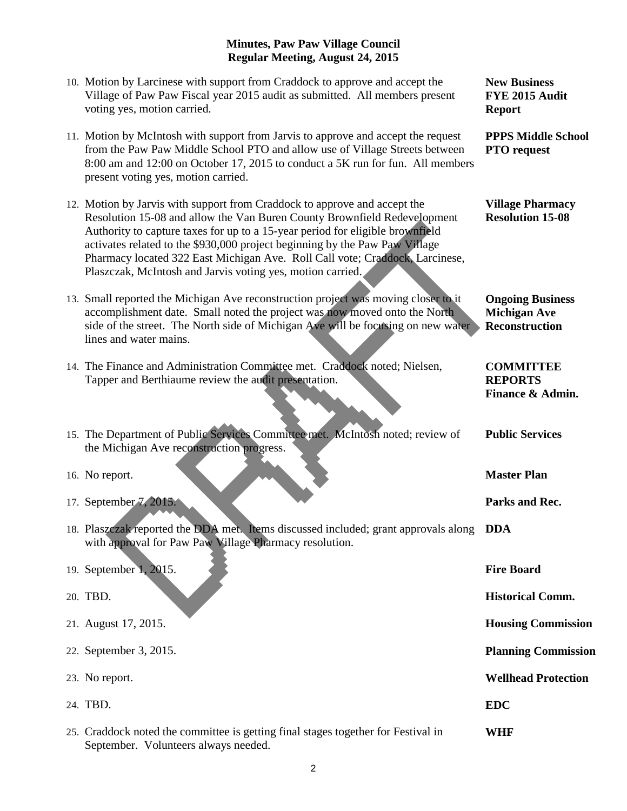| 10. Motion by Larcinese with support from Craddock to approve and accept the<br>Village of Paw Paw Fiscal year 2015 audit as submitted. All members present<br>voting yes, motion carried.                                                                                                                                                                                                                                                                          | <b>New Business</b><br>FYE 2015 Audit<br><b>Report</b>                  |
|---------------------------------------------------------------------------------------------------------------------------------------------------------------------------------------------------------------------------------------------------------------------------------------------------------------------------------------------------------------------------------------------------------------------------------------------------------------------|-------------------------------------------------------------------------|
| 11. Motion by McIntosh with support from Jarvis to approve and accept the request<br>from the Paw Paw Middle School PTO and allow use of Village Streets between<br>8:00 am and 12:00 on October 17, 2015 to conduct a 5K run for fun. All members<br>present voting yes, motion carried.                                                                                                                                                                           | <b>PPPS Middle School</b><br><b>PTO</b> request                         |
| 12. Motion by Jarvis with support from Craddock to approve and accept the<br>Resolution 15-08 and allow the Van Buren County Brownfield Redevelopment<br>Authority to capture taxes for up to a 15-year period for eligible brownfield<br>activates related to the \$930,000 project beginning by the Paw Paw Village<br>Pharmacy located 322 East Michigan Ave. Roll Call vote; Craddock, Larcinese,<br>Plaszczak, McIntosh and Jarvis voting yes, motion carried. | <b>Village Pharmacy</b><br><b>Resolution 15-08</b>                      |
| 13. Small reported the Michigan Ave reconstruction project was moving closer to it<br>accomplishment date. Small noted the project was now moved onto the North<br>side of the street. The North side of Michigan Ave will be focusing on new water<br>lines and water mains.                                                                                                                                                                                       | <b>Ongoing Business</b><br><b>Michigan Ave</b><br><b>Reconstruction</b> |
| 14. The Finance and Administration Committee met. Craddock noted; Nielsen,<br>Tapper and Berthiaume review the audit presentation.                                                                                                                                                                                                                                                                                                                                  | <b>COMMITTEE</b><br><b>REPORTS</b><br>Finance & Admin.                  |
| 15. The Department of Public Services Committee met. McIntosh noted; review of<br>the Michigan Ave reconstruction progress.                                                                                                                                                                                                                                                                                                                                         | <b>Public Services</b>                                                  |
| 16. No report.                                                                                                                                                                                                                                                                                                                                                                                                                                                      | <b>Master Plan</b>                                                      |
| 17. September 7, 2015.                                                                                                                                                                                                                                                                                                                                                                                                                                              | Parks and Rec.                                                          |
| 18. Plaszczak reported the DDA met. Items discussed included; grant approvals along<br>with approval for Paw Paw Village Pharmacy resolution.                                                                                                                                                                                                                                                                                                                       | <b>DDA</b>                                                              |
| 19. September 1, 2015.                                                                                                                                                                                                                                                                                                                                                                                                                                              | <b>Fire Board</b>                                                       |
| 20. TBD.                                                                                                                                                                                                                                                                                                                                                                                                                                                            | <b>Historical Comm.</b>                                                 |
| 21. August 17, 2015.                                                                                                                                                                                                                                                                                                                                                                                                                                                | <b>Housing Commission</b>                                               |
| 22. September 3, 2015.                                                                                                                                                                                                                                                                                                                                                                                                                                              | <b>Planning Commission</b>                                              |
| 23. No report.                                                                                                                                                                                                                                                                                                                                                                                                                                                      | <b>Wellhead Protection</b>                                              |
| 24. TBD.                                                                                                                                                                                                                                                                                                                                                                                                                                                            | <b>EDC</b>                                                              |
| 25. Craddock noted the committee is getting final stages together for Festival in<br>September. Volunteers always needed.                                                                                                                                                                                                                                                                                                                                           | <b>WHF</b>                                                              |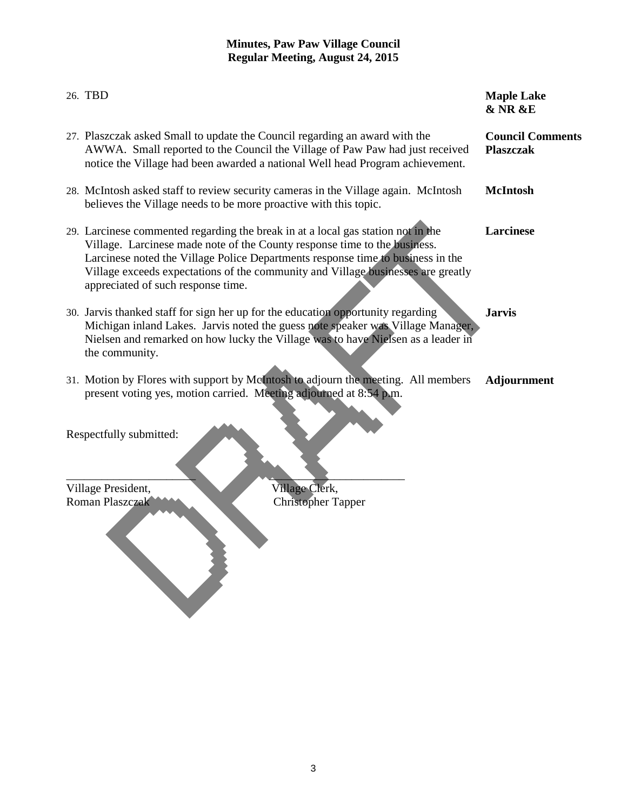| 26. TBD                                                                                                                                                                                                                                                                                                                                                                    | <b>Maple Lake</b><br>& NR &E                |
|----------------------------------------------------------------------------------------------------------------------------------------------------------------------------------------------------------------------------------------------------------------------------------------------------------------------------------------------------------------------------|---------------------------------------------|
| 27. Plaszczak asked Small to update the Council regarding an award with the<br>AWWA. Small reported to the Council the Village of Paw Paw had just received<br>notice the Village had been awarded a national Well head Program achievement.                                                                                                                               | <b>Council Comments</b><br><b>Plaszczak</b> |
| 28. McIntosh asked staff to review security cameras in the Village again. McIntosh<br>believes the Village needs to be more proactive with this topic.                                                                                                                                                                                                                     | <b>McIntosh</b>                             |
| 29. Larcinese commented regarding the break in at a local gas station not in the<br>Village. Larcinese made note of the County response time to the business.<br>Larcinese noted the Village Police Departments response time to business in the<br>Village exceeds expectations of the community and Village businesses are greatly<br>appreciated of such response time. | Larcinese                                   |
| 30. Jarvis thanked staff for sign her up for the education opportunity regarding<br>Michigan inland Lakes. Jarvis noted the guess note speaker was Village Manager,<br>Nielsen and remarked on how lucky the Village was to have Nielsen as a leader in<br>the community.                                                                                                  | <b>Jarvis</b>                               |
| 31. Motion by Flores with support by McIntosh to adjourn the meeting. All members<br>present voting yes, motion carried. Meeting adjourned at 8:54 p.m.                                                                                                                                                                                                                    | <b>Adjournment</b>                          |
| Respectfully submitted:                                                                                                                                                                                                                                                                                                                                                    |                                             |
| Village Clerk,<br>Village President,<br>Roman Plaszczak<br><b>Christopher Tapper</b>                                                                                                                                                                                                                                                                                       |                                             |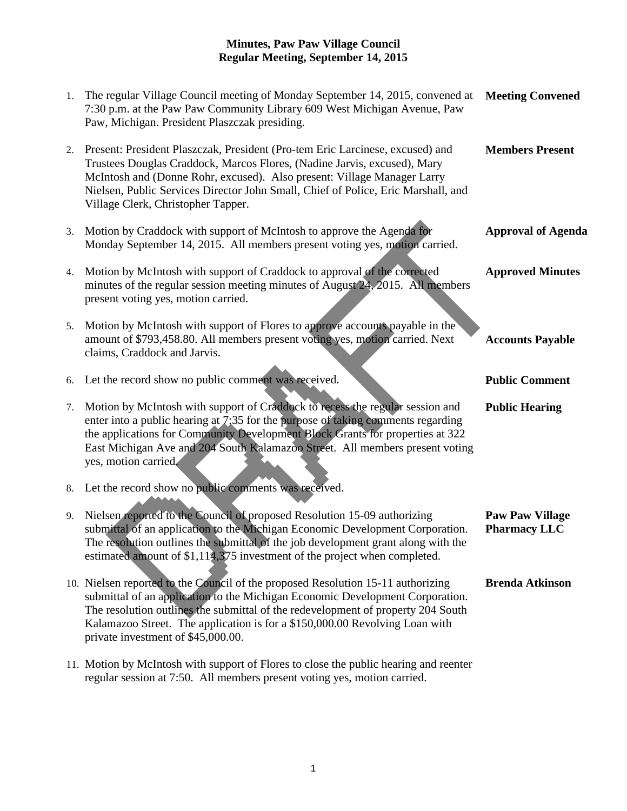## **Minutes, Paw Paw Village Council Regular Meeting, September 14, 2015**

| 1. | The regular Village Council meeting of Monday September 14, 2015, convened at<br>7:30 p.m. at the Paw Paw Community Library 609 West Michigan Avenue, Paw<br>Paw, Michigan. President Plaszczak presiding.                                                                                                                                                                 | <b>Meeting Convened</b>                       |
|----|----------------------------------------------------------------------------------------------------------------------------------------------------------------------------------------------------------------------------------------------------------------------------------------------------------------------------------------------------------------------------|-----------------------------------------------|
| 2. | Present: President Plaszczak, President (Pro-tem Eric Larcinese, excused) and<br>Trustees Douglas Craddock, Marcos Flores, (Nadine Jarvis, excused), Mary<br>McIntosh and (Donne Rohr, excused). Also present: Village Manager Larry<br>Nielsen, Public Services Director John Small, Chief of Police, Eric Marshall, and<br>Village Clerk, Christopher Tapper.            | <b>Members Present</b>                        |
| 3. | Motion by Craddock with support of McIntosh to approve the Agenda for<br>Monday September 14, 2015. All members present voting yes, motion carried.                                                                                                                                                                                                                        | <b>Approval of Agenda</b>                     |
| 4. | Motion by McIntosh with support of Craddock to approval of the corrected<br>minutes of the regular session meeting minutes of August 24, 2015. All members<br>present voting yes, motion carried.                                                                                                                                                                          | <b>Approved Minutes</b>                       |
| 5. | Motion by McIntosh with support of Flores to approve accounts payable in the<br>amount of \$793,458.80. All members present voting yes, motion carried. Next<br>claims, Craddock and Jarvis.                                                                                                                                                                               | <b>Accounts Payable</b>                       |
| 6. | Let the record show no public comment was received.                                                                                                                                                                                                                                                                                                                        | <b>Public Comment</b>                         |
| 7. | Motion by McIntosh with support of Craddock to recess the regular session and<br>enter into a public hearing at $7:35$ for the purpose of taking comments regarding<br>the applications for Community Development Block Grants for properties at 322<br>East Michigan Ave and 204 South Kalamazoo Street. All members present voting<br>yes, motion carried.               | <b>Public Hearing</b>                         |
| 8. | Let the record show no public comments was received.                                                                                                                                                                                                                                                                                                                       |                                               |
| 9. | Nielsen reported to the Council of proposed Resolution 15-09 authorizing<br>submittal of an application to the Michigan Economic Development Corporation.<br>The resolution outlines the submittal of the job development grant along with the<br>estimated amount of \$1,114,375 investment of the project when completed.                                                | <b>Paw Paw Village</b><br><b>Pharmacy LLC</b> |
|    | 10. Nielsen reported to the Council of the proposed Resolution 15-11 authorizing<br>submittal of an application to the Michigan Economic Development Corporation.<br>The resolution outlines the submittal of the redevelopment of property 204 South<br>Kalamazoo Street. The application is for a \$150,000.00 Revolving Loan with<br>private investment of \$45,000.00. | <b>Brenda Atkinson</b>                        |
|    | 11. Motion by McIntosh with support of Flores to close the public hearing and reenter<br>regular session at 7:50. All members present voting yes, motion carried.                                                                                                                                                                                                          |                                               |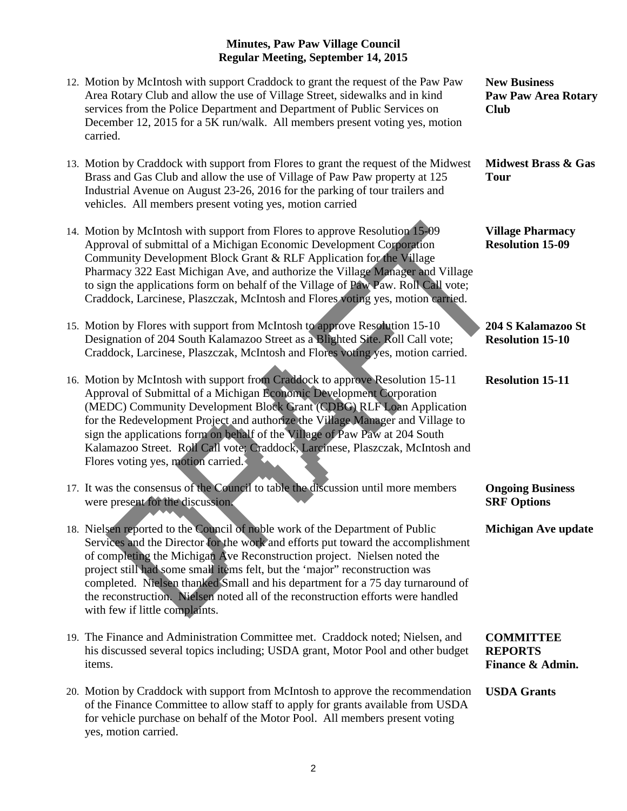## **Minutes, Paw Paw Village Council Regular Meeting, September 14, 2015**

| 12. Motion by McIntosh with support Craddock to grant the request of the Paw Paw<br>Area Rotary Club and allow the use of Village Street, sidewalks and in kind<br>services from the Police Department and Department of Public Services on<br>December 12, 2015 for a 5K run/walk. All members present voting yes, motion<br>carried.                                                                                                                                                                                               | <b>New Business</b><br><b>Paw Paw Area Rotary</b><br><b>Club</b> |
|--------------------------------------------------------------------------------------------------------------------------------------------------------------------------------------------------------------------------------------------------------------------------------------------------------------------------------------------------------------------------------------------------------------------------------------------------------------------------------------------------------------------------------------|------------------------------------------------------------------|
| 13. Motion by Craddock with support from Flores to grant the request of the Midwest<br>Brass and Gas Club and allow the use of Village of Paw Paw property at 125<br>Industrial Avenue on August 23-26, 2016 for the parking of tour trailers and<br>vehicles. All members present voting yes, motion carried                                                                                                                                                                                                                        | <b>Midwest Brass &amp; Gas</b><br><b>Tour</b>                    |
| 14. Motion by McIntosh with support from Flores to approve Resolution 15-09<br>Approval of submittal of a Michigan Economic Development Corporation<br>Community Development Block Grant & RLF Application for the Village<br>Pharmacy 322 East Michigan Ave, and authorize the Village Manager and Village<br>to sign the applications form on behalf of the Village of Paw Paw. Roll Call vote;<br>Craddock, Larcinese, Plaszczak, McIntosh and Flores voting yes, motion carried.                                                 | <b>Village Pharmacy</b><br><b>Resolution 15-09</b>               |
| 15. Motion by Flores with support from McIntosh to approve Resolution 15-10<br>Designation of 204 South Kalamazoo Street as a Blighted Site. Roll Call vote;<br>Craddock, Larcinese, Plaszczak, McIntosh and Flores voting yes, motion carried.                                                                                                                                                                                                                                                                                      | 204 S Kalamazoo St<br><b>Resolution 15-10</b>                    |
| 16. Motion by McIntosh with support from Craddock to approve Resolution 15-11<br>Approval of Submittal of a Michigan Economic Development Corporation<br>(MEDC) Community Development Block Grant (CDBG) RLF Loan Application<br>for the Redevelopment Project and authorize the Village Manager and Village to<br>sign the applications form on behalf of the Village of Paw Paw at 204 South<br>Kalamazoo Street. Roll Call vote; Craddock, Larcinese, Plaszczak, McIntosh and<br>Flores voting yes, motion carried.               | <b>Resolution 15-11</b>                                          |
| 17. It was the consensus of the Council to table the discussion until more members<br>were present for the discussion.                                                                                                                                                                                                                                                                                                                                                                                                               | <b>Ongoing Business</b><br><b>SRF Options</b>                    |
| 18. Nielsen reported to the Council of noble work of the Department of Public<br>Services and the Director for the work and efforts put toward the accomplishment<br>of completing the Michigan Ave Reconstruction project. Nielsen noted the<br>project still had some small items felt, but the 'major' reconstruction was<br>completed. Nielsen thanked Small and his department for a 75 day turnaround of<br>the reconstruction. Nielsen noted all of the reconstruction efforts were handled<br>with few if little complaints. | <b>Michigan Ave update</b>                                       |
| 19. The Finance and Administration Committee met. Craddock noted; Nielsen, and<br>his discussed several topics including; USDA grant, Motor Pool and other budget<br>items.                                                                                                                                                                                                                                                                                                                                                          | <b>COMMITTEE</b><br><b>REPORTS</b><br>Finance & Admin.           |
| 20. Motion by Craddock with support from McIntosh to approve the recommendation<br>of the Finance Committee to allow staff to apply for grants available from USDA<br>for vehicle purchase on behalf of the Motor Pool. All members present voting<br>yes, motion carried.                                                                                                                                                                                                                                                           | <b>USDA Grants</b>                                               |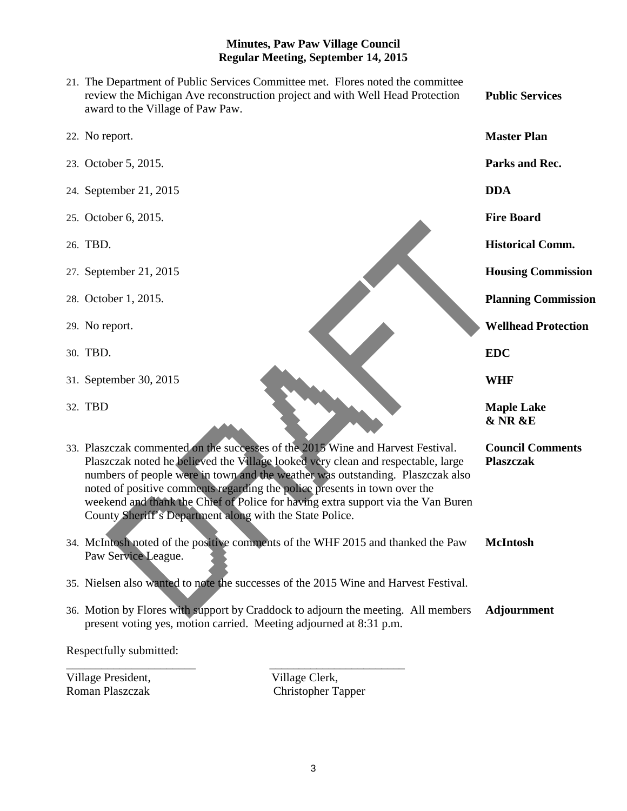#### **Minutes, Paw Paw Village Council Regular Meeting, September 14, 2015**

21. The Department of Public Services Committee met. Flores noted the committee review the Michigan Ave reconstruction project and with Well Head Protection award to the Village of Paw Paw. 22. No report. 23. October 5, 2015. 24. September 21, 2015 25. October 6, 2015. 26. TBD. 27. September 21, 2015 28. October 1, 2015. 29. No report. 30. TBD. 31. September 30, 2015 32. TBD 33. Plaszczak commented on the successes of the 2015 Wine and Harvest Festival. Plaszczak noted he believed the Village looked very clean and respectable, large numbers of people were in town and the weather was outstanding. Plaszczak also noted of positive comments regarding the police presents in town over the weekend and thank the Chief of Police for having extra support via the Van Buren County Sheriff's Department along with the State Police. 34. McIntosh noted of the positive comments of the WHF 2015 and thanked the Paw Paw Service League. 35. Nielsen also wanted to note the successes of the 2015 Wine and Harvest Festival. 36. Motion by Flores with support by Craddock to adjourn the meeting. All members present voting yes, motion carried. Meeting adjourned at 8:31 p.m. **Public Services Master Plan Parks and Rec. DDA Fire Board Historical Comm. Housing Commission Planning Commission Wellhead Protection EDC WHF Maple Lake & NR &E Council Comments Plaszczak McIntosh Adjournment**

Respectfully submitted:

Village President, Village Clerk,

Roman Plaszczak Christopher Tapper

\_\_\_\_\_\_\_\_\_\_\_\_\_\_\_\_\_\_\_\_\_\_ \_\_\_\_\_\_\_\_\_\_\_\_\_\_\_\_\_\_\_\_\_\_\_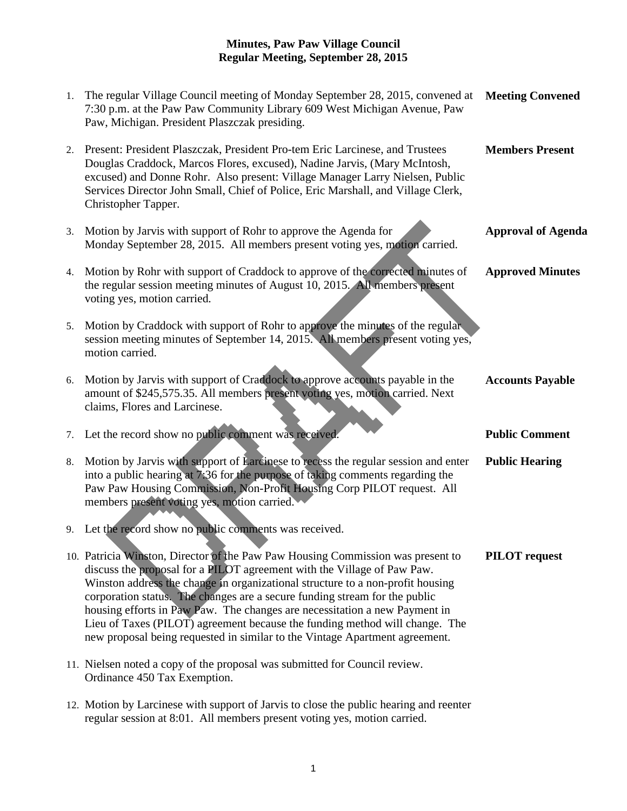## **Minutes, Paw Paw Village Council Regular Meeting, September 28, 2015**

| 1. | The regular Village Council meeting of Monday September 28, 2015, convened at<br>7:30 p.m. at the Paw Paw Community Library 609 West Michigan Avenue, Paw<br>Paw, Michigan. President Plaszczak presiding.                                                                                                                                                                                                                                                                                                                                                             | <b>Meeting Convened</b>   |
|----|------------------------------------------------------------------------------------------------------------------------------------------------------------------------------------------------------------------------------------------------------------------------------------------------------------------------------------------------------------------------------------------------------------------------------------------------------------------------------------------------------------------------------------------------------------------------|---------------------------|
| 2. | Present: President Plaszczak, President Pro-tem Eric Larcinese, and Trustees<br>Douglas Craddock, Marcos Flores, excused), Nadine Jarvis, (Mary McIntosh,<br>excused) and Donne Rohr. Also present: Village Manager Larry Nielsen, Public<br>Services Director John Small, Chief of Police, Eric Marshall, and Village Clerk,<br>Christopher Tapper.                                                                                                                                                                                                                   | <b>Members Present</b>    |
| 3. | Motion by Jarvis with support of Rohr to approve the Agenda for<br>Monday September 28, 2015. All members present voting yes, motion carried.                                                                                                                                                                                                                                                                                                                                                                                                                          | <b>Approval of Agenda</b> |
| 4. | Motion by Rohr with support of Craddock to approve of the corrected minutes of<br>the regular session meeting minutes of August 10, 2015. All members present<br>voting yes, motion carried.                                                                                                                                                                                                                                                                                                                                                                           | <b>Approved Minutes</b>   |
| 5. | Motion by Craddock with support of Rohr to approve the minutes of the regular<br>session meeting minutes of September 14, 2015. All members present voting yes,<br>motion carried.                                                                                                                                                                                                                                                                                                                                                                                     |                           |
| 6. | Motion by Jarvis with support of Craddock to approve accounts payable in the<br>amount of \$245,575.35. All members present voting yes, motion carried. Next<br>claims, Flores and Larcinese.                                                                                                                                                                                                                                                                                                                                                                          | <b>Accounts Payable</b>   |
|    | 7. Let the record show no public comment was received.                                                                                                                                                                                                                                                                                                                                                                                                                                                                                                                 | <b>Public Comment</b>     |
| 8. | Motion by Jarvis with support of Larcinese to recess the regular session and enter<br>into a public hearing at 7:36 for the purpose of taking comments regarding the<br>Paw Paw Housing Commission, Non-Profit Housing Corp PILOT request. All<br>members present voting yes, motion carried.                                                                                                                                                                                                                                                                          | <b>Public Hearing</b>     |
|    | 9. Let the record show no public comments was received.                                                                                                                                                                                                                                                                                                                                                                                                                                                                                                                |                           |
|    | 10. Patricia Winston, Director of the Paw Paw Housing Commission was present to<br>discuss the proposal for a PILOT agreement with the Village of Paw Paw.<br>Winston address the change in organizational structure to a non-profit housing<br>corporation status. The changes are a secure funding stream for the public<br>housing efforts in Paw Paw. The changes are necessitation a new Payment in<br>Lieu of Taxes (PILOT) agreement because the funding method will change. The<br>new proposal being requested in similar to the Vintage Apartment agreement. | <b>PILOT</b> request      |
|    | 11. Nielsen noted a copy of the proposal was submitted for Council review.<br>Ordinance 450 Tax Exemption.                                                                                                                                                                                                                                                                                                                                                                                                                                                             |                           |
|    | 12. Motion by Larcinese with support of Jarvis to close the public hearing and reenter<br>regular session at 8:01. All members present voting yes, motion carried.                                                                                                                                                                                                                                                                                                                                                                                                     |                           |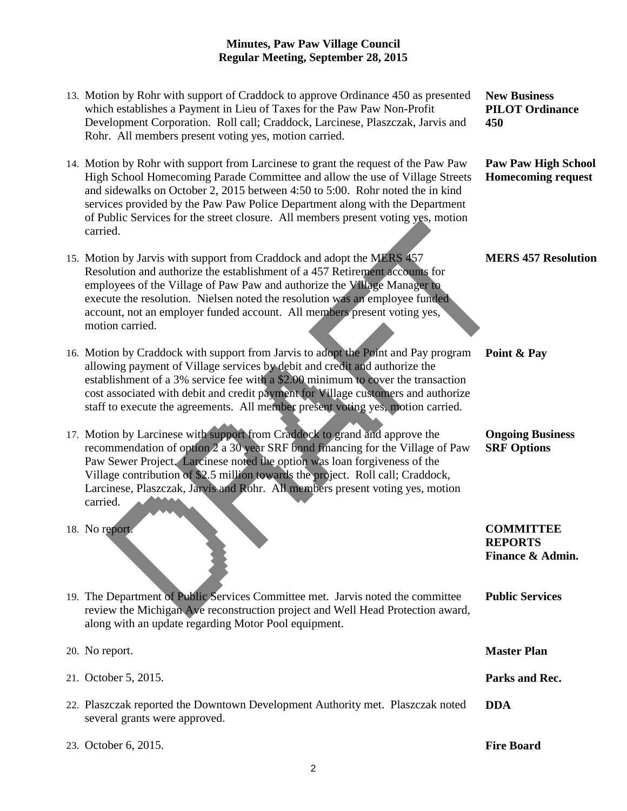#### **Minutes, Paw Paw Village Council Regular Meeting, September 28, 2015**

- 13. Motion by Rohr with support of Craddock to approve Ordinance 450 as presented which establishes a Payment in Lieu of Taxes for the Paw Paw Non-Profit Development Corporation. Roll call; Craddock, Larcinese, Plaszczak, Jarvis and Rohr. All members present voting yes, motion carried.
- 14. Motion by Rohr with support from Larcinese to grant the request of the Paw Paw High School Homecoming Parade Committee and allow the use of Village Streets and sidewalks on October 2, 2015 between 4:50 to 5:00. Rohr noted the in kind services provided by the Paw Paw Police Department along with the Department of Public Services for the street closure. All members present voting yes, motion carried.
- 15. Motion by Jarvis with support from Craddock and adopt the MERS 457 Resolution and authorize the establishment of a 457 Retirement accounts for employees of the Village of Paw Paw and authorize the Village Manager to execute the resolution. Nielsen noted the resolution was an employee funded account, not an employer funded account. All members present voting yes, motion carried.
- 16. Motion by Craddock with support from Jarvis to adopt the Point and Pay program allowing payment of Village services by debit and credit and authorize the establishment of a 3% service fee with a \$2.00 minimum to cover the transaction cost associated with debit and credit payment for Village customers and authorize staff to execute the agreements. All member present voting yes, motion carried.
- 17. Motion by Larcinese with support from Craddock to grand and approve the recommendation of option 2 a 30 year SRF bond financing for the Village of Paw Paw Sewer Project. Larcinese noted the option was loan forgiveness of the Village contribution of \$2.5 million towards the project. Roll call; Craddock, Larcinese, Plaszczak, Jarvis and Rohr. All members present voting yes, motion carried.
- 18. No report.

**New Business PILOT Ordinance 450**

**Paw Paw High School Homecoming request**

**MERS 457 Resolution**

**Point & Pay**

**Ongoing Business SRF Options**

**COMMITTEE REPORTS Finance & Admin.**

**Fire Board**

19. The Department of Public Services Committee met. Jarvis noted the committee review the Michigan Ave reconstruction project and Well Head Protection award, along with an update regarding Motor Pool equipment. **Public Services** 

| 20. No report.                                                                                                  | <b>Master Plan</b> |
|-----------------------------------------------------------------------------------------------------------------|--------------------|
| 21. October 5, 2015.                                                                                            | Parks and Rec.     |
| 22. Plaszczak reported the Downtown Development Authority met. Plaszczak noted<br>several grants were approved. | DDA                |

23. October 6, 2015.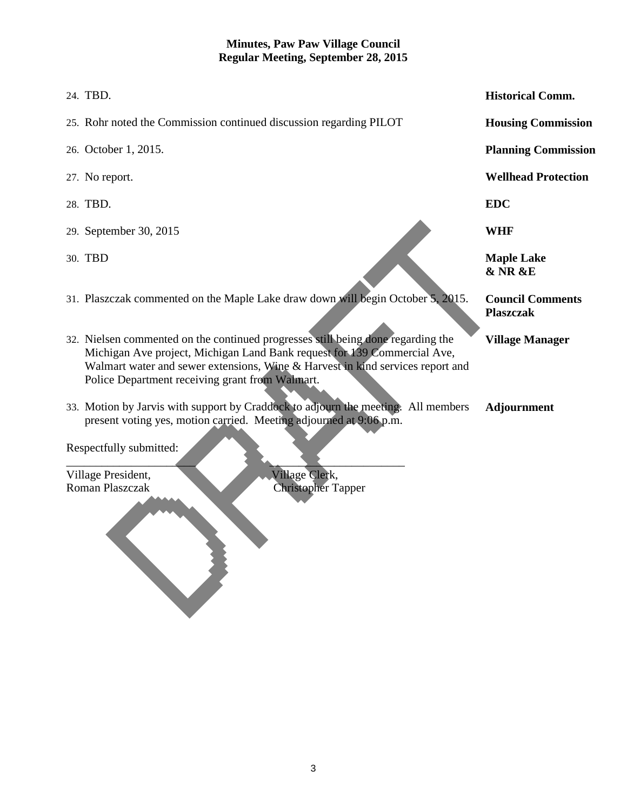## **Minutes, Paw Paw Village Council Regular Meeting, September 28, 2015**

| 24. TBD. |                                                                                                                                                                                                                                                                                                   | <b>Historical Comm.</b>                     |
|----------|---------------------------------------------------------------------------------------------------------------------------------------------------------------------------------------------------------------------------------------------------------------------------------------------------|---------------------------------------------|
|          | 25. Rohr noted the Commission continued discussion regarding PILOT                                                                                                                                                                                                                                | <b>Housing Commission</b>                   |
|          | 26. October 1, 2015.                                                                                                                                                                                                                                                                              | <b>Planning Commission</b>                  |
|          | 27. No report.                                                                                                                                                                                                                                                                                    | <b>Wellhead Protection</b>                  |
| 28. TBD. |                                                                                                                                                                                                                                                                                                   | <b>EDC</b>                                  |
|          | 29. September 30, 2015                                                                                                                                                                                                                                                                            | <b>WHF</b>                                  |
| 30. TBD  |                                                                                                                                                                                                                                                                                                   | <b>Maple Lake</b><br>& NR &E                |
|          | 31. Plaszczak commented on the Maple Lake draw down will begin October 5, 2015.                                                                                                                                                                                                                   | <b>Council Comments</b><br><b>Plaszczak</b> |
|          | 32. Nielsen commented on the continued progresses still being done regarding the<br>Michigan Ave project, Michigan Land Bank request for 139 Commercial Ave,<br>Walmart water and sewer extensions, Wine & Harvest in kind services report and<br>Police Department receiving grant from Walmart. | <b>Village Manager</b>                      |
|          | 33. Motion by Jarvis with support by Craddock to adjourn the meeting. All members<br>present voting yes, motion carried. Meeting adjourned at 9:06 p.m.                                                                                                                                           | <b>Adjournment</b>                          |
|          | Respectfully submitted:                                                                                                                                                                                                                                                                           |                                             |
|          | Village Clerk,<br>Village President,<br>Roman Plaszczak<br><b>Christopher Tapper</b>                                                                                                                                                                                                              |                                             |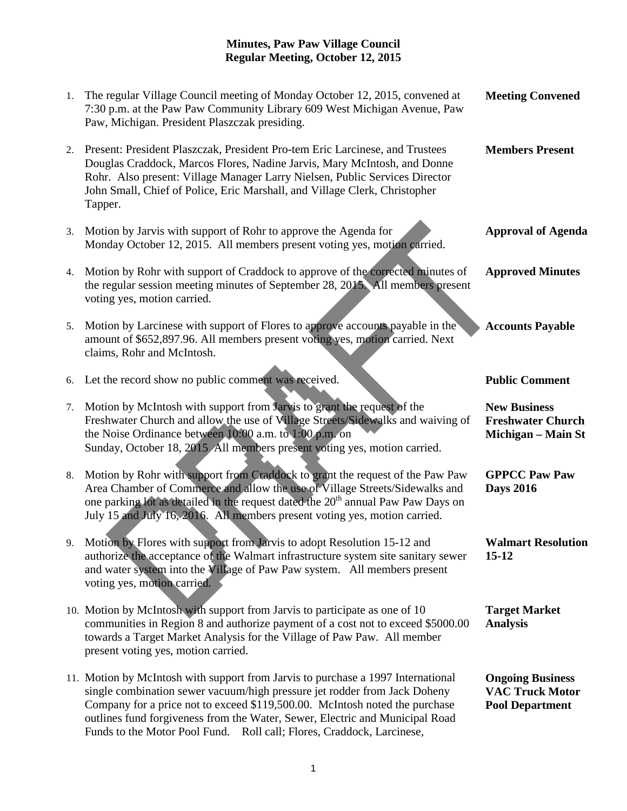| 1. | The regular Village Council meeting of Monday October 12, 2015, convened at<br>7:30 p.m. at the Paw Paw Community Library 609 West Michigan Avenue, Paw<br>Paw, Michigan. President Plaszczak presiding.                                                                                                                                                                                              | <b>Meeting Convened</b>                                                     |
|----|-------------------------------------------------------------------------------------------------------------------------------------------------------------------------------------------------------------------------------------------------------------------------------------------------------------------------------------------------------------------------------------------------------|-----------------------------------------------------------------------------|
| 2. | Present: President Plaszczak, President Pro-tem Eric Larcinese, and Trustees<br>Douglas Craddock, Marcos Flores, Nadine Jarvis, Mary McIntosh, and Donne<br>Rohr. Also present: Village Manager Larry Nielsen, Public Services Director<br>John Small, Chief of Police, Eric Marshall, and Village Clerk, Christopher<br>Tapper.                                                                      | <b>Members Present</b>                                                      |
| 3. | Motion by Jarvis with support of Rohr to approve the Agenda for<br>Monday October 12, 2015. All members present voting yes, motion carried.                                                                                                                                                                                                                                                           | <b>Approval of Agenda</b>                                                   |
| 4. | Motion by Rohr with support of Craddock to approve of the corrected minutes of<br>the regular session meeting minutes of September 28, 2015. All members present<br>voting yes, motion carried.                                                                                                                                                                                                       | <b>Approved Minutes</b>                                                     |
| 5. | Motion by Larcinese with support of Flores to approve accounts payable in the<br>amount of \$652,897.96. All members present voting yes, motion carried. Next<br>claims, Rohr and McIntosh.                                                                                                                                                                                                           | <b>Accounts Payable</b>                                                     |
| 6. | Let the record show no public comment was received.                                                                                                                                                                                                                                                                                                                                                   | <b>Public Comment</b>                                                       |
| 7. | Motion by McIntosh with support from Jarvis to grant the request of the<br>Freshwater Church and allow the use of Village Streets/Sidewalks and waiving of<br>the Noise Ordinance between 10:00 a.m. to 1:00 p.m. on<br>Sunday, October 18, 2015 All members present voting yes, motion carried.                                                                                                      | <b>New Business</b><br><b>Freshwater Church</b><br>Michigan – Main St       |
| 8. | Motion by Rohr with support from Craddock to grant the request of the Paw Paw<br>Area Chamber of Commerce and allow the use of Village Streets/Sidewalks and<br>one parking lot as detailed in the request dated the 20 <sup>th</sup> annual Paw Paw Days on<br>July 15 and July 16, 2016. All members present voting yes, motion carried.                                                            | <b>GPPCC Paw Paw</b><br><b>Days 2016</b>                                    |
|    | 9. Motion by Flores with support from Jarvis to adopt Resolution 15-12 and<br>authorize the acceptance of the Walmart infrastructure system site sanitary sewer<br>and water system into the Village of Paw Paw system. All members present<br>voting yes, motion carried.                                                                                                                            | <b>Walmart Resolution</b><br>$15 - 12$                                      |
|    | 10. Motion by McIntosh with support from Jarvis to participate as one of 10<br>communities in Region 8 and authorize payment of a cost not to exceed \$5000.00<br>towards a Target Market Analysis for the Village of Paw Paw. All member<br>present voting yes, motion carried.                                                                                                                      | <b>Target Market</b><br><b>Analysis</b>                                     |
|    | 11. Motion by McIntosh with support from Jarvis to purchase a 1997 International<br>single combination sewer vacuum/high pressure jet rodder from Jack Doheny<br>Company for a price not to exceed \$119,500.00. McIntosh noted the purchase<br>outlines fund forgiveness from the Water, Sewer, Electric and Municipal Road<br>Funds to the Motor Pool Fund. Roll call; Flores, Craddock, Larcinese, | <b>Ongoing Business</b><br><b>VAC Truck Motor</b><br><b>Pool Department</b> |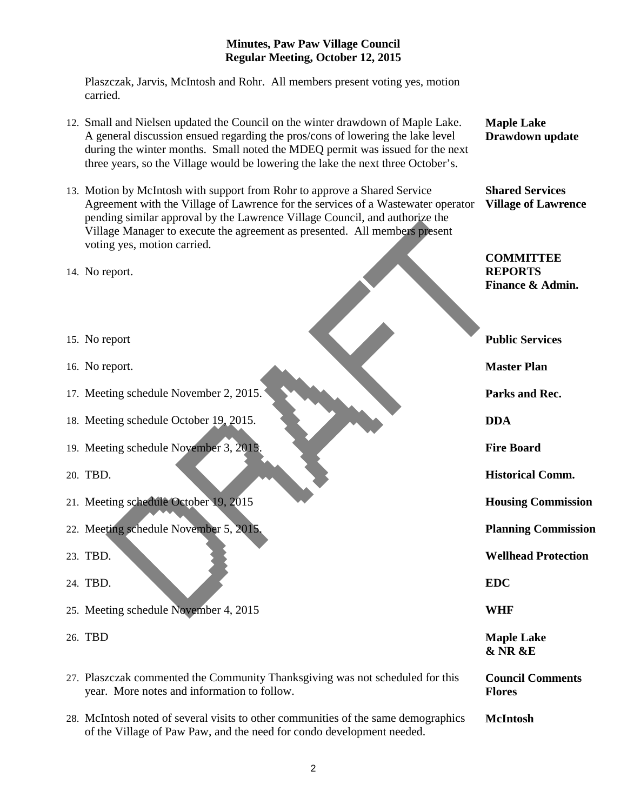Plaszczak, Jarvis, McIntosh and Rohr. All members present voting yes, motion carried.

- 12. Small and Nielsen updated the Council on the winter drawdown of Maple Lake. A general discussion ensued regarding the pros/cons of lowering the lake level during the winter months. Small noted the MDEQ permit was issued for the next three years, so the Village would be lowering the lake the next three October's.
- 13. Motion by McIntosh with support from Rohr to approve a Shared Service Agreement with the Village of Lawrence for the services of a Wastewater operator pending similar approval by the Lawrence Village Council, and authorize the Village Manager to execute the agreement as presented. All members present voting yes, motion carried.

14. No report.

**Maple Lake Drawdown update**

**Shared Services Village of Lawrence**

**COMMITTEE REPORTS Finance & Admin.**

|                                                                                                                                                             | <b>Finance &amp; Admin.</b>                 |
|-------------------------------------------------------------------------------------------------------------------------------------------------------------|---------------------------------------------|
| 15. No report                                                                                                                                               | <b>Public Services</b>                      |
| 16. No report.                                                                                                                                              | <b>Master Plan</b>                          |
| 17. Meeting schedule November 2, 2015.                                                                                                                      | Parks and Rec.                              |
| 18. Meeting schedule October 19, 2015.                                                                                                                      | <b>DDA</b>                                  |
| 19. Meeting schedule November 3, 2015.                                                                                                                      | <b>Fire Board</b>                           |
| 20. TBD.                                                                                                                                                    | <b>Historical Comm.</b>                     |
| 21. Meeting schedule October 19, 2015                                                                                                                       | <b>Housing Commission</b>                   |
| 22. Meeting schedule November 5, 2015.                                                                                                                      | <b>Planning Commission</b>                  |
| 23. TBD.                                                                                                                                                    | <b>Wellhead Protection</b>                  |
| 24. TBD.                                                                                                                                                    | <b>EDC</b>                                  |
| 25. Meeting schedule November 4, 2015                                                                                                                       | <b>WHF</b>                                  |
| 26. TBD                                                                                                                                                     | <b>Maple Lake</b><br><b>&amp; NR &amp;E</b> |
| 27. Plaszczak commented the Community Thanksgiving was not scheduled for this<br>year. More notes and information to follow.                                | <b>Council Comments</b><br><b>Flores</b>    |
| 28. McIntosh noted of several visits to other communities of the same demographics<br>of the Village of Paw Paw, and the need for condo development needed. | <b>McIntosh</b>                             |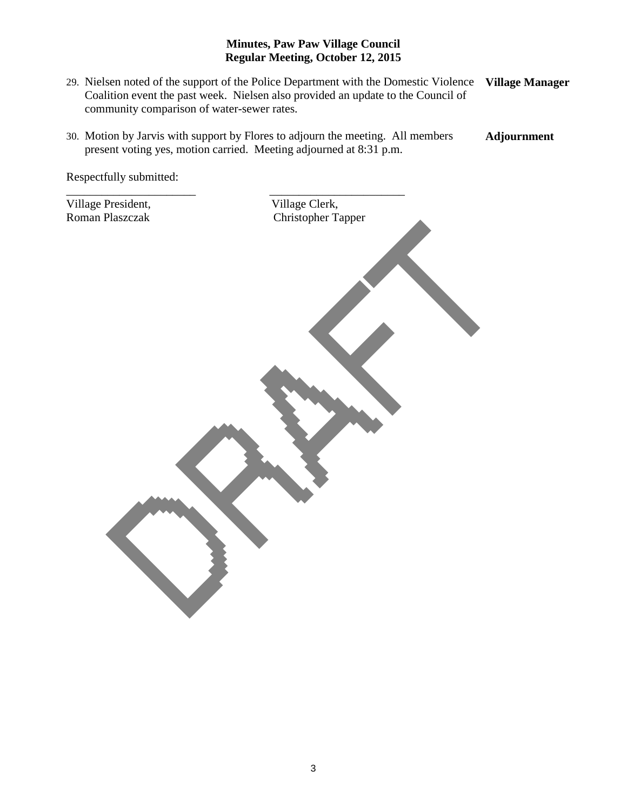- 29. Nielsen noted of the support of the Police Department with the Domestic Violence **Village Manager** Coalition event the past week. Nielsen also provided an update to the Council of community comparison of water-sewer rates.
- 30. Motion by Jarvis with support by Flores to adjourn the meeting. All members present voting yes, motion carried. Meeting adjourned at 8:31 p.m. **Adjournment**

Respectfully submitted:

|                                       | Village Clerk,     |  |
|---------------------------------------|--------------------|--|
| Village President,<br>Roman Plaszczak | Christopher Tapper |  |
|                                       |                    |  |
|                                       |                    |  |
|                                       |                    |  |
|                                       |                    |  |
|                                       |                    |  |
|                                       |                    |  |
|                                       |                    |  |
|                                       |                    |  |
|                                       |                    |  |
|                                       |                    |  |
|                                       |                    |  |
|                                       |                    |  |
|                                       |                    |  |
|                                       |                    |  |
|                                       |                    |  |
|                                       |                    |  |
|                                       |                    |  |
|                                       |                    |  |
|                                       |                    |  |
|                                       |                    |  |
|                                       |                    |  |
|                                       |                    |  |
|                                       |                    |  |
|                                       |                    |  |
|                                       |                    |  |
|                                       |                    |  |
|                                       |                    |  |
|                                       |                    |  |
|                                       |                    |  |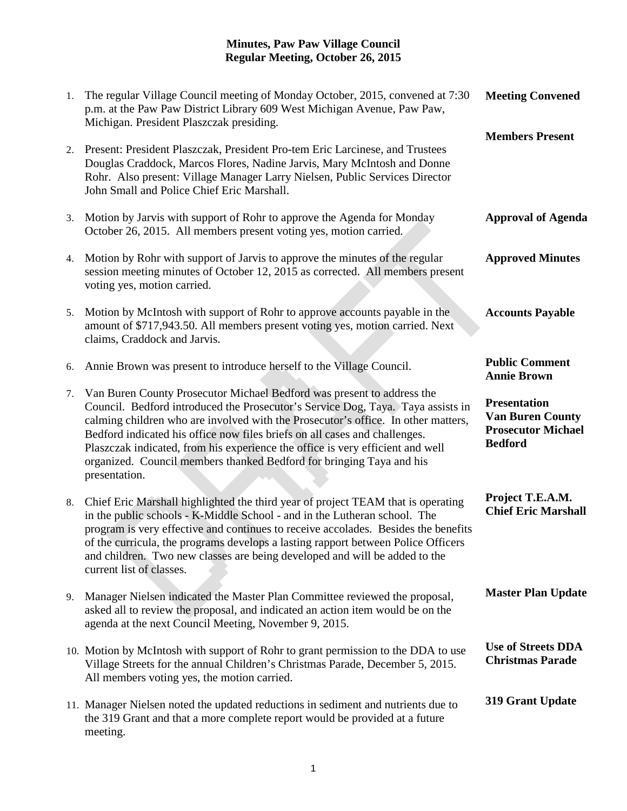| 1. | The regular Village Council meeting of Monday October, 2015, convened at 7:30<br>p.m. at the Paw Paw District Library 609 West Michigan Avenue, Paw Paw,<br>Michigan. President Plaszczak presiding.                                                                                                                                                                                                                                                                                                    | <b>Meeting Convened</b>                                                                       |
|----|---------------------------------------------------------------------------------------------------------------------------------------------------------------------------------------------------------------------------------------------------------------------------------------------------------------------------------------------------------------------------------------------------------------------------------------------------------------------------------------------------------|-----------------------------------------------------------------------------------------------|
| 2. | Present: President Plaszczak, President Pro-tem Eric Larcinese, and Trustees<br>Douglas Craddock, Marcos Flores, Nadine Jarvis, Mary McIntosh and Donne<br>Rohr. Also present: Village Manager Larry Nielsen, Public Services Director<br>John Small and Police Chief Eric Marshall.                                                                                                                                                                                                                    | <b>Members Present</b>                                                                        |
| 3. | Motion by Jarvis with support of Rohr to approve the Agenda for Monday<br>October 26, 2015. All members present voting yes, motion carried.                                                                                                                                                                                                                                                                                                                                                             | <b>Approval of Agenda</b>                                                                     |
| 4. | Motion by Rohr with support of Jarvis to approve the minutes of the regular<br>session meeting minutes of October 12, 2015 as corrected. All members present<br>voting yes, motion carried.                                                                                                                                                                                                                                                                                                             | <b>Approved Minutes</b>                                                                       |
| 5. | Motion by McIntosh with support of Rohr to approve accounts payable in the<br>amount of \$717,943.50. All members present voting yes, motion carried. Next<br>claims, Craddock and Jarvis.                                                                                                                                                                                                                                                                                                              | <b>Accounts Payable</b>                                                                       |
| 6. | Annie Brown was present to introduce herself to the Village Council.                                                                                                                                                                                                                                                                                                                                                                                                                                    | <b>Public Comment</b><br><b>Annie Brown</b>                                                   |
| 7. | Van Buren County Prosecutor Michael Bedford was present to address the<br>Council. Bedford introduced the Prosecutor's Service Dog, Taya. Taya assists in<br>calming children who are involved with the Prosecutor's office. In other matters,<br>Bedford indicated his office now files briefs on all cases and challenges.<br>Plaszczak indicated, from his experience the office is very efficient and well<br>organized. Council members thanked Bedford for bringing Taya and his<br>presentation. | <b>Presentation</b><br><b>Van Buren County</b><br><b>Prosecutor Michael</b><br><b>Bedford</b> |
| 8. | Chief Eric Marshall highlighted the third year of project TEAM that is operating<br>in the public schools - K-Middle School - and in the Lutheran school. The<br>program is very effective and continues to receive accolades. Besides the benefits<br>of the curricula, the programs develops a lasting rapport between Police Officers<br>and children. Two new classes are being developed and will be added to the<br>current list of classes.                                                      | Project T.E.A.M.<br><b>Chief Eric Marshall</b>                                                |
| 9. | Manager Nielsen indicated the Master Plan Committee reviewed the proposal,<br>asked all to review the proposal, and indicated an action item would be on the<br>agenda at the next Council Meeting, November 9, 2015.                                                                                                                                                                                                                                                                                   | <b>Master Plan Update</b>                                                                     |
|    | 10. Motion by McIntosh with support of Rohr to grant permission to the DDA to use<br>Village Streets for the annual Children's Christmas Parade, December 5, 2015.<br>All members voting yes, the motion carried.                                                                                                                                                                                                                                                                                       | <b>Use of Streets DDA</b><br><b>Christmas Parade</b>                                          |
|    | 11. Manager Nielsen noted the updated reductions in sediment and nutrients due to<br>the 319 Grant and that a more complete report would be provided at a future<br>meeting.                                                                                                                                                                                                                                                                                                                            | 319 Grant Update                                                                              |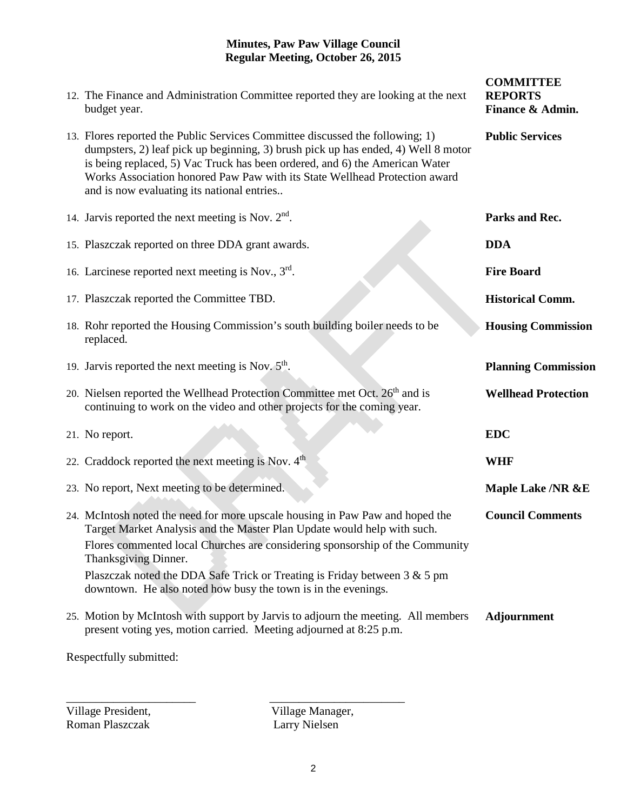| 12. The Finance and Administration Committee reported they are looking at the next<br>budget year.                                                                                                                                                                                                                                                                                                               | <b>COMMITTEE</b><br><b>REPORTS</b><br>Finance & Admin. |
|------------------------------------------------------------------------------------------------------------------------------------------------------------------------------------------------------------------------------------------------------------------------------------------------------------------------------------------------------------------------------------------------------------------|--------------------------------------------------------|
| 13. Flores reported the Public Services Committee discussed the following; 1)<br>dumpsters, 2) leaf pick up beginning, 3) brush pick up has ended, 4) Well 8 motor<br>is being replaced, 5) Vac Truck has been ordered, and 6) the American Water<br>Works Association honored Paw Paw with its State Wellhead Protection award<br>and is now evaluating its national entries                                    | <b>Public Services</b>                                 |
| 14. Jarvis reported the next meeting is Nov. $2nd$ .                                                                                                                                                                                                                                                                                                                                                             | Parks and Rec.                                         |
| 15. Plaszczak reported on three DDA grant awards.                                                                                                                                                                                                                                                                                                                                                                | <b>DDA</b>                                             |
| 16. Larcinese reported next meeting is Nov., $3rd$ .                                                                                                                                                                                                                                                                                                                                                             | <b>Fire Board</b>                                      |
| 17. Plaszczak reported the Committee TBD.                                                                                                                                                                                                                                                                                                                                                                        | <b>Historical Comm.</b>                                |
| 18. Rohr reported the Housing Commission's south building boiler needs to be<br>replaced.                                                                                                                                                                                                                                                                                                                        | <b>Housing Commission</b>                              |
| 19. Jarvis reported the next meeting is Nov. $5th$ .                                                                                                                                                                                                                                                                                                                                                             | <b>Planning Commission</b>                             |
| 20. Nielsen reported the Wellhead Protection Committee met Oct. 26 <sup>th</sup> and is<br>continuing to work on the video and other projects for the coming year.                                                                                                                                                                                                                                               | <b>Wellhead Protection</b>                             |
| 21. No report.                                                                                                                                                                                                                                                                                                                                                                                                   | <b>EDC</b>                                             |
| 22. Craddock reported the next meeting is Nov. 4 <sup>th</sup>                                                                                                                                                                                                                                                                                                                                                   | <b>WHF</b>                                             |
| 23. No report, Next meeting to be determined.                                                                                                                                                                                                                                                                                                                                                                    | Maple Lake /NR &E                                      |
| 24. McIntosh noted the need for more upscale housing in Paw Paw and hoped the<br>Target Market Analysis and the Master Plan Update would help with such.<br>Flores commented local Churches are considering sponsorship of the Community<br>Thanksgiving Dinner.<br>Plaszczak noted the DDA Safe Trick or Treating is Friday between $3 & 5$ pm<br>downtown. He also noted how busy the town is in the evenings. | <b>Council Comments</b>                                |
| 25. Motion by McIntosh with support by Jarvis to adjourn the meeting. All members<br>present voting yes, motion carried. Meeting adjourned at 8:25 p.m.                                                                                                                                                                                                                                                          | <b>Adjournment</b>                                     |

Respectfully submitted:

Village President, Village Manager, Roman Plaszczak Larry Nielsen

\_\_\_\_\_\_\_\_\_\_\_\_\_\_\_\_\_\_\_\_\_\_ \_\_\_\_\_\_\_\_\_\_\_\_\_\_\_\_\_\_\_\_\_\_\_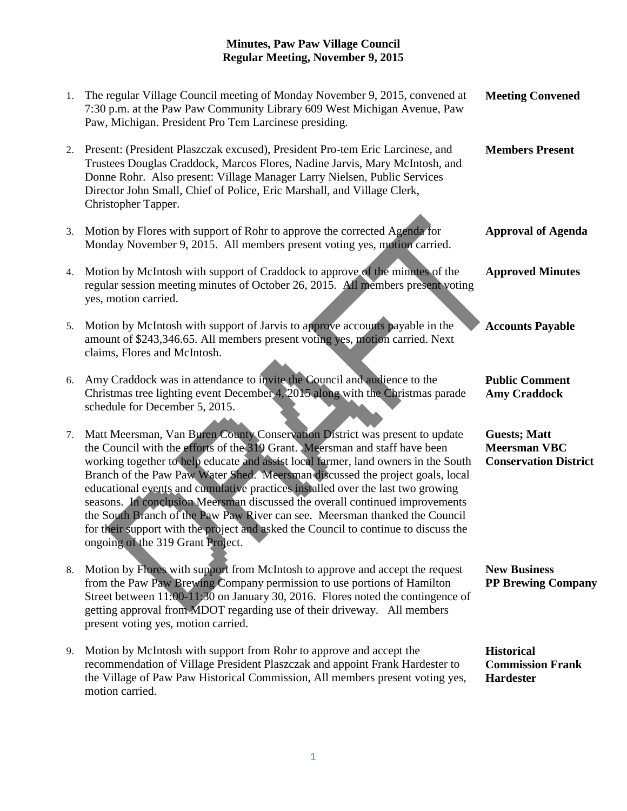### **Minutes, Paw Paw Village Council Regular Meeting, November 9, 2015**

| 1. | The regular Village Council meeting of Monday November 9, 2015, convened at<br>7:30 p.m. at the Paw Paw Community Library 609 West Michigan Avenue, Paw<br>Paw, Michigan. President Pro Tem Larcinese presiding.                                                                                                                                                                                                                                                                                                                                                                                                                                                                                                | <b>Meeting Convened</b>                                                     |
|----|-----------------------------------------------------------------------------------------------------------------------------------------------------------------------------------------------------------------------------------------------------------------------------------------------------------------------------------------------------------------------------------------------------------------------------------------------------------------------------------------------------------------------------------------------------------------------------------------------------------------------------------------------------------------------------------------------------------------|-----------------------------------------------------------------------------|
| 2. | Present: (President Plaszczak excused), President Pro-tem Eric Larcinese, and<br>Trustees Douglas Craddock, Marcos Flores, Nadine Jarvis, Mary McIntosh, and<br>Donne Rohr. Also present: Village Manager Larry Nielsen, Public Services<br>Director John Small, Chief of Police, Eric Marshall, and Village Clerk,<br>Christopher Tapper.                                                                                                                                                                                                                                                                                                                                                                      | <b>Members Present</b>                                                      |
| 3. | Motion by Flores with support of Rohr to approve the corrected Agenda for<br>Monday November 9, 2015. All members present voting yes, motion carried.                                                                                                                                                                                                                                                                                                                                                                                                                                                                                                                                                           | <b>Approval of Agenda</b>                                                   |
| 4. | Motion by McIntosh with support of Craddock to approve of the minutes of the<br>regular session meeting minutes of October 26, 2015. All members present voting<br>yes, motion carried.                                                                                                                                                                                                                                                                                                                                                                                                                                                                                                                         | <b>Approved Minutes</b>                                                     |
| 5. | Motion by McIntosh with support of Jarvis to approve accounts payable in the<br>amount of \$243,346.65. All members present voting yes, motion carried. Next<br>claims, Flores and McIntosh.                                                                                                                                                                                                                                                                                                                                                                                                                                                                                                                    | <b>Accounts Payable</b>                                                     |
| 6. | Amy Craddock was in attendance to invite the Council and audience to the<br>Christmas tree lighting event December 4, 2015 along with the Christmas parade<br>schedule for December 5, 2015.                                                                                                                                                                                                                                                                                                                                                                                                                                                                                                                    | <b>Public Comment</b><br><b>Amy Craddock</b>                                |
| 7. | Matt Meersman, Van Buren County Conservation District was present to update<br>the Council with the efforts of the 319 Grant. Meersman and staff have been<br>working together to help educate and assist local farmer, land owners in the South<br>Branch of the Paw Paw Water Shed. Meersman discussed the project goals, local<br>educational events and cumulative practices installed over the last two growing<br>seasons. In conclusion Meersman discussed the overall continued improvements<br>the South Branch of the Paw Paw River can see. Meersman thanked the Council<br>for their support with the project and asked the Council to continue to discuss the<br>ongoing of the 319 Grant Project. | <b>Guests</b> ; Matt<br><b>Meersman VBC</b><br><b>Conservation District</b> |
| 8. | Motion by Flores with support from McIntosh to approve and accept the request<br>from the Paw Paw Brewing Company permission to use portions of Hamilton<br>Street between 11:00-11:30 on January 30, 2016. Flores noted the contingence of<br>getting approval from MDOT regarding use of their driveway. All members<br>present voting yes, motion carried.                                                                                                                                                                                                                                                                                                                                                   | <b>New Business</b><br><b>PP Brewing Company</b>                            |
| 9. | Motion by McIntosh with support from Rohr to approve and accept the<br>recommendation of Village President Plaszczak and appoint Frank Hardester to<br>the Village of Paw Paw Historical Commission, All members present voting yes,<br>motion carried.                                                                                                                                                                                                                                                                                                                                                                                                                                                         | <b>Historical</b><br><b>Commission Frank</b><br><b>Hardester</b>            |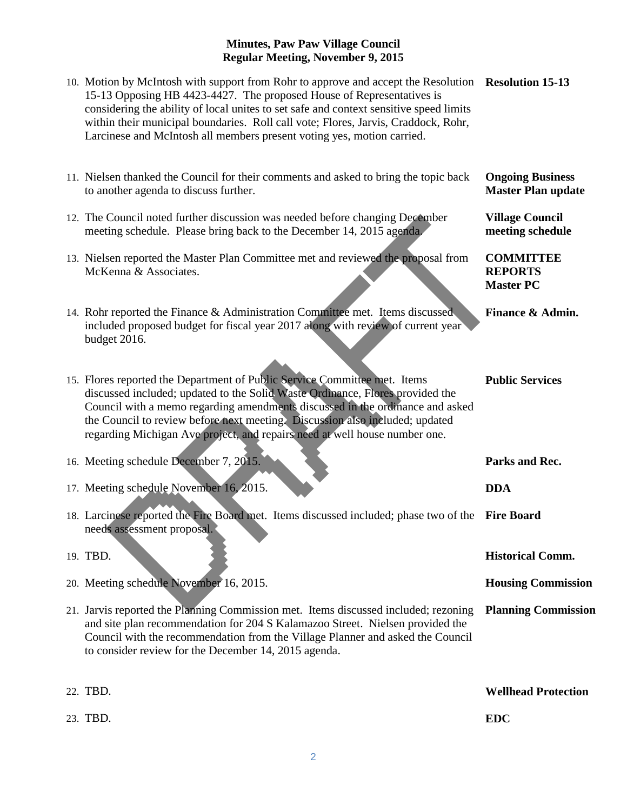### **Minutes, Paw Paw Village Council Regular Meeting, November 9, 2015**

| 10. Motion by McIntosh with support from Rohr to approve and accept the Resolution Resolution 15-13<br>15-13 Opposing HB 4423-4427. The proposed House of Representatives is<br>considering the ability of local unites to set safe and context sensitive speed limits<br>within their municipal boundaries. Roll call vote; Flores, Jarvis, Craddock, Rohr,<br>Larcinese and McIntosh all members present voting yes, motion carried. |                                                        |
|----------------------------------------------------------------------------------------------------------------------------------------------------------------------------------------------------------------------------------------------------------------------------------------------------------------------------------------------------------------------------------------------------------------------------------------|--------------------------------------------------------|
| 11. Nielsen thanked the Council for their comments and asked to bring the topic back<br>to another agenda to discuss further.                                                                                                                                                                                                                                                                                                          | <b>Ongoing Business</b><br><b>Master Plan update</b>   |
| 12. The Council noted further discussion was needed before changing December<br>meeting schedule. Please bring back to the December 14, 2015 agenda.                                                                                                                                                                                                                                                                                   | <b>Village Council</b><br>meeting schedule             |
| 13. Nielsen reported the Master Plan Committee met and reviewed the proposal from<br>McKenna & Associates.                                                                                                                                                                                                                                                                                                                             | <b>COMMITTEE</b><br><b>REPORTS</b><br><b>Master PC</b> |
| 14. Rohr reported the Finance & Administration Committee met. Items discussed<br>included proposed budget for fiscal year 2017 along with review of current year<br>budget 2016.                                                                                                                                                                                                                                                       | Finance & Admin.                                       |
| 15. Flores reported the Department of Public Service Committee met. Items<br>discussed included; updated to the Solid Waste Ordinance, Flores provided the<br>Council with a memo regarding amendments discussed in the ordinance and asked<br>the Council to review before next meeting. Discussion also included; updated<br>regarding Michigan Ave project, and repairs need at well house number one.                              | <b>Public Services</b>                                 |
| 16. Meeting schedule December 7, 2015.                                                                                                                                                                                                                                                                                                                                                                                                 | Parks and Rec.                                         |
| 17. Meeting schedule November 16, 2015.                                                                                                                                                                                                                                                                                                                                                                                                | <b>DDA</b>                                             |
| 18. Larcinese reported the Fire Board met. Items discussed included; phase two of the Fire Board<br>needs assessment proposal.                                                                                                                                                                                                                                                                                                         |                                                        |
| 19. TBD.                                                                                                                                                                                                                                                                                                                                                                                                                               | <b>Historical Comm.</b>                                |
| 20. Meeting schedule November 16, 2015.                                                                                                                                                                                                                                                                                                                                                                                                | <b>Housing Commission</b>                              |
| 21. Jarvis reported the Planning Commission met. Items discussed included; rezoning<br>and site plan recommendation for 204 S Kalamazoo Street. Nielsen provided the<br>Council with the recommendation from the Village Planner and asked the Council<br>to consider review for the December 14, 2015 agenda.                                                                                                                         | <b>Planning Commission</b>                             |
| 22. TBD.                                                                                                                                                                                                                                                                                                                                                                                                                               | <b>Wellhead Protection</b>                             |

**EDC**

23. TBD.